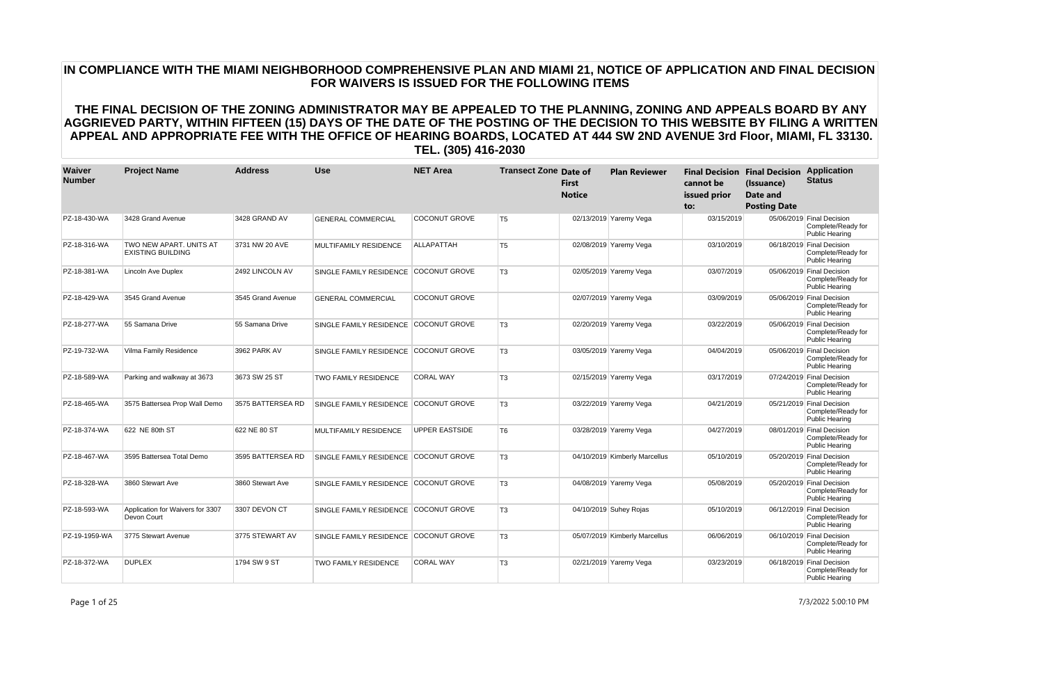| Waiver<br><b>Number</b> | <b>Project Name</b>                                 | <b>Address</b>    | <b>Use</b>                   | <b>NET Area</b>       | <b>Transect Zone Date of</b> | <b>First</b><br><b>Notice</b> | <b>Plan Reviewer</b>          | cannot be<br>issued prior<br>to: | <b>Final Decision Final Decision</b><br>(Issuance)<br><b>Date and</b><br><b>Posting Date</b> | <b>Application</b><br><b>Status</b>                                      |
|-------------------------|-----------------------------------------------------|-------------------|------------------------------|-----------------------|------------------------------|-------------------------------|-------------------------------|----------------------------------|----------------------------------------------------------------------------------------------|--------------------------------------------------------------------------|
| PZ-18-430-WA            | 3428 Grand Avenue                                   | 3428 GRAND AV     | <b>GENERAL COMMERCIAL</b>    | <b>COCONUT GROVE</b>  | T <sub>5</sub>               |                               | 02/13/2019 Yaremy Vega        | 03/15/2019                       |                                                                                              | 05/06/2019 Final Decision<br>Complete/Ready for<br><b>Public Hearing</b> |
| PZ-18-316-WA            | TWO NEW APART, UNITS AT<br><b>EXISTING BUILDING</b> | 3731 NW 20 AVE    | <b>MULTIFAMILY RESIDENCE</b> | <b>ALLAPATTAH</b>     | T <sub>5</sub>               |                               | 02/08/2019 Yaremy Vega        | 03/10/2019                       |                                                                                              | 06/18/2019 Final Decision<br>Complete/Ready for<br><b>Public Hearing</b> |
| PZ-18-381-WA            | Lincoln Ave Duplex                                  | 2492 LINCOLN AV   | SINGLE FAMILY RESIDENCE      | <b>COCONUT GROVE</b>  | <b>T3</b>                    |                               | 02/05/2019 Yaremy Vega        | 03/07/2019                       |                                                                                              | 05/06/2019 Final Decision<br>Complete/Ready for<br><b>Public Hearing</b> |
| PZ-18-429-WA            | 3545 Grand Avenue                                   | 3545 Grand Avenue | <b>GENERAL COMMERCIAL</b>    | <b>COCONUT GROVE</b>  |                              |                               | 02/07/2019 Yaremy Vega        | 03/09/2019                       |                                                                                              | 05/06/2019 Final Decision<br>Complete/Ready for<br><b>Public Hearing</b> |
| PZ-18-277-WA            | 55 Samana Drive                                     | 55 Samana Drive   | SINGLE FAMILY RESIDENCE      | <b>COCONUT GROVE</b>  | T <sub>3</sub>               |                               | 02/20/2019 Yaremy Vega        | 03/22/2019                       |                                                                                              | 05/06/2019 Final Decision<br>Complete/Ready for<br><b>Public Hearing</b> |
| PZ-19-732-WA            | Vilma Family Residence                              | 3962 PARK AV      | SINGLE FAMILY RESIDENCE      | <b>COCONUT GROVE</b>  | T <sub>3</sub>               |                               | 03/05/2019 Yaremy Vega        | 04/04/2019                       |                                                                                              | 05/06/2019 Final Decision<br>Complete/Ready for<br><b>Public Hearing</b> |
| PZ-18-589-WA            | Parking and walkway at 3673                         | 3673 SW 25 ST     | <b>TWO FAMILY RESIDENCE</b>  | <b>CORAL WAY</b>      | T <sub>3</sub>               |                               | 02/15/2019 Yaremy Vega        | 03/17/2019                       |                                                                                              | 07/24/2019 Final Decision<br>Complete/Ready for<br><b>Public Hearing</b> |
| PZ-18-465-WA            | 3575 Battersea Prop Wall Demo                       | 3575 BATTERSEA RD | SINGLE FAMILY RESIDENCE      | <b>COCONUT GROVE</b>  | T <sub>3</sub>               |                               | 03/22/2019 Yaremy Vega        | 04/21/2019                       |                                                                                              | 05/21/2019 Final Decision<br>Complete/Ready for<br>Public Hearing        |
| PZ-18-374-WA            | 622 NE 80th ST                                      | 622 NE 80 ST      | MULTIFAMILY RESIDENCE        | <b>UPPER EASTSIDE</b> | T <sub>6</sub>               |                               | 03/28/2019 Yaremy Vega        | 04/27/2019                       |                                                                                              | 08/01/2019 Final Decision<br>Complete/Ready for<br><b>Public Hearing</b> |
| PZ-18-467-WA            | 3595 Battersea Total Demo                           | 3595 BATTERSEA RD | SINGLE FAMILY RESIDENCE      | <b>COCONUT GROVE</b>  | T <sub>3</sub>               |                               | 04/10/2019 Kimberly Marcellus | 05/10/2019                       |                                                                                              | 05/20/2019 Final Decision<br>Complete/Ready for<br><b>Public Hearing</b> |
| PZ-18-328-WA            | 3860 Stewart Ave                                    | 3860 Stewart Ave  | SINGLE FAMILY RESIDENCE      | <b>COCONUT GROVE</b>  | T <sub>3</sub>               |                               | 04/08/2019 Yaremy Vega        | 05/08/2019                       |                                                                                              | 05/20/2019 Final Decision<br>Complete/Ready for<br><b>Public Hearing</b> |
| PZ-18-593-WA            | Application for Waivers for 3307<br>Devon Court     | 3307 DEVON CT     | SINGLE FAMILY RESIDENCE      | <b>COCONUT GROVE</b>  | T <sub>3</sub>               |                               | 04/10/2019 Suhey Rojas        | 05/10/2019                       |                                                                                              | 06/12/2019 Final Decision<br>Complete/Ready for<br><b>Public Hearing</b> |
| PZ-19-1959-WA           | 3775 Stewart Avenue                                 | 3775 STEWART AV   | SINGLE FAMILY RESIDENCE      | <b>COCONUT GROVE</b>  | T <sub>3</sub>               |                               | 05/07/2019 Kimberly Marcellus | 06/06/2019                       |                                                                                              | 06/10/2019 Final Decision<br>Complete/Ready for<br><b>Public Hearing</b> |
| PZ-18-372-WA            | <b>DUPLEX</b>                                       | 1794 SW 9 ST      | <b>TWO FAMILY RESIDENCE</b>  | <b>CORAL WAY</b>      | T <sub>3</sub>               |                               | 02/21/2019 Yaremy Vega        | 03/23/2019                       |                                                                                              | 06/18/2019 Final Decision<br>Complete/Ready for<br><b>Public Hearing</b> |

Page 1 of 25 7/3/2022 5:00:10 PM

# **IN COMPLIANCE WITH THE MIAMI NEIGHBORHOOD COMPREHENSIVE PLAN AND MIAMI 21, NOTICE OF APPLICATION AND FINAL DECISION FOR WAIVERS IS ISSUED FOR THE FOLLOWING ITEMS**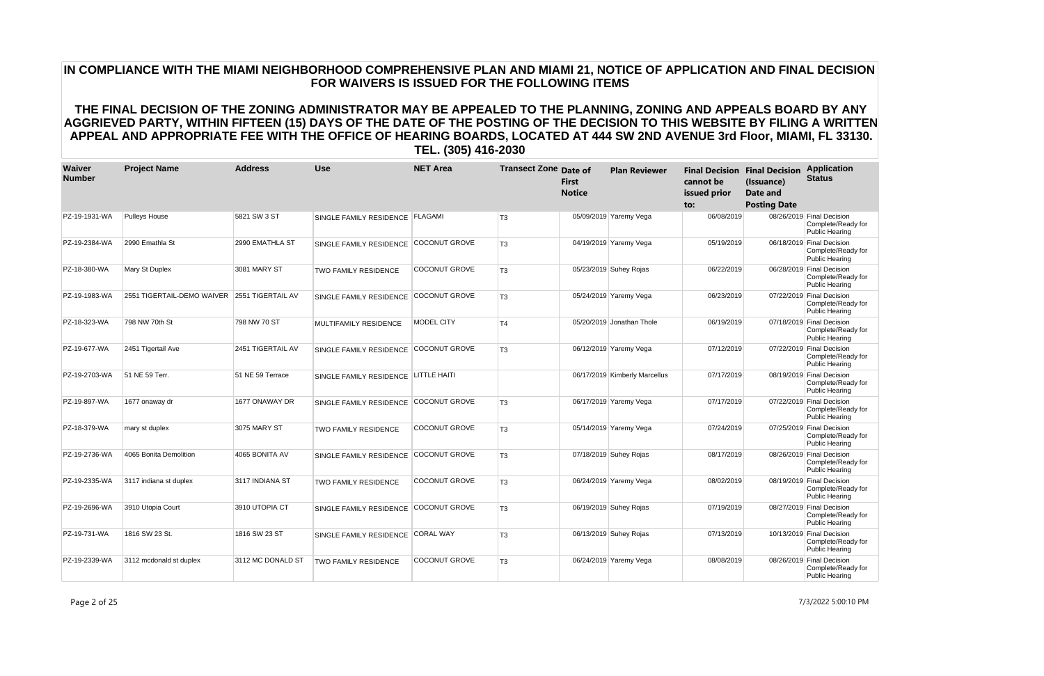| Waiver<br><b>Number</b> | <b>Project Name</b>                          | <b>Address</b>    | <b>Use</b>                           | <b>NET Area</b>      | <b>Transect Zone Date of</b> | <b>First</b><br><b>Notice</b> | <b>Plan Reviewer</b>          | cannot be<br>issued prior<br>to: | <b>Final Decision Final Decision</b><br>(Issuance)<br>Date and<br><b>Posting Date</b> | <b>Application</b><br><b>Status</b>                                      |
|-------------------------|----------------------------------------------|-------------------|--------------------------------------|----------------------|------------------------------|-------------------------------|-------------------------------|----------------------------------|---------------------------------------------------------------------------------------|--------------------------------------------------------------------------|
| PZ-19-1931-WA           | <b>Pulleys House</b>                         | 5821 SW 3 ST      | SINGLE FAMILY RESIDENCE FLAGAMI      |                      | T <sub>3</sub>               |                               | 05/09/2019 Yaremy Vega        | 06/08/2019                       |                                                                                       | 08/26/2019 Final Decision<br>Complete/Ready for<br><b>Public Hearing</b> |
| PZ-19-2384-WA           | 2990 Emathla St                              | 2990 EMATHLA ST   | SINGLE FAMILY RESIDENCE              | <b>COCONUT GROVE</b> | T <sub>3</sub>               |                               | 04/19/2019 Yaremy Vega        | 05/19/2019                       |                                                                                       | 06/18/2019 Final Decision<br>Complete/Ready for<br><b>Public Hearing</b> |
| PZ-18-380-WA            | Mary St Duplex                               | 3081 MARY ST      | <b>TWO FAMILY RESIDENCE</b>          | <b>COCONUT GROVE</b> | T <sub>3</sub>               |                               | 05/23/2019 Suhey Rojas        | 06/22/2019                       |                                                                                       | 06/28/2019 Final Decision<br>Complete/Ready for<br><b>Public Hearing</b> |
| PZ-19-1983-WA           | 2551 TIGERTAIL-DEMO WAIVER 2551 TIGERTAIL AV |                   | SINGLE FAMILY RESIDENCE              | <b>COCONUT GROVE</b> | T <sub>3</sub>               |                               | 05/24/2019 Yaremy Vega        | 06/23/2019                       |                                                                                       | 07/22/2019 Final Decision<br>Complete/Ready for<br><b>Public Hearing</b> |
| PZ-18-323-WA            | 798 NW 70th St                               | 798 NW 70 ST      | <b>MULTIFAMILY RESIDENCE</b>         | <b>MODEL CITY</b>    | T4                           |                               | 05/20/2019 Jonathan Thole     | 06/19/2019                       |                                                                                       | 07/18/2019 Final Decision<br>Complete/Ready for<br><b>Public Hearing</b> |
| PZ-19-677-WA            | 2451 Tigertail Ave                           | 2451 TIGERTAIL AV | SINGLE FAMILY RESIDENCE              | <b>COCONUT GROVE</b> | T <sub>3</sub>               |                               | 06/12/2019 Yaremy Vega        | 07/12/2019                       |                                                                                       | 07/22/2019 Final Decision<br>Complete/Ready for<br><b>Public Hearing</b> |
| PZ-19-2703-WA           | 51 NE 59 Terr.                               | 51 NE 59 Terrace  | SINGLE FAMILY RESIDENCE LITTLE HAITI |                      |                              |                               | 06/17/2019 Kimberly Marcellus | 07/17/2019                       |                                                                                       | 08/19/2019 Final Decision<br>Complete/Ready for<br><b>Public Hearing</b> |
| PZ-19-897-WA            | 1677 onaway dr                               | 1677 ONAWAY DR    | SINGLE FAMILY RESIDENCE              | <b>COCONUT GROVE</b> | T <sub>3</sub>               |                               | 06/17/2019 Yaremy Vega        | 07/17/2019                       |                                                                                       | 07/22/2019 Final Decision<br>Complete/Ready for<br><b>Public Hearing</b> |
| PZ-18-379-WA            | mary st duplex                               | 3075 MARY ST      | <b>TWO FAMILY RESIDENCE</b>          | COCONUT GROVE        | T <sub>3</sub>               |                               | 05/14/2019 Yaremy Vega        | 07/24/2019                       |                                                                                       | 07/25/2019 Final Decision<br>Complete/Ready for<br>Public Hearing        |
| PZ-19-2736-WA           | 4065 Bonita Demolition                       | 4065 BONITA AV    | SINGLE FAMILY RESIDENCE              | <b>COCONUT GROVE</b> | T <sub>3</sub>               |                               | 07/18/2019 Suhey Rojas        | 08/17/2019                       |                                                                                       | 08/26/2019 Final Decision<br>Complete/Ready for<br><b>Public Hearing</b> |
| PZ-19-2335-WA           | 3117 indiana st duplex                       | 3117 INDIANA ST   | <b>TWO FAMILY RESIDENCE</b>          | <b>COCONUT GROVE</b> | T <sub>3</sub>               |                               | 06/24/2019 Yaremy Vega        | 08/02/2019                       |                                                                                       | 08/19/2019 Final Decision<br>Complete/Ready for<br><b>Public Hearing</b> |
| PZ-19-2696-WA           | 3910 Utopia Court                            | 3910 UTOPIA CT    | SINGLE FAMILY RESIDENCE              | <b>COCONUT GROVE</b> | T <sub>3</sub>               |                               | 06/19/2019 Suhey Rojas        | 07/19/2019                       |                                                                                       | 08/27/2019 Final Decision<br>Complete/Ready for<br><b>Public Hearing</b> |
| PZ-19-731-WA            | 1816 SW 23 St.                               | 1816 SW 23 ST     | SINGLE FAMILY RESIDENCE              | <b>CORAL WAY</b>     | T <sub>3</sub>               |                               | 06/13/2019 Suhey Rojas        | 07/13/2019                       |                                                                                       | 10/13/2019 Final Decision<br>Complete/Ready for<br><b>Public Hearing</b> |
| PZ-19-2339-WA           | 3112 mcdonald st duplex                      | 3112 MC DONALD ST | <b>TWO FAMILY RESIDENCE</b>          | <b>COCONUT GROVE</b> | T <sub>3</sub>               |                               | 06/24/2019 Yaremy Vega        | 08/08/2019                       |                                                                                       | 08/26/2019 Final Decision<br>Complete/Ready for<br><b>Public Hearing</b> |

Page 2 of 25 7/3/2022 5:00:10 PM

# **IN COMPLIANCE WITH THE MIAMI NEIGHBORHOOD COMPREHENSIVE PLAN AND MIAMI 21, NOTICE OF APPLICATION AND FINAL DECISION FOR WAIVERS IS ISSUED FOR THE FOLLOWING ITEMS**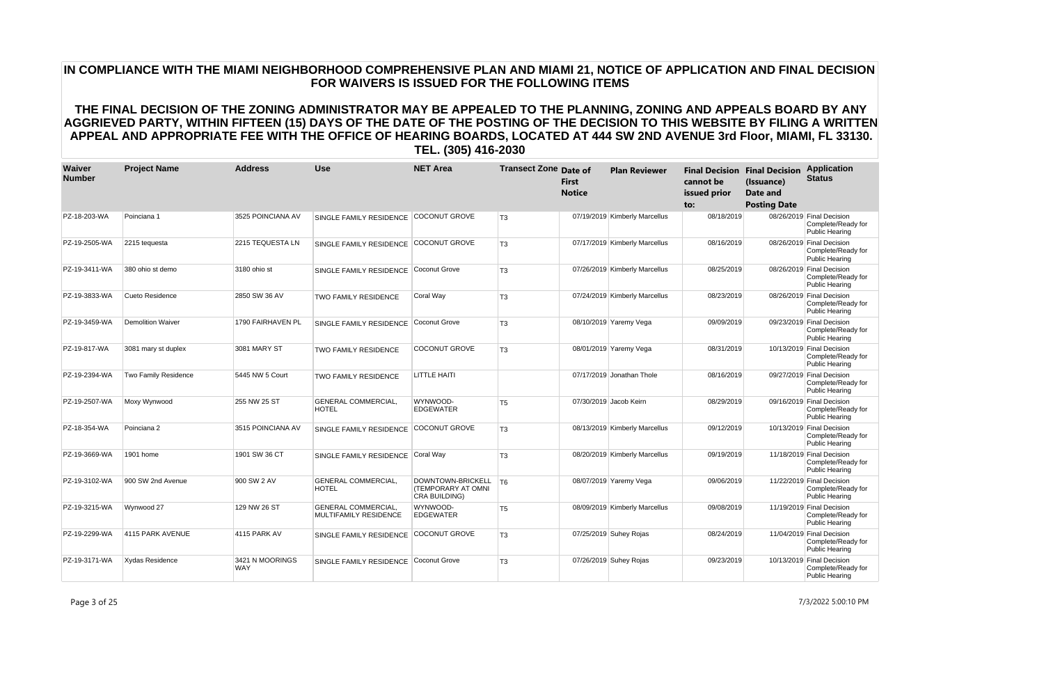| Waiver<br><b>Number</b> | <b>Project Name</b>         | <b>Address</b>                | <b>Use</b>                                          | <b>NET Area</b>                                                      | <b>Transect Zone Date of</b> | <b>First</b><br><b>Notice</b> | <b>Plan Reviewer</b>          | cannot be<br>issued prior<br>to: | <b>Final Decision Final Decision</b><br>(Issuance)<br>Date and<br><b>Posting Date</b> | <b>Application</b><br><b>Status</b>                                      |
|-------------------------|-----------------------------|-------------------------------|-----------------------------------------------------|----------------------------------------------------------------------|------------------------------|-------------------------------|-------------------------------|----------------------------------|---------------------------------------------------------------------------------------|--------------------------------------------------------------------------|
| PZ-18-203-WA            | Poinciana 1                 | 3525 POINCIANA AV             | SINGLE FAMILY RESIDENCE                             | <b>COCONUT GROVE</b>                                                 | T <sub>3</sub>               |                               | 07/19/2019 Kimberly Marcellus | 08/18/2019                       |                                                                                       | 08/26/2019 Final Decision<br>Complete/Ready for<br><b>Public Hearing</b> |
| PZ-19-2505-WA           | 2215 tequesta               | 2215 TEQUESTA LN              | <b>SINGLE FAMILY RESIDENCE</b>                      | <b>COCONUT GROVE</b>                                                 | T <sub>3</sub>               |                               | 07/17/2019 Kimberly Marcellus | 08/16/2019                       |                                                                                       | 08/26/2019 Final Decision<br>Complete/Ready for<br><b>Public Hearing</b> |
| PZ-19-3411-WA           | 380 ohio st demo            | 3180 ohio st                  | SINGLE FAMILY RESIDENCE                             | Coconut Grove                                                        | T <sub>3</sub>               |                               | 07/26/2019 Kimberly Marcellus | 08/25/2019                       |                                                                                       | 08/26/2019 Final Decision<br>Complete/Ready for<br><b>Public Hearing</b> |
| PZ-19-3833-WA           | Cueto Residence             | 2850 SW 36 AV                 | TWO FAMILY RESIDENCE                                | Coral Way                                                            | T <sub>3</sub>               |                               | 07/24/2019 Kimberly Marcellus | 08/23/2019                       |                                                                                       | 08/26/2019 Final Decision<br>Complete/Ready for<br><b>Public Hearing</b> |
| PZ-19-3459-WA           | Demolition Waiver           | 1790 FAIRHAVEN PL             | SINGLE FAMILY RESIDENCE                             | Coconut Grove                                                        | T <sub>3</sub>               |                               | 08/10/2019 Yaremy Vega        | 09/09/2019                       |                                                                                       | 09/23/2019 Final Decision<br>Complete/Ready for<br><b>Public Hearing</b> |
| PZ-19-817-WA            | 3081 mary st duplex         | 3081 MARY ST                  | <b>TWO FAMILY RESIDENCE</b>                         | <b>COCONUT GROVE</b>                                                 | T <sub>3</sub>               |                               | 08/01/2019 Yaremy Vega        | 08/31/2019                       |                                                                                       | 10/13/2019 Final Decision<br>Complete/Ready for<br><b>Public Hearing</b> |
| PZ-19-2394-WA           | <b>Two Family Residence</b> | 5445 NW 5 Court               | <b>TWO FAMILY RESIDENCE</b>                         | <b>LITTLE HAITI</b>                                                  |                              |                               | 07/17/2019 Jonathan Thole     | 08/16/2019                       |                                                                                       | 09/27/2019 Final Decision<br>Complete/Ready for<br><b>Public Hearing</b> |
| PZ-19-2507-WA           | Moxy Wynwood                | 255 NW 25 ST                  | <b>GENERAL COMMERCIAL,</b><br><b>HOTEL</b>          | WYNWOOD-<br><b>EDGEWATER</b>                                         | T <sub>5</sub>               |                               | 07/30/2019 Jacob Keirn        | 08/29/2019                       |                                                                                       | 09/16/2019 Final Decision<br>Complete/Ready for<br><b>Public Hearing</b> |
| PZ-18-354-WA            | Poinciana 2                 | 3515 POINCIANA AV             | SINGLE FAMILY RESIDENCE                             | COCONUT GROVE                                                        | T <sub>3</sub>               |                               | 08/13/2019 Kimberly Marcellus | 09/12/2019                       |                                                                                       | 10/13/2019 Final Decision<br>Complete/Ready for<br>Public Hearing        |
| PZ-19-3669-WA           | 1901 home                   | 1901 SW 36 CT                 | SINGLE FAMILY RESIDENCE                             | Coral Way                                                            | T <sub>3</sub>               |                               | 08/20/2019 Kimberly Marcellus | 09/19/2019                       |                                                                                       | 11/18/2019 Final Decision<br>Complete/Ready for<br>Public Hearing        |
| PZ-19-3102-WA           | 900 SW 2nd Avenue           | 900 SW 2 AV                   | <b>GENERAL COMMERCIAL</b><br><b>HOTEL</b>           | DOWNTOWN-BRICKELL   T6<br><b>(TEMPORARY AT OMNI</b><br>CRA BUILDING) |                              |                               | 08/07/2019 Yaremy Vega        | 09/06/2019                       |                                                                                       | 11/22/2019 Final Decision<br>Complete/Ready for<br><b>Public Hearing</b> |
| PZ-19-3215-WA           | Wynwood 27                  | 129 NW 26 ST                  | <b>GENERAL COMMERCIAL,</b><br>MULTIFAMILY RESIDENCE | WYNWOOD-<br>EDGEWATER                                                | T <sub>5</sub>               |                               | 08/09/2019 Kimberly Marcellus | 09/08/2019                       |                                                                                       | 11/19/2019 Final Decision<br>Complete/Ready for<br><b>Public Hearing</b> |
| PZ-19-2299-WA           | 4115 PARK AVENUE            | 4115 PARK AV                  | SINGLE FAMILY RESIDENCE                             | <b>COCONUT GROVE</b>                                                 | T <sub>3</sub>               |                               | 07/25/2019 Suhey Rojas        | 08/24/2019                       |                                                                                       | 11/04/2019 Final Decision<br>Complete/Ready for<br><b>Public Hearing</b> |
| PZ-19-3171-WA           | Xydas Residence             | 3421 N MOORINGS<br><b>WAY</b> | SINGLE FAMILY RESIDENCE                             | Coconut Grove                                                        | T <sub>3</sub>               |                               | 07/26/2019 Suhey Rojas        | 09/23/2019                       |                                                                                       | 10/13/2019 Final Decision<br>Complete/Ready for<br><b>Public Hearing</b> |

Page 3 of 25 7/3/2022 5:00:10 PM

# **IN COMPLIANCE WITH THE MIAMI NEIGHBORHOOD COMPREHENSIVE PLAN AND MIAMI 21, NOTICE OF APPLICATION AND FINAL DECISION FOR WAIVERS IS ISSUED FOR THE FOLLOWING ITEMS**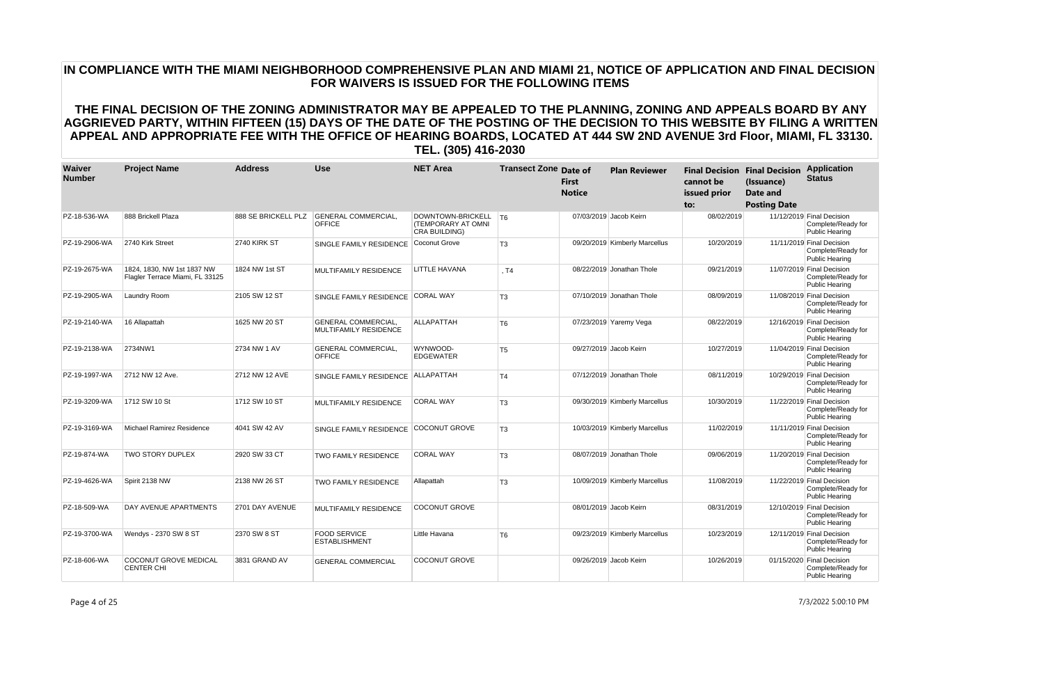| Waiver<br><b>Number</b> | <b>Project Name</b>                                           | <b>Address</b>      | <b>Use</b>                                                 | <b>NET Area</b>                                               | <b>Transect Zone Date of</b> | <b>First</b><br><b>Notice</b> | <b>Plan Reviewer</b>          | cannot be<br>issued prior<br>to: | <b>Final Decision Final Decision</b><br>(Issuance)<br><b>Date and</b><br><b>Posting Date</b> | <b>Application</b><br><b>Status</b>                                      |
|-------------------------|---------------------------------------------------------------|---------------------|------------------------------------------------------------|---------------------------------------------------------------|------------------------------|-------------------------------|-------------------------------|----------------------------------|----------------------------------------------------------------------------------------------|--------------------------------------------------------------------------|
| PZ-18-536-WA            | 888 Brickell Plaza                                            | 888 SE BRICKELL PLZ | <b>GENERAL COMMERCIAL</b><br><b>OFFICE</b>                 | DOWNTOWN-BRICKELL   T6<br>(TEMPORARY AT OMNI<br>CRA BUILDING) |                              |                               | 07/03/2019 Jacob Keirn        | 08/02/2019                       |                                                                                              | 11/12/2019 Final Decision<br>Complete/Ready for<br><b>Public Hearing</b> |
| PZ-19-2906-WA           | 2740 Kirk Street                                              | 2740 KIRK ST        | SINGLE FAMILY RESIDENCE                                    | Coconut Grove                                                 | T <sub>3</sub>               |                               | 09/20/2019 Kimberly Marcellus | 10/20/2019                       |                                                                                              | 11/11/2019 Final Decision<br>Complete/Ready for<br><b>Public Hearing</b> |
| PZ-19-2675-WA           | 1824, 1830, NW 1st 1837 NW<br>Flagler Terrace Miami, FL 33125 | 1824 NW 1st ST      | MULTIFAMILY RESIDENCE                                      | LITTLE HAVANA                                                 | .T4                          |                               | 08/22/2019 Jonathan Thole     | 09/21/2019                       |                                                                                              | 11/07/2019 Final Decision<br>Complete/Ready for<br><b>Public Hearing</b> |
| PZ-19-2905-WA           | <b>Laundry Room</b>                                           | 2105 SW 12 ST       | SINGLE FAMILY RESIDENCE                                    | <b>CORAL WAY</b>                                              | T <sub>3</sub>               |                               | 07/10/2019 Jonathan Thole     | 08/09/2019                       |                                                                                              | 11/08/2019 Final Decision<br>Complete/Ready for<br><b>Public Hearing</b> |
| PZ-19-2140-WA           | 16 Allapattah                                                 | 1625 NW 20 ST       | <b>GENERAL COMMERCIAL,</b><br><b>MULTIFAMILY RESIDENCE</b> | <b>ALLAPATTAH</b>                                             | T <sub>6</sub>               |                               | 07/23/2019 Yaremy Vega        | 08/22/2019                       |                                                                                              | 12/16/2019 Final Decision<br>Complete/Ready for<br><b>Public Hearing</b> |
| PZ-19-2138-WA           | 2734NW1                                                       | 2734 NW 1 AV        | <b>GENERAL COMMERCIAL</b><br><b>OFFICE</b>                 | WYNWOOD-<br>EDGEWATER                                         | T <sub>5</sub>               |                               | 09/27/2019 Jacob Keirn        | 10/27/2019                       |                                                                                              | 11/04/2019 Final Decision<br>Complete/Ready for<br><b>Public Hearing</b> |
| PZ-19-1997-WA           | 2712 NW 12 Ave.                                               | 2712 NW 12 AVE      | SINGLE FAMILY RESIDENCE                                    | <b>ALLAPATTAH</b>                                             | T <sub>4</sub>               |                               | 07/12/2019 Jonathan Thole     | 08/11/2019                       |                                                                                              | 10/29/2019 Final Decision<br>Complete/Ready for<br><b>Public Hearing</b> |
| PZ-19-3209-WA           | 1712 SW 10 St                                                 | 1712 SW 10 ST       | <b>MULTIFAMILY RESIDENCE</b>                               | <b>CORAL WAY</b>                                              | T <sub>3</sub>               |                               | 09/30/2019 Kimberly Marcellus | 10/30/2019                       |                                                                                              | 11/22/2019 Final Decision<br>Complete/Ready for<br><b>Public Hearing</b> |
| PZ-19-3169-WA           | Michael Ramirez Residence                                     | 4041 SW 42 AV       | SINGLE FAMILY RESIDENCE                                    | <b>COCONUT GROVE</b>                                          | T <sub>3</sub>               |                               | 10/03/2019 Kimberly Marcellus | 11/02/2019                       |                                                                                              | 11/11/2019 Final Decision<br>Complete/Ready for<br>Public Hearing        |
| PZ-19-874-WA            | <b>TWO STORY DUPLEX</b>                                       | 2920 SW 33 CT       | <b>TWO FAMILY RESIDENCE</b>                                | <b>CORAL WAY</b>                                              | T <sub>3</sub>               |                               | 08/07/2019 Jonathan Thole     | 09/06/2019                       |                                                                                              | 11/20/2019 Final Decision<br>Complete/Ready for<br><b>Public Hearing</b> |
| PZ-19-4626-WA           | Spirit 2138 NW                                                | 2138 NW 26 ST       | <b>TWO FAMILY RESIDENCE</b>                                | Allapattah                                                    | T <sub>3</sub>               |                               | 10/09/2019 Kimberly Marcellus | 11/08/2019                       |                                                                                              | 11/22/2019 Final Decision<br>Complete/Ready for<br>Public Hearing        |
| PZ-18-509-WA            | DAY AVENUE APARTMENTS                                         | 2701 DAY AVENUE     | MULTIFAMILY RESIDENCE                                      | <b>COCONUT GROVE</b>                                          |                              |                               | 08/01/2019 Jacob Keirn        | 08/31/2019                       |                                                                                              | 12/10/2019 Final Decision<br>Complete/Ready for<br><b>Public Hearing</b> |
| PZ-19-3700-WA           | Wendys - 2370 SW 8 ST                                         | 2370 SW 8 ST        | <b>FOOD SERVICE</b><br><b>ESTABLISHMENT</b>                | Little Havana                                                 | T <sub>6</sub>               |                               | 09/23/2019 Kimberly Marcellus | 10/23/2019                       |                                                                                              | 12/11/2019 Final Decision<br>Complete/Ready for<br><b>Public Hearing</b> |
| PZ-18-606-WA            | <b>COCONUT GROVE MEDICAL</b><br><b>CENTER CHI</b>             | 3831 GRAND AV       | <b>GENERAL COMMERCIAL</b>                                  | <b>COCONUT GROVE</b>                                          |                              |                               | 09/26/2019 Jacob Keirn        | 10/26/2019                       |                                                                                              | 01/15/2020 Final Decision<br>Complete/Ready for<br><b>Public Hearing</b> |

Page 4 of 25 7/3/2022 5:00:10 PM

# **IN COMPLIANCE WITH THE MIAMI NEIGHBORHOOD COMPREHENSIVE PLAN AND MIAMI 21, NOTICE OF APPLICATION AND FINAL DECISION FOR WAIVERS IS ISSUED FOR THE FOLLOWING ITEMS**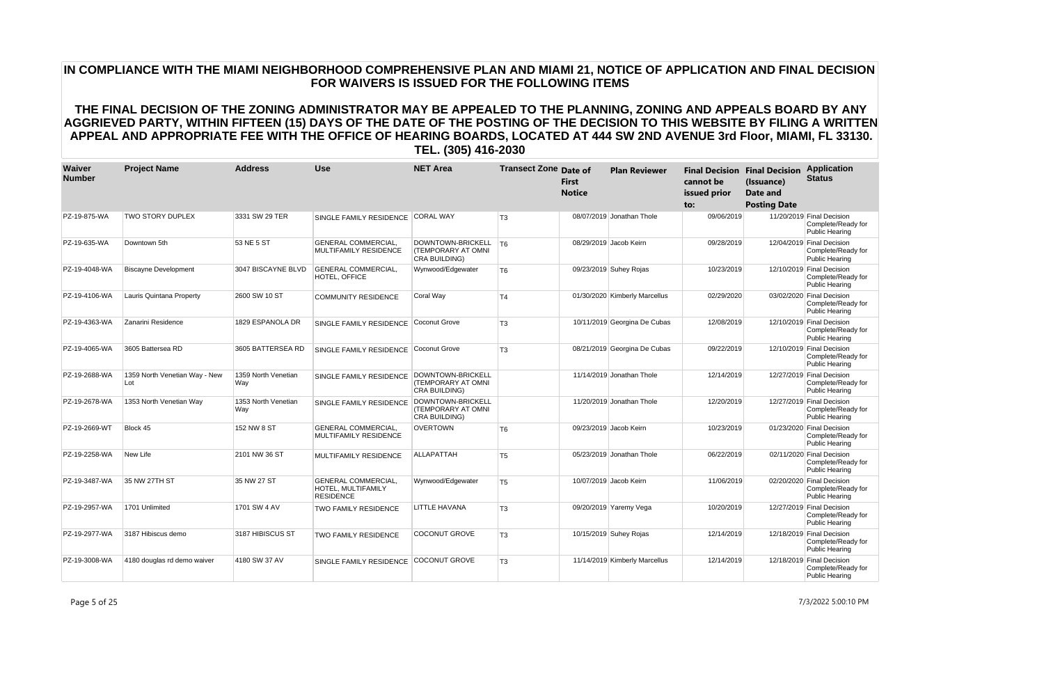| Waiver<br><b>Number</b> | <b>Project Name</b>                  | <b>Address</b>             | <b>Use</b>                                                           | <b>NET Area</b>                                                 | <b>Transect Zone Date of</b> | <b>First</b><br><b>Notice</b> | <b>Plan Reviewer</b>          | cannot be<br>issued prior<br>to: | <b>Final Decision Final Decision</b><br>(Issuance)<br>Date and<br><b>Posting Date</b> | <b>Application</b><br><b>Status</b>                                      |
|-------------------------|--------------------------------------|----------------------------|----------------------------------------------------------------------|-----------------------------------------------------------------|------------------------------|-------------------------------|-------------------------------|----------------------------------|---------------------------------------------------------------------------------------|--------------------------------------------------------------------------|
| PZ-19-875-WA            | <b>TWO STORY DUPLEX</b>              | 3331 SW 29 TER             | SINGLE FAMILY RESIDENCE                                              | <b>CORAL WAY</b>                                                | T <sub>3</sub>               |                               | 08/07/2019 Jonathan Thole     | 09/06/2019                       |                                                                                       | 11/20/2019 Final Decision<br>Complete/Ready for<br><b>Public Hearing</b> |
| PZ-19-635-WA            | Downtown 5th                         | 53 NE 5 ST                 | <b>GENERAL COMMERCIAL.</b><br>MULTIFAMILY RESIDENCE                  | DOWNTOWN-BRICKELL<br>(TEMPORARY AT OMNI<br>CRA BUILDING)        | T6                           |                               | 08/29/2019 Jacob Keirn        | 09/28/2019                       |                                                                                       | 12/04/2019 Final Decision<br>Complete/Ready for<br><b>Public Hearing</b> |
| PZ-19-4048-WA           | <b>Biscayne Development</b>          | 3047 BISCAYNE BLVD         | <b>GENERAL COMMERCIAL.</b><br>HOTEL, OFFICE                          | Wynwood/Edgewater                                               | T <sub>6</sub>               |                               | 09/23/2019 Suhey Rojas        | 10/23/2019                       |                                                                                       | 12/10/2019 Final Decision<br>Complete/Ready for<br><b>Public Hearing</b> |
| PZ-19-4106-WA           | Lauris Quintana Property             | 2600 SW 10 ST              | <b>COMMUNITY RESIDENCE</b>                                           | Coral Way                                                       | T <sub>4</sub>               |                               | 01/30/2020 Kimberly Marcellus | 02/29/2020                       |                                                                                       | 03/02/2020 Final Decision<br>Complete/Ready for<br><b>Public Hearing</b> |
| PZ-19-4363-WA           | Zanarini Residence                   | 1829 ESPANOLA DR           | SINGLE FAMILY RESIDENCE                                              | Coconut Grove                                                   | T <sub>3</sub>               |                               | 10/11/2019 Georgina De Cubas  | 12/08/2019                       |                                                                                       | 12/10/2019 Final Decision<br>Complete/Ready for<br>Public Hearing        |
| PZ-19-4065-WA           | 3605 Battersea RD                    | 3605 BATTERSEA RD          | SINGLE FAMILY RESIDENCE                                              | Coconut Grove                                                   | T <sub>3</sub>               |                               | 08/21/2019 Georgina De Cubas  | 09/22/2019                       |                                                                                       | 12/10/2019 Final Decision<br>Complete/Ready for<br><b>Public Hearing</b> |
| PZ-19-2688-WA           | 1359 North Venetian Way - New<br>Lot | 1359 North Venetian<br>Way | SINGLE FAMILY RESIDENCE                                              | DOWNTOWN-BRICKELL<br><b>(TEMPORARY AT OMNI</b><br>CRA BUILDING) |                              |                               | 11/14/2019 Jonathan Thole     | 12/14/2019                       |                                                                                       | 12/27/2019 Final Decision<br>Complete/Ready for<br><b>Public Hearing</b> |
| PZ-19-2678-WA           | 1353 North Venetian Way              | 1353 North Venetian<br>Way | SINGLE FAMILY RESIDENCE                                              | DOWNTOWN-BRICKELL<br><b>(TEMPORARY AT OMNI</b><br>CRA BUILDING) |                              |                               | 11/20/2019 Jonathan Thole     | 12/20/2019                       |                                                                                       | 12/27/2019 Final Decision<br>Complete/Ready for<br><b>Public Hearing</b> |
| PZ-19-2669-WT           | Block 45                             | 152 NW 8 ST                | <b>GENERAL COMMERCIAL,</b><br><b>MULTIFAMILY RESIDENCE</b>           | <b>OVERTOWN</b>                                                 | T <sub>6</sub>               |                               | 09/23/2019 Jacob Keirn        | 10/23/2019                       |                                                                                       | 01/23/2020 Final Decision<br>Complete/Ready for<br><b>Public Hearing</b> |
| PZ-19-2258-WA           | New Life                             | 2101 NW 36 ST              | <b>MULTIFAMILY RESIDENCE</b>                                         | ALLAPATTAH                                                      | T <sub>5</sub>               |                               | 05/23/2019 Jonathan Thole     | 06/22/2019                       |                                                                                       | 02/11/2020 Final Decision<br>Complete/Ready for<br>Public Hearing        |
| PZ-19-3487-WA           | 35 NW 27TH ST                        | 35 NW 27 ST                | <b>GENERAL COMMERCIAL.</b><br>HOTEL, MULTIFAMILY<br><b>RESIDENCE</b> | Wynwood/Edgewater                                               | T <sub>5</sub>               |                               | 10/07/2019 Jacob Keirn        | 11/06/2019                       |                                                                                       | 02/20/2020 Final Decision<br>Complete/Ready for<br><b>Public Hearing</b> |
| PZ-19-2957-WA           | 1701 Unlimited                       | 1701 SW 4 AV               | <b>TWO FAMILY RESIDENCE</b>                                          | <b>LITTLE HAVANA</b>                                            | T <sub>3</sub>               |                               | 09/20/2019 Yaremy Vega        | 10/20/2019                       |                                                                                       | 12/27/2019 Final Decision<br>Complete/Ready for<br><b>Public Hearing</b> |
| PZ-19-2977-WA           | 3187 Hibiscus demo                   | 3187 HIBISCUS ST           | <b>TWO FAMILY RESIDENCE</b>                                          | COCONUT GROVE                                                   | T <sub>3</sub>               |                               | 10/15/2019 Suhey Rojas        | 12/14/2019                       |                                                                                       | 12/18/2019 Final Decision<br>Complete/Ready for<br><b>Public Hearing</b> |
| PZ-19-3008-WA           | 4180 douglas rd demo waiver          | 4180 SW 37 AV              | SINGLE FAMILY RESIDENCE                                              | <b>COCONUT GROVE</b>                                            | T <sub>3</sub>               |                               | 11/14/2019 Kimberly Marcellus | 12/14/2019                       |                                                                                       | 12/18/2019 Final Decision<br>Complete/Ready for<br><b>Public Hearing</b> |

Page 5 of 25 7/3/2022 5:00:10 PM

# **IN COMPLIANCE WITH THE MIAMI NEIGHBORHOOD COMPREHENSIVE PLAN AND MIAMI 21, NOTICE OF APPLICATION AND FINAL DECISION FOR WAIVERS IS ISSUED FOR THE FOLLOWING ITEMS**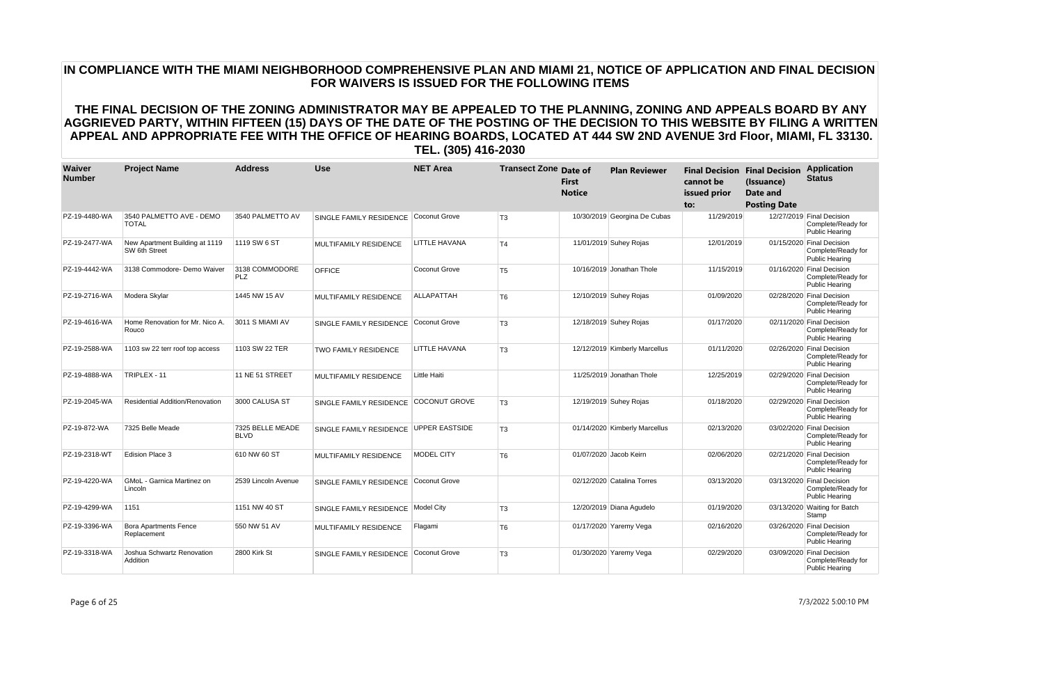| Waiver<br><b>Number</b> | <b>Project Name</b>                             | <b>Address</b>                  | <b>Use</b>                            | <b>NET Area</b>       | <b>Transect Zone Date of</b> | <b>First</b><br><b>Notice</b> | <b>Plan Reviewer</b>          | <b>Final Decision Final Decision</b><br>cannot be<br>issued prior<br>to: | (Issuance)<br>Date and<br><b>Posting Date</b> | <b>Application</b><br><b>Status</b>                                      |
|-------------------------|-------------------------------------------------|---------------------------------|---------------------------------------|-----------------------|------------------------------|-------------------------------|-------------------------------|--------------------------------------------------------------------------|-----------------------------------------------|--------------------------------------------------------------------------|
| PZ-19-4480-WA           | 3540 PALMETTO AVE - DEMO<br><b>TOTAL</b>        | 3540 PALMETTO AV                | SINGLE FAMILY RESIDENCE               | Coconut Grove         | T <sub>3</sub>               |                               | 10/30/2019 Georgina De Cubas  | 11/29/2019                                                               |                                               | 12/27/2019 Final Decision<br>Complete/Ready for<br><b>Public Hearing</b> |
| PZ-19-2477-WA           | New Apartment Building at 1119<br>SW 6th Street | 1119 SW 6 ST                    | <b>MULTIFAMILY RESIDENCE</b>          | <b>LITTLE HAVANA</b>  | T4                           |                               | 11/01/2019 Suhey Rojas        | 12/01/2019                                                               |                                               | 01/15/2020 Final Decision<br>Complete/Ready for<br><b>Public Hearing</b> |
| PZ-19-4442-WA           | 3138 Commodore- Demo Waiver                     | 3138 COMMODORE<br><b>PLZ</b>    | <b>OFFICE</b>                         | Coconut Grove         | T <sub>5</sub>               |                               | 10/16/2019 Jonathan Thole     | 11/15/2019                                                               |                                               | 01/16/2020 Final Decision<br>Complete/Ready for<br>Public Hearing        |
| PZ-19-2716-WA           | Modera Skylar                                   | 1445 NW 15 AV                   | <b>MULTIFAMILY RESIDENCE</b>          | <b>ALLAPATTAH</b>     | T <sub>6</sub>               |                               | 12/10/2019 Suhey Rojas        | 01/09/2020                                                               |                                               | 02/28/2020 Final Decision<br>Complete/Ready for<br>Public Hearing        |
| PZ-19-4616-WA           | Home Renovation for Mr. Nico A.<br>Rouco        | 3011 S MIAMI AV                 | SINGLE FAMILY RESIDENCE               | Coconut Grove         | T <sub>3</sub>               |                               | 12/18/2019 Suhey Rojas        | 01/17/2020                                                               |                                               | 02/11/2020 Final Decision<br>Complete/Ready for<br><b>Public Hearing</b> |
| PZ-19-2588-WA           | 1103 sw 22 terr roof top access                 | 1103 SW 22 TER                  | <b>TWO FAMILY RESIDENCE</b>           | LITTLE HAVANA         | T <sub>3</sub>               |                               | 12/12/2019 Kimberly Marcellus | 01/11/2020                                                               |                                               | 02/26/2020 Final Decision<br>Complete/Ready for<br><b>Public Hearing</b> |
| PZ-19-4888-WA           | TRIPLEX - 11                                    | 11 NE 51 STREET                 | <b>MULTIFAMILY RESIDENCE</b>          | Little Haiti          |                              |                               | 11/25/2019 Jonathan Thole     | 12/25/2019                                                               |                                               | 02/29/2020 Final Decision<br>Complete/Ready for<br>Public Hearing        |
| PZ-19-2045-WA           | <b>Residential Addition/Renovation</b>          | 3000 CALUSA ST                  | SINGLE FAMILY RESIDENCE               | <b>COCONUT GROVE</b>  | T <sub>3</sub>               |                               | 12/19/2019 Suhey Rojas        | 01/18/2020                                                               |                                               | 02/29/2020 Final Decision<br>Complete/Ready for<br>Public Hearing        |
| PZ-19-872-WA            | 7325 Belle Meade                                | 7325 BELLE MEADE<br><b>BLVD</b> | SINGLE FAMILY RESIDENCE               | <b>UPPER EASTSIDE</b> | T <sub>3</sub>               |                               | 01/14/2020 Kimberly Marcellus | 02/13/2020                                                               |                                               | 03/02/2020 Final Decision<br>Complete/Ready for<br><b>Public Hearing</b> |
| PZ-19-2318-WT           | Edision Place 3                                 | 610 NW 60 ST                    | <b>MULTIFAMILY RESIDENCE</b>          | MODEL CITY            | T <sub>6</sub>               |                               | 01/07/2020 Jacob Keirn        | 02/06/2020                                                               |                                               | 02/21/2020 Final Decision<br>Complete/Ready for<br><b>Public Hearing</b> |
| PZ-19-4220-WA           | <b>GMoL</b> - Garnica Martinez on<br>Lincoln    | 2539 Lincoln Avenue             | SINGLE FAMILY RESIDENCE               | Coconut Grove         |                              |                               | 02/12/2020 Catalina Torres    | 03/13/2020                                                               |                                               | 03/13/2020 Final Decision<br>Complete/Ready for<br><b>Public Hearing</b> |
| PZ-19-4299-WA           | 1151                                            | 1151 NW 40 ST                   | SINGLE FAMILY RESIDENCE               | Model City            | T <sub>3</sub>               |                               | 12/20/2019 Diana Agudelo      | 01/19/2020                                                               |                                               | 03/13/2020 Waiting for Batch<br>Stamp                                    |
| PZ-19-3396-WA           | <b>Bora Apartments Fence</b><br>Replacement     | 550 NW 51 AV                    | <b>MULTIFAMILY RESIDENCE</b>          | Flagami               | T <sub>6</sub>               |                               | 01/17/2020 Yaremy Vega        | 02/16/2020                                                               |                                               | 03/26/2020 Final Decision<br>Complete/Ready for<br><b>Public Hearing</b> |
| PZ-19-3318-WA           | Joshua Schwartz Renovation<br>Addition          | 2800 Kirk St                    | SINGLE FAMILY RESIDENCE Coconut Grove |                       | T <sub>3</sub>               |                               | 01/30/2020 Yaremy Vega        | 02/29/2020                                                               |                                               | 03/09/2020 Final Decision<br>Complete/Ready for<br><b>Public Hearing</b> |

Page 6 of 25 7/3/2022 5:00:10 PM

# **IN COMPLIANCE WITH THE MIAMI NEIGHBORHOOD COMPREHENSIVE PLAN AND MIAMI 21, NOTICE OF APPLICATION AND FINAL DECISION FOR WAIVERS IS ISSUED FOR THE FOLLOWING ITEMS**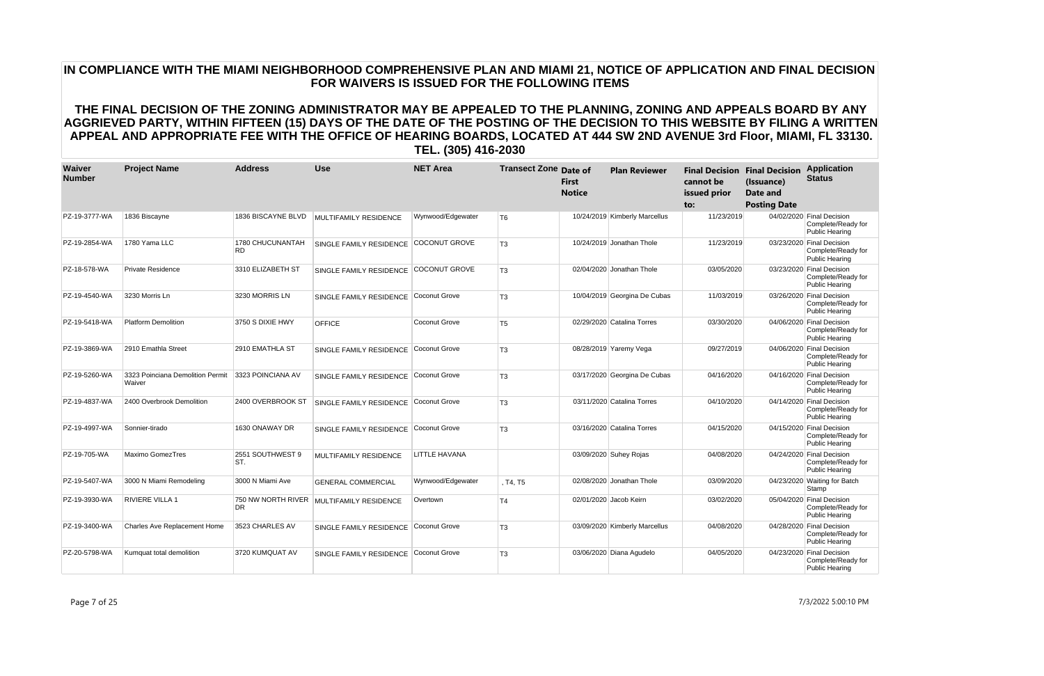| Waiver<br><b>Number</b> | <b>Project Name</b>                        | <b>Address</b>          | <b>Use</b>                               | <b>NET Area</b>      | <b>Transect Zone Date of</b> | <b>First</b><br><b>Notice</b> | <b>Plan Reviewer</b>          | cannot be<br>issued prior<br>to: | <b>Final Decision Final Decision</b><br>(Issuance)<br>Date and<br><b>Posting Date</b> | <b>Application</b><br><b>Status</b>                                      |
|-------------------------|--------------------------------------------|-------------------------|------------------------------------------|----------------------|------------------------------|-------------------------------|-------------------------------|----------------------------------|---------------------------------------------------------------------------------------|--------------------------------------------------------------------------|
| PZ-19-3777-WA           | 1836 Biscayne                              | 1836 BISCAYNE BLVD      | <b>MULTIFAMILY RESIDENCE</b>             | Wynwood/Edgewater    | T <sub>6</sub>               |                               | 10/24/2019 Kimberly Marcellus | 11/23/2019                       |                                                                                       | 04/02/2020 Final Decision<br>Complete/Ready for<br><b>Public Hearing</b> |
| PZ-19-2854-WA           | 1780 Yama LLC                              | 1780 CHUCUNANTAH<br>RD. | SINGLE FAMILY RESIDENCE                  | <b>COCONUT GROVE</b> | T <sub>3</sub>               |                               | 10/24/2019 Jonathan Thole     | 11/23/2019                       |                                                                                       | 03/23/2020 Final Decision<br>Complete/Ready for<br><b>Public Hearing</b> |
| PZ-18-578-WA            | <b>Private Residence</b>                   | 3310 ELIZABETH ST       | SINGLE FAMILY RESIDENCE                  | <b>COCONUT GROVE</b> | T <sub>3</sub>               |                               | 02/04/2020 Jonathan Thole     | 03/05/2020                       |                                                                                       | 03/23/2020 Final Decision<br>Complete/Ready for<br><b>Public Hearing</b> |
| PZ-19-4540-WA           | 3230 Morris Ln                             | 3230 MORRIS LN          | SINGLE FAMILY RESIDENCE                  | Coconut Grove        | T <sub>3</sub>               |                               | 10/04/2019 Georgina De Cubas  | 11/03/2019                       |                                                                                       | 03/26/2020 Final Decision<br>Complete/Ready for<br><b>Public Hearing</b> |
| PZ-19-5418-WA           | <b>Platform Demolition</b>                 | 3750 S DIXIE HWY        | <b>OFFICE</b>                            | Coconut Grove        | T <sub>5</sub>               |                               | 02/29/2020 Catalina Torres    | 03/30/2020                       |                                                                                       | 04/06/2020 Final Decision<br>Complete/Ready for<br><b>Public Hearing</b> |
| PZ-19-3869-WA           | 2910 Emathla Street                        | 2910 EMATHLA ST         | SINGLE FAMILY RESIDENCE                  | Coconut Grove        | T <sub>3</sub>               |                               | 08/28/2019 Yaremy Vega        | 09/27/2019                       |                                                                                       | 04/06/2020 Final Decision<br>Complete/Ready for<br><b>Public Hearing</b> |
| PZ-19-5260-WA           | 3323 Poinciana Demolition Permit<br>Waiver | 3323 POINCIANA AV       | SINGLE FAMILY RESIDENCE Coconut Grove    |                      | T <sub>3</sub>               |                               | 03/17/2020 Georgina De Cubas  | 04/16/2020                       |                                                                                       | 04/16/2020 Final Decision<br>Complete/Ready for<br><b>Public Hearing</b> |
| PZ-19-4837-WA           | 2400 Overbrook Demolition                  | 2400 OVERBROOK ST       | SINGLE FAMILY RESIDENCE                  | Coconut Grove        | T <sub>3</sub>               |                               | 03/11/2020 Catalina Torres    | 04/10/2020                       |                                                                                       | 04/14/2020 Final Decision<br>Complete/Ready for<br><b>Public Hearing</b> |
| PZ-19-4997-WA           | Sonnier-tirado                             | 1630 ONAWAY DR          | SINGLE FAMILY RESIDENCE                  | Coconut Grove        | T <sub>3</sub>               |                               | 03/16/2020 Catalina Torres    | 04/15/2020                       |                                                                                       | 04/15/2020 Final Decision<br>Complete/Ready for<br><b>Public Hearing</b> |
| PZ-19-705-WA            | <b>Maximo GomezTres</b>                    | 2551 SOUTHWEST 9<br>ST. | <b>MULTIFAMILY RESIDENCE</b>             | LITTLE HAVANA        |                              |                               | 03/09/2020 Suhey Rojas        | 04/08/2020                       |                                                                                       | 04/24/2020 Final Decision<br>Complete/Ready for<br><b>Public Hearing</b> |
| PZ-19-5407-WA           | 3000 N Miami Remodeling                    | 3000 N Miami Ave        | <b>GENERAL COMMERCIAL</b>                | Wynwood/Edgewater    | . T4. T5                     |                               | 02/08/2020 Jonathan Thole     | 03/09/2020                       |                                                                                       | 04/23/2020 Waiting for Batch<br>Stamp                                    |
| PZ-19-3930-WA           | <b>RIVIERE VILLA 1</b>                     | DR.                     | 750 NW NORTH RIVER MULTIFAMILY RESIDENCE | Overtown             | T <sub>4</sub>               |                               | 02/01/2020 Jacob Keirn        | 03/02/2020                       |                                                                                       | 05/04/2020 Final Decision<br>Complete/Ready for<br><b>Public Hearing</b> |
| PZ-19-3400-WA           | <b>Charles Ave Replacement Home</b>        | 3523 CHARLES AV         | SINGLE FAMILY RESIDENCE                  | Coconut Grove        | T <sub>3</sub>               |                               | 03/09/2020 Kimberly Marcellus | 04/08/2020                       |                                                                                       | 04/28/2020 Final Decision<br>Complete/Ready for<br><b>Public Hearing</b> |
| PZ-20-5798-WA           | Kumquat total demolition                   | 3720 KUMQUAT AV         | SINGLE FAMILY RESIDENCE                  | Coconut Grove        | T <sub>3</sub>               |                               | 03/06/2020 Diana Agudelo      | 04/05/2020                       | 04/23/2020                                                                            | <b>Final Decision</b><br>Complete/Ready for<br><b>Public Hearing</b>     |

Page 7 of 25 7/3/2022 5:00:10 PM

# **IN COMPLIANCE WITH THE MIAMI NEIGHBORHOOD COMPREHENSIVE PLAN AND MIAMI 21, NOTICE OF APPLICATION AND FINAL DECISION FOR WAIVERS IS ISSUED FOR THE FOLLOWING ITEMS**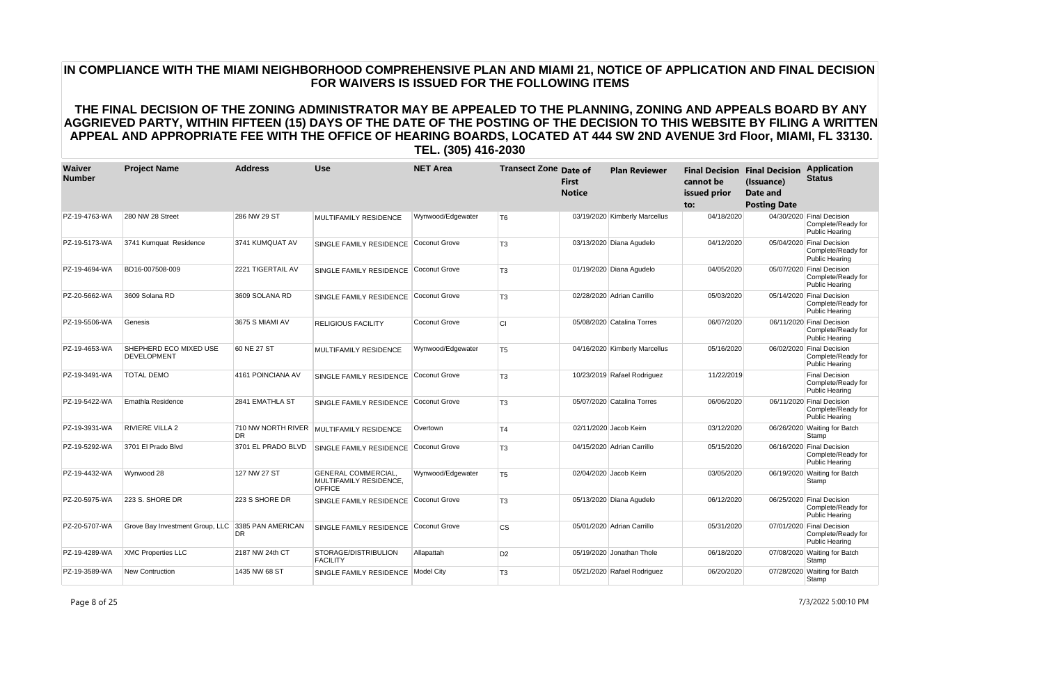| Waiver<br><b>Number</b> | <b>Project Name</b>                          | <b>Address</b>                  | <b>Use</b>                                                            | <b>NET Area</b>   | <b>Transect Zone Date of</b> | First<br><b>Notice</b> | <b>Plan Reviewer</b>          | cannot be<br>issued prior<br>to: | <b>Final Decision Final Decision</b><br>(Issuance)<br>Date and<br><b>Posting Date</b> | <b>Application</b><br><b>Status</b>                                      |
|-------------------------|----------------------------------------------|---------------------------------|-----------------------------------------------------------------------|-------------------|------------------------------|------------------------|-------------------------------|----------------------------------|---------------------------------------------------------------------------------------|--------------------------------------------------------------------------|
| PZ-19-4763-WA           | 280 NW 28 Street                             | 286 NW 29 ST                    | <b>MULTIFAMILY RESIDENCE</b>                                          | Wynwood/Edgewater | T <sub>6</sub>               |                        | 03/19/2020 Kimberly Marcellus | 04/18/2020                       |                                                                                       | 04/30/2020 Final Decision<br>Complete/Ready for<br><b>Public Hearing</b> |
| PZ-19-5173-WA           | 3741 Kumquat Residence                       | 3741 KUMQUAT AV                 | <b>SINGLE FAMILY RESIDENCE</b>                                        | Coconut Grove     | T <sub>3</sub>               |                        | 03/13/2020 Diana Agudelo      | 04/12/2020                       |                                                                                       | 05/04/2020 Final Decision<br>Complete/Ready for<br><b>Public Hearing</b> |
| PZ-19-4694-WA           | BD16-007508-009                              | 2221 TIGERTAIL AV               | SINGLE FAMILY RESIDENCE                                               | Coconut Grove     | T <sub>3</sub>               |                        | 01/19/2020 Diana Agudelo      | 04/05/2020                       |                                                                                       | 05/07/2020 Final Decision<br>Complete/Ready for<br><b>Public Hearing</b> |
| PZ-20-5662-WA           | 3609 Solana RD                               | 3609 SOLANA RD                  | SINGLE FAMILY RESIDENCE                                               | Coconut Grove     | T <sub>3</sub>               |                        | 02/28/2020 Adrian Carrillo    | 05/03/2020                       |                                                                                       | 05/14/2020 Final Decision<br>Complete/Ready for<br><b>Public Hearing</b> |
| PZ-19-5506-WA           | Genesis                                      | 3675 S MIAMI AV                 | <b>RELIGIOUS FACILITY</b>                                             | Coconut Grove     | <b>CI</b>                    |                        | 05/08/2020 Catalina Torres    | 06/07/2020                       |                                                                                       | 06/11/2020 Final Decision<br>Complete/Ready for<br><b>Public Hearing</b> |
| PZ-19-4653-WA           | SHEPHERD ECO MIXED USE<br><b>DEVELOPMENT</b> | 60 NE 27 ST                     | <b>MULTIFAMILY RESIDENCE</b>                                          | Wynwood/Edgewater | T <sub>5</sub>               |                        | 04/16/2020 Kimberly Marcellus | 05/16/2020                       |                                                                                       | 06/02/2020 Final Decision<br>Complete/Ready for<br><b>Public Hearing</b> |
| PZ-19-3491-WA           | <b>TOTAL DEMO</b>                            | 4161 POINCIANA AV               | SINGLE FAMILY RESIDENCE                                               | Coconut Grove     | T <sub>3</sub>               |                        | 10/23/2019 Rafael Rodriguez   | 11/22/2019                       |                                                                                       | <b>Final Decision</b><br>Complete/Ready for<br><b>Public Hearing</b>     |
| PZ-19-5422-WA           | Emathla Residence                            | 2841 EMATHLA ST                 | SINGLE FAMILY RESIDENCE                                               | Coconut Grove     | T <sub>3</sub>               |                        | 05/07/2020 Catalina Torres    | 06/06/2020                       |                                                                                       | 06/11/2020 Final Decision<br>Complete/Ready for<br><b>Public Hearing</b> |
| PZ-19-3931-WA           | <b>RIVIERE VILLA 2</b>                       | 710 NW NORTH RIVER<br><b>DR</b> | <b>MULTIFAMILY RESIDENCE</b>                                          | Overtown          | T <sub>4</sub>               |                        | 02/11/2020 Jacob Keirn        | 03/12/2020                       |                                                                                       | 06/26/2020 Waiting for Batch<br>Stamp                                    |
| PZ-19-5292-WA           | 3701 El Prado Blvd                           | 3701 EL PRADO BLVD              | SINGLE FAMILY RESIDENCE                                               | Coconut Grove     | T <sub>3</sub>               |                        | 04/15/2020 Adrian Carrillo    | 05/15/2020                       |                                                                                       | 06/16/2020 Final Decision<br>Complete/Ready for<br><b>Public Hearing</b> |
| PZ-19-4432-WA           | Wynwood 28                                   | 127 NW 27 ST                    | <b>GENERAL COMMERCIAL,</b><br>MULTIFAMILY RESIDENCE,<br><b>OFFICE</b> | Wynwood/Edgewater | T <sub>5</sub>               |                        | 02/04/2020 Jacob Keirn        | 03/05/2020                       |                                                                                       | 06/19/2020 Waiting for Batch<br>Stamp                                    |
| PZ-20-5975-WA           | 223 S. SHORE DR                              | 223 S SHORE DR                  | SINGLE FAMILY RESIDENCE                                               | Coconut Grove     | T <sub>3</sub>               |                        | 05/13/2020 Diana Agudelo      | 06/12/2020                       |                                                                                       | 06/25/2020 Final Decision<br>Complete/Ready for<br><b>Public Hearing</b> |
| PZ-20-5707-WA           | Grove Bay Investment Group, LLC              | 3385 PAN AMERICAN<br><b>DR</b>  | SINGLE FAMILY RESIDENCE                                               | Coconut Grove     | <b>CS</b>                    |                        | 05/01/2020 Adrian Carrillo    | 05/31/2020                       |                                                                                       | 07/01/2020 Final Decision<br>Complete/Ready for<br><b>Public Hearing</b> |
| PZ-19-4289-WA           | <b>XMC Properties LLC</b>                    | 2187 NW 24th CT                 | STORAGE/DISTRIBULION<br><b>FACILITY</b>                               | Allapattah        | D <sub>2</sub>               |                        | 05/19/2020 Jonathan Thole     | 06/18/2020                       |                                                                                       | 07/08/2020 Waiting for Batch<br>Stamp                                    |
| PZ-19-3589-WA           | <b>New Contruction</b>                       | 1435 NW 68 ST                   | SINGLE FAMILY RESIDENCE                                               | Model City        | T <sub>3</sub>               |                        | 05/21/2020 Rafael Rodriguez   | 06/20/2020                       |                                                                                       | 07/28/2020 Waiting for Batch<br>Stamp                                    |

Page 8 of 25 7/3/2022 5:00:10 PM

# **IN COMPLIANCE WITH THE MIAMI NEIGHBORHOOD COMPREHENSIVE PLAN AND MIAMI 21, NOTICE OF APPLICATION AND FINAL DECISION FOR WAIVERS IS ISSUED FOR THE FOLLOWING ITEMS**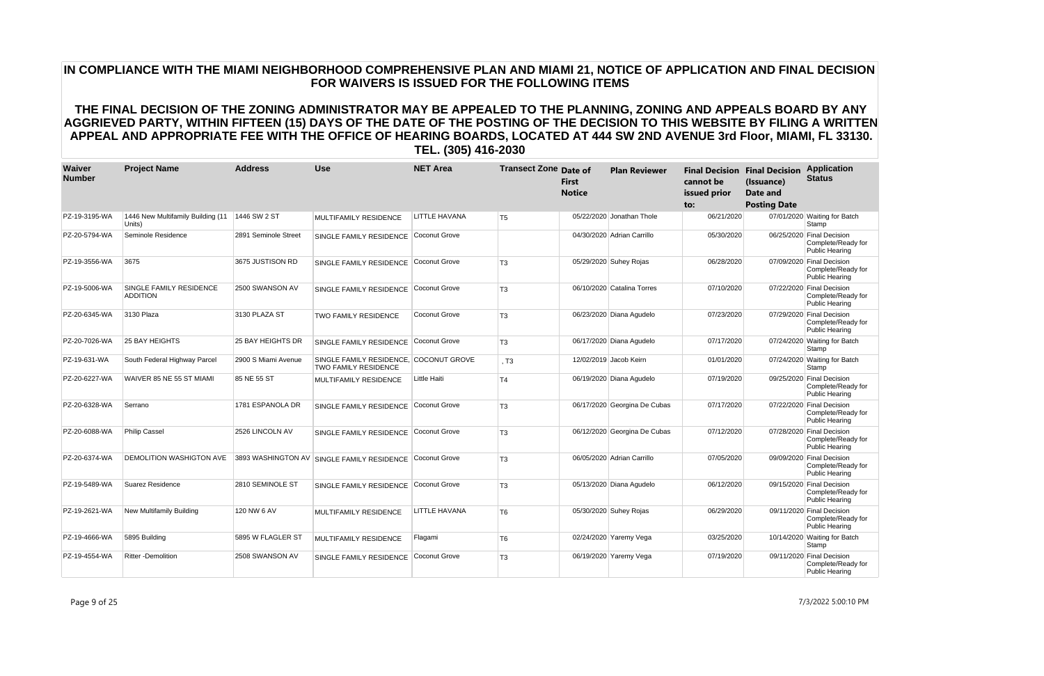| Waiver<br><b>Number</b> | <b>Project Name</b>                               | <b>Address</b>       | <b>Use</b>                                                            | <b>NET Area</b> | <b>Transect Zone Date of</b> | <b>First</b><br><b>Notice</b> | <b>Plan Reviewer</b>         | cannot be<br>issued prior<br>to: | <b>Final Decision Final Decision</b><br>(Issuance)<br>Date and<br><b>Posting Date</b> | <b>Application</b><br><b>Status</b>                                      |
|-------------------------|---------------------------------------------------|----------------------|-----------------------------------------------------------------------|-----------------|------------------------------|-------------------------------|------------------------------|----------------------------------|---------------------------------------------------------------------------------------|--------------------------------------------------------------------------|
| PZ-19-3195-WA           | 1446 New Multifamily Building (11<br>Units)       | 1446 SW 2 ST         | MULTIFAMILY RESIDENCE                                                 | LITTLE HAVANA   | T <sub>5</sub>               |                               | 05/22/2020 Jonathan Thole    | 06/21/2020                       |                                                                                       | 07/01/2020 Waiting for Batch<br>Stamp                                    |
| PZ-20-5794-WA           | Seminole Residence                                | 2891 Seminole Street | SINGLE FAMILY RESIDENCE Coconut Grove                                 |                 |                              |                               | 04/30/2020 Adrian Carrillo   | 05/30/2020                       |                                                                                       | 06/25/2020 Final Decision<br>Complete/Ready for<br><b>Public Hearing</b> |
| PZ-19-3556-WA           | 3675                                              | 3675 JUSTISON RD     | SINGLE FAMILY RESIDENCE                                               | Coconut Grove   | T <sub>3</sub>               |                               | 05/29/2020 Suhey Rojas       | 06/28/2020                       |                                                                                       | 07/09/2020 Final Decision<br>Complete/Ready for<br><b>Public Hearing</b> |
| PZ-19-5006-WA           | <b>SINGLE FAMILY RESIDENCE</b><br><b>ADDITION</b> | 2500 SWANSON AV      | SINGLE FAMILY RESIDENCE                                               | Coconut Grove   | T <sub>3</sub>               |                               | 06/10/2020 Catalina Torres   | 07/10/2020                       |                                                                                       | 07/22/2020 Final Decision<br>Complete/Ready for<br><b>Public Hearing</b> |
| PZ-20-6345-WA           | 3130 Plaza                                        | 3130 PLAZA ST        | <b>TWO FAMILY RESIDENCE</b>                                           | Coconut Grove   | T <sub>3</sub>               |                               | 06/23/2020 Diana Agudelo     | 07/23/2020                       |                                                                                       | 07/29/2020 Final Decision<br>Complete/Ready for<br><b>Public Hearing</b> |
| PZ-20-7026-WA           | <b>25 BAY HEIGHTS</b>                             | 25 BAY HEIGHTS DR    | SINGLE FAMILY RESIDENCE                                               | Coconut Grove   | T <sub>3</sub>               |                               | 06/17/2020 Diana Agudelo     | 07/17/2020                       |                                                                                       | 07/24/2020 Waiting for Batch<br>Stamp                                    |
| PZ-19-631-WA            | South Federal Highway Parcel                      | 2900 S Miami Avenue  | SINGLE FAMILY RESIDENCE, COCONUT GROVE<br><b>TWO FAMILY RESIDENCE</b> |                 | , T <sub>3</sub>             |                               | 12/02/2019 Jacob Keirn       | 01/01/2020                       |                                                                                       | 07/24/2020 Waiting for Batch<br>Stamp                                    |
| PZ-20-6227-WA           | WAIVER 85 NE 55 ST MIAMI                          | 85 NE 55 ST          | <b>MULTIFAMILY RESIDENCE</b>                                          | Little Haiti    | T <sub>4</sub>               |                               | 06/19/2020 Diana Agudelo     | 07/19/2020                       |                                                                                       | 09/25/2020 Final Decision<br>Complete/Ready for<br><b>Public Hearing</b> |
| PZ-20-6328-WA           | Serrano                                           | 1781 ESPANOLA DR     | SINGLE FAMILY RESIDENCE                                               | Coconut Grove   | T <sub>3</sub>               |                               | 06/17/2020 Georgina De Cubas | 07/17/2020                       |                                                                                       | 07/22/2020 Final Decision<br>Complete/Ready for<br><b>Public Hearing</b> |
| PZ-20-6088-WA           | <b>Philip Cassel</b>                              | 2526 LINCOLN AV      | SINGLE FAMILY RESIDENCE Coconut Grove                                 |                 | T <sub>3</sub>               |                               | 06/12/2020 Georgina De Cubas | 07/12/2020                       |                                                                                       | 07/28/2020 Final Decision<br>Complete/Ready for<br><b>Public Hearing</b> |
| PZ-20-6374-WA           | <b>DEMOLITION WASHIGTON AVE</b>                   |                      | 3893 WASHINGTON AV SINGLE FAMILY RESIDENCE                            | Coconut Grove   | T <sub>3</sub>               |                               | 06/05/2020 Adrian Carrillo   | 07/05/2020                       |                                                                                       | 09/09/2020 Final Decision<br>Complete/Ready for<br><b>Public Hearing</b> |
| PZ-19-5489-WA           | Suarez Residence                                  | 2810 SEMINOLE ST     | SINGLE FAMILY RESIDENCE                                               | Coconut Grove   | T <sub>3</sub>               |                               | 05/13/2020 Diana Agudelo     | 06/12/2020                       |                                                                                       | 09/15/2020 Final Decision<br>Complete/Ready for<br><b>Public Hearing</b> |
| PZ-19-2621-WA           | New Multifamily Building                          | 120 NW 6 AV          | MULTIFAMILY RESIDENCE                                                 | LITTLE HAVANA   | T <sub>6</sub>               |                               | 05/30/2020 Suhey Rojas       | 06/29/2020                       |                                                                                       | 09/11/2020 Final Decision<br>Complete/Ready for<br><b>Public Hearing</b> |
| PZ-19-4666-WA           | 5895 Building                                     | 5895 W FLAGLER ST    | <b>MULTIFAMILY RESIDENCE</b>                                          | Flagami         | T <sub>6</sub>               |                               | 02/24/2020 Yaremy Vega       | 03/25/2020                       |                                                                                       | 10/14/2020 Waiting for Batch<br>Stamp                                    |
| PZ-19-4554-WA           | <b>Ritter-Demolition</b>                          | 2508 SWANSON AV      | SINGLE FAMILY RESIDENCE                                               | Coconut Grove   | T <sub>3</sub>               |                               | 06/19/2020 Yaremy Vega       | 07/19/2020                       |                                                                                       | 09/11/2020 Final Decision<br>Complete/Ready for<br><b>Public Hearing</b> |

Page 9 of 25 7/3/2022 5:00:10 PM

# **IN COMPLIANCE WITH THE MIAMI NEIGHBORHOOD COMPREHENSIVE PLAN AND MIAMI 21, NOTICE OF APPLICATION AND FINAL DECISION FOR WAIVERS IS ISSUED FOR THE FOLLOWING ITEMS**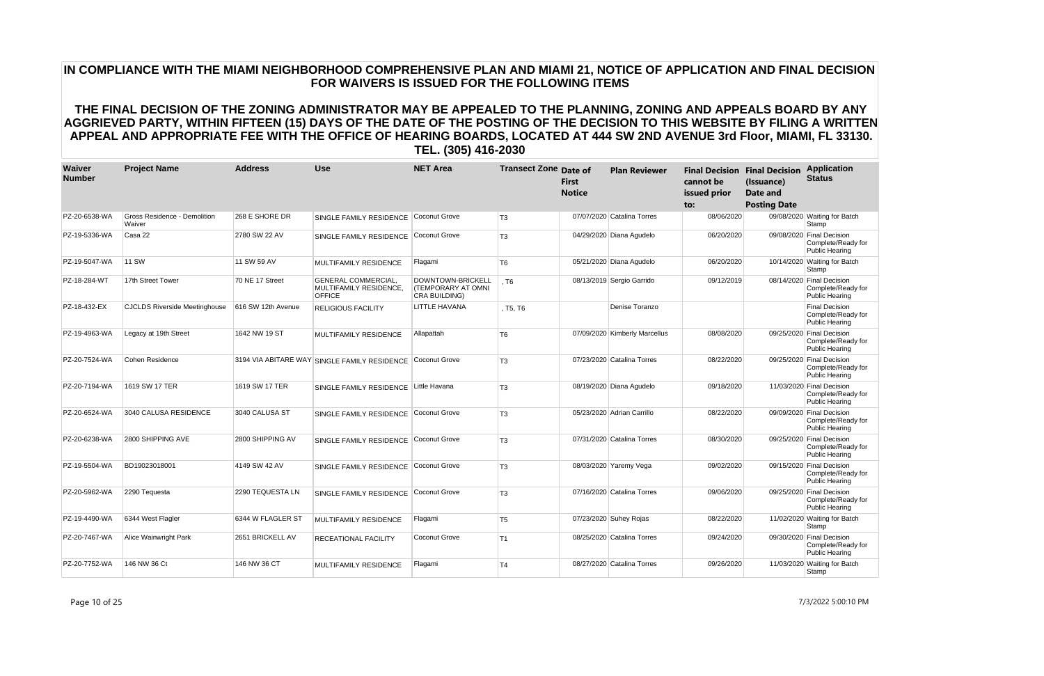| Waiver<br><b>Number</b> | <b>Project Name</b>                           | <b>Address</b>     | Use                                                                   | <b>NET Area</b>                                          | <b>Transect Zone Date of</b> | First<br><b>Notice</b> | <b>Plan Reviewer</b>          | <b>Final Decision Final Decision</b><br>cannot be<br>issued prior<br>to: | (Issuance)<br>Date and<br><b>Posting Date</b> | <b>Application</b><br><b>Status</b>                                      |
|-------------------------|-----------------------------------------------|--------------------|-----------------------------------------------------------------------|----------------------------------------------------------|------------------------------|------------------------|-------------------------------|--------------------------------------------------------------------------|-----------------------------------------------|--------------------------------------------------------------------------|
| PZ-20-6538-WA           | <b>Gross Residence - Demolition</b><br>Waiver | 268 E SHORE DR     | SINGLE FAMILY RESIDENCE                                               | Coconut Grove                                            | T <sub>3</sub>               |                        | 07/07/2020 Catalina Torres    | 08/06/2020                                                               |                                               | 09/08/2020 Waiting for Batch<br>Stamp                                    |
| PZ-19-5336-WA           | Casa 22                                       | 2780 SW 22 AV      | SINGLE FAMILY RESIDENCE                                               | Coconut Grove                                            | T <sub>3</sub>               |                        | 04/29/2020 Diana Agudelo      | 06/20/2020                                                               |                                               | 09/08/2020 Final Decision<br>Complete/Ready for<br><b>Public Hearing</b> |
| PZ-19-5047-WA           | <b>11 SW</b>                                  | 11 SW 59 AV        | <b>MULTIFAMILY RESIDENCE</b>                                          | Flagami                                                  | T <sub>6</sub>               |                        | 05/21/2020 Diana Agudelo      | 06/20/2020                                                               |                                               | 10/14/2020 Waiting for Batch<br>Stamp                                    |
| PZ-18-284-WT            | 17th Street Tower                             | 70 NE 17 Street    | <b>GENERAL COMMERCIAL,</b><br>MULTIFAMILY RESIDENCE,<br><b>OFFICE</b> | DOWNTOWN-BRICKELL<br>(TEMPORARY AT OMNI<br>CRA BUILDING) | T6                           |                        | 08/13/2019 Sergio Garrido     | 09/12/2019                                                               |                                               | 08/14/2020 Final Decision<br>Complete/Ready for<br><b>Public Hearing</b> |
| PZ-18-432-EX            | <b>CJCLDS Riverside Meetinghouse</b>          | 616 SW 12th Avenue | <b>RELIGIOUS FACILITY</b>                                             | LITTLE HAVANA                                            | , T5, T6                     |                        | Denise Toranzo                |                                                                          |                                               | <b>Final Decision</b><br>Complete/Ready for<br><b>Public Hearing</b>     |
| PZ-19-4963-WA           | Legacy at 19th Street                         | 1642 NW 19 ST      | MULTIFAMILY RESIDENCE                                                 | Allapattah                                               | T <sub>6</sub>               |                        | 07/09/2020 Kimberly Marcellus | 08/08/2020                                                               |                                               | 09/25/2020 Final Decision<br>Complete/Ready for<br><b>Public Hearing</b> |
| PZ-20-7524-WA           | Cohen Residence                               |                    | 3194 VIA ABITARE WAY SINGLE FAMILY RESIDENCE                          | Coconut Grove                                            | T <sub>3</sub>               |                        | 07/23/2020 Catalina Torres    | 08/22/2020                                                               |                                               | 09/25/2020 Final Decision<br>Complete/Ready for<br><b>Public Hearing</b> |
| PZ-20-7194-WA           | 1619 SW 17 TER                                | 1619 SW 17 TER     | SINGLE FAMILY RESIDENCE                                               | Little Havana                                            | T <sub>3</sub>               |                        | 08/19/2020 Diana Agudelo      | 09/18/2020                                                               |                                               | 11/03/2020 Final Decision<br>Complete/Ready for<br><b>Public Hearing</b> |
| PZ-20-6524-WA           | 3040 CALUSA RESIDENCE                         | 3040 CALUSA ST     | SINGLE FAMILY RESIDENCE                                               | Coconut Grove                                            | T <sub>3</sub>               |                        | 05/23/2020 Adrian Carrillo    | 08/22/2020                                                               |                                               | 09/09/2020 Final Decision<br>Complete/Ready for<br><b>Public Hearing</b> |
| PZ-20-6238-WA           | 2800 SHIPPING AVE                             | 2800 SHIPPING AV   | SINGLE FAMILY RESIDENCE                                               | Coconut Grove                                            | T <sub>3</sub>               |                        | 07/31/2020 Catalina Torres    | 08/30/2020                                                               |                                               | 09/25/2020 Final Decision<br>Complete/Ready for<br><b>Public Hearing</b> |
| PZ-19-5504-WA           | BD19023018001                                 | 4149 SW 42 AV      | SINGLE FAMILY RESIDENCE                                               | Coconut Grove                                            | T <sub>3</sub>               |                        | 08/03/2020 Yaremy Vega        | 09/02/2020                                                               |                                               | 09/15/2020 Final Decision<br>Complete/Ready for<br><b>Public Hearing</b> |
| PZ-20-5962-WA           | 2290 Tequesta                                 | 2290 TEQUESTA LN   | SINGLE FAMILY RESIDENCE                                               | Coconut Grove                                            | T <sub>3</sub>               |                        | 07/16/2020 Catalina Torres    | 09/06/2020                                                               |                                               | 09/25/2020 Final Decision<br>Complete/Ready for<br><b>Public Hearing</b> |
| PZ-19-4490-WA           | 6344 West Flagler                             | 6344 W FLAGLER ST  | <b>MULTIFAMILY RESIDENCE</b>                                          | Flagami                                                  | T <sub>5</sub>               |                        | 07/23/2020 Suhey Rojas        | 08/22/2020                                                               |                                               | 11/02/2020 Waiting for Batch<br>Stamp                                    |
| PZ-20-7467-WA           | <b>Alice Wainwright Park</b>                  | 2651 BRICKELL AV   | <b>RECEATIONAL FACILITY</b>                                           | Coconut Grove                                            | T <sub>1</sub>               |                        | 08/25/2020 Catalina Torres    | 09/24/2020                                                               |                                               | 09/30/2020 Final Decision<br>Complete/Ready for<br><b>Public Hearing</b> |
| PZ-20-7752-WA           | 146 NW 36 Ct                                  | 146 NW 36 CT       | <b>MULTIFAMILY RESIDENCE</b>                                          | Flagami                                                  | T <sub>4</sub>               |                        | 08/27/2020 Catalina Torres    | 09/26/2020                                                               |                                               | 11/03/2020 Waiting for Batch<br>Stamp                                    |

Page 10 of 25 7/3/2022 5:00:10 PM

# **IN COMPLIANCE WITH THE MIAMI NEIGHBORHOOD COMPREHENSIVE PLAN AND MIAMI 21, NOTICE OF APPLICATION AND FINAL DECISION FOR WAIVERS IS ISSUED FOR THE FOLLOWING ITEMS**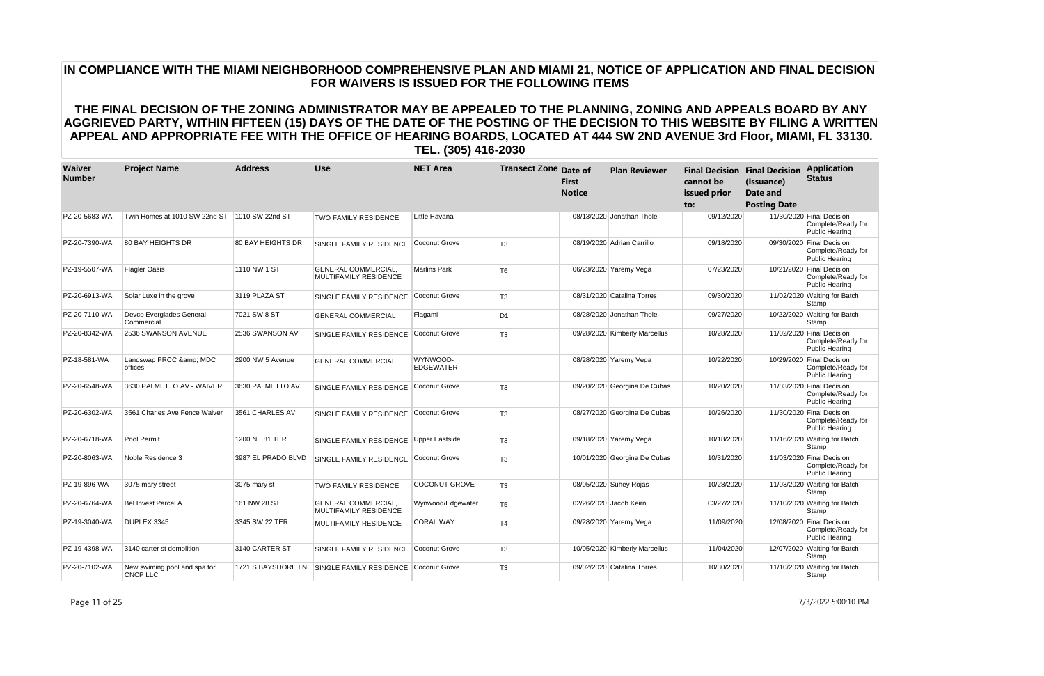| Waiver<br><b>Number</b> | <b>Project Name</b>                             | <b>Address</b>     | <b>Use</b>                                                 | <b>NET Area</b>              | <b>Transect Zone Date of</b> | <b>First</b><br><b>Notice</b> | <b>Plan Reviewer</b>          | cannot be<br>issued prior<br>to: | <b>Final Decision Final Decision</b><br>(Issuance)<br>Date and<br><b>Posting Date</b> | <b>Application</b><br><b>Status</b>                                      |
|-------------------------|-------------------------------------------------|--------------------|------------------------------------------------------------|------------------------------|------------------------------|-------------------------------|-------------------------------|----------------------------------|---------------------------------------------------------------------------------------|--------------------------------------------------------------------------|
| PZ-20-5683-WA           | Twin Homes at 1010 SW 22nd ST                   | 1010 SW 22nd ST    | <b>TWO FAMILY RESIDENCE</b>                                | Little Havana                |                              |                               | 08/13/2020 Jonathan Thole     | 09/12/2020                       |                                                                                       | 11/30/2020 Final Decision<br>Complete/Ready for<br><b>Public Hearing</b> |
| PZ-20-7390-WA           | <b>80 BAY HEIGHTS DR</b>                        | 80 BAY HEIGHTS DR  | SINGLE FAMILY RESIDENCE                                    | Coconut Grove                | T <sub>3</sub>               |                               | 08/19/2020 Adrian Carrillo    | 09/18/2020                       |                                                                                       | 09/30/2020 Final Decision<br>Complete/Ready for<br><b>Public Hearing</b> |
| PZ-19-5507-WA           | <b>Flagler Oasis</b>                            | 1110 NW 1 ST       | <b>GENERAL COMMERCIAL.</b><br><b>MULTIFAMILY RESIDENCE</b> | <b>Marlins Park</b>          | T <sub>6</sub>               |                               | 06/23/2020 Yaremy Vega        | 07/23/2020                       |                                                                                       | 10/21/2020 Final Decision<br>Complete/Ready for<br><b>Public Hearing</b> |
| PZ-20-6913-WA           | Solar Luxe in the grove                         | 3119 PLAZA ST      | SINGLE FAMILY RESIDENCE                                    | Coconut Grove                | T <sub>3</sub>               |                               | 08/31/2020 Catalina Torres    | 09/30/2020                       |                                                                                       | 11/02/2020 Waiting for Batch<br>Stamp                                    |
| PZ-20-7110-WA           | Devco Everglades General<br>Commercial          | 7021 SW 8 ST       | <b>GENERAL COMMERCIAL</b>                                  | Flagami                      | D <sub>1</sub>               |                               | 08/28/2020 Jonathan Thole     | 09/27/2020                       |                                                                                       | 10/22/2020 Waiting for Batch<br>Stamp                                    |
| PZ-20-8342-WA           | 2536 SWANSON AVENUE                             | 2536 SWANSON AV    | SINGLE FAMILY RESIDENCE                                    | Coconut Grove                | T <sub>3</sub>               |                               | 09/28/2020 Kimberly Marcellus | 10/28/2020                       |                                                                                       | 11/02/2020 Final Decision<br>Complete/Ready for<br><b>Public Hearing</b> |
| PZ-18-581-WA            | Landswap PRCC & MDC<br>offices                  | 2900 NW 5 Avenue   | <b>GENERAL COMMERCIAL</b>                                  | WYNWOOD-<br><b>EDGEWATER</b> |                              |                               | 08/28/2020 Yaremy Vega        | 10/22/2020                       |                                                                                       | 10/29/2020 Final Decision<br>Complete/Ready for<br><b>Public Hearing</b> |
| PZ-20-6548-WA           | 3630 PALMETTO AV - WAIVER                       | 3630 PALMETTO AV   | SINGLE FAMILY RESIDENCE                                    | Coconut Grove                | T <sub>3</sub>               |                               | 09/20/2020 Georgina De Cubas  | 10/20/2020                       |                                                                                       | 11/03/2020 Final Decision<br>Complete/Ready for<br><b>Public Hearing</b> |
| PZ-20-6302-WA           | 3561 Charles Ave Fence Waiver                   | 3561 CHARLES AV    | SINGLE FAMILY RESIDENCE                                    | Coconut Grove                | T <sub>3</sub>               |                               | 08/27/2020 Georgina De Cubas  | 10/26/2020                       |                                                                                       | 11/30/2020 Final Decision<br>Complete/Ready for<br><b>Public Hearing</b> |
| PZ-20-6718-WA           | Pool Permit                                     | 1200 NE 81 TER     | SINGLE FAMILY RESIDENCE Upper Eastside                     |                              | T <sub>3</sub>               |                               | 09/18/2020 Yaremy Vega        | 10/18/2020                       |                                                                                       | 11/16/2020 Waiting for Batch<br>Stamp                                    |
| PZ-20-8063-WA           | Noble Residence 3                               | 3987 EL PRADO BLVD | SINGLE FAMILY RESIDENCE                                    | Coconut Grove                | T <sub>3</sub>               |                               | 10/01/2020 Georgina De Cubas  | 10/31/2020                       |                                                                                       | 11/03/2020 Final Decision<br>Complete/Ready for<br><b>Public Hearing</b> |
| PZ-19-896-WA            | 3075 mary street                                | 3075 mary st       | <b>TWO FAMILY RESIDENCE</b>                                | <b>COCONUT GROVE</b>         | T <sub>3</sub>               |                               | 08/05/2020 Suhey Rojas        | 10/28/2020                       |                                                                                       | 11/03/2020 Waiting for Batch<br>Stamp                                    |
| PZ-20-6764-WA           | Bel Invest Parcel A                             | 161 NW 28 ST       | <b>GENERAL COMMERCIAL,</b><br>MULTIFAMILY RESIDENCE        | Wynwood/Edgewater            | T <sub>5</sub>               |                               | 02/26/2020 Jacob Keirn        | 03/27/2020                       |                                                                                       | 11/10/2020 Waiting for Batch<br>Stamp                                    |
| PZ-19-3040-WA           | DUPLEX 3345                                     | 3345 SW 22 TER     | MULTIFAMILY RESIDENCE                                      | CORAL WAY                    | T <sub>4</sub>               |                               | 09/28/2020 Yaremy Vega        | 11/09/2020                       |                                                                                       | 12/08/2020 Final Decision<br>Complete/Ready for<br><b>Public Hearing</b> |
| PZ-19-4398-WA           | 3140 carter st demolition                       | 3140 CARTER ST     | SINGLE FAMILY RESIDENCE                                    | Coconut Grove                | T <sub>3</sub>               |                               | 10/05/2020 Kimberly Marcellus | 11/04/2020                       |                                                                                       | 12/07/2020 Waiting for Batch<br>Stamp                                    |
| PZ-20-7102-WA           | New swiming pool and spa for<br><b>CNCP LLC</b> | 1721 S BAYSHORE LN | SINGLE FAMILY RESIDENCE                                    | <b>Coconut Grove</b>         | T <sub>3</sub>               |                               | 09/02/2020 Catalina Torres    | 10/30/2020                       |                                                                                       | 11/10/2020 Waiting for Batch<br>Stamp                                    |

Page 11 of 25 7/3/2022 5:00:10 PM

# **IN COMPLIANCE WITH THE MIAMI NEIGHBORHOOD COMPREHENSIVE PLAN AND MIAMI 21, NOTICE OF APPLICATION AND FINAL DECISION FOR WAIVERS IS ISSUED FOR THE FOLLOWING ITEMS**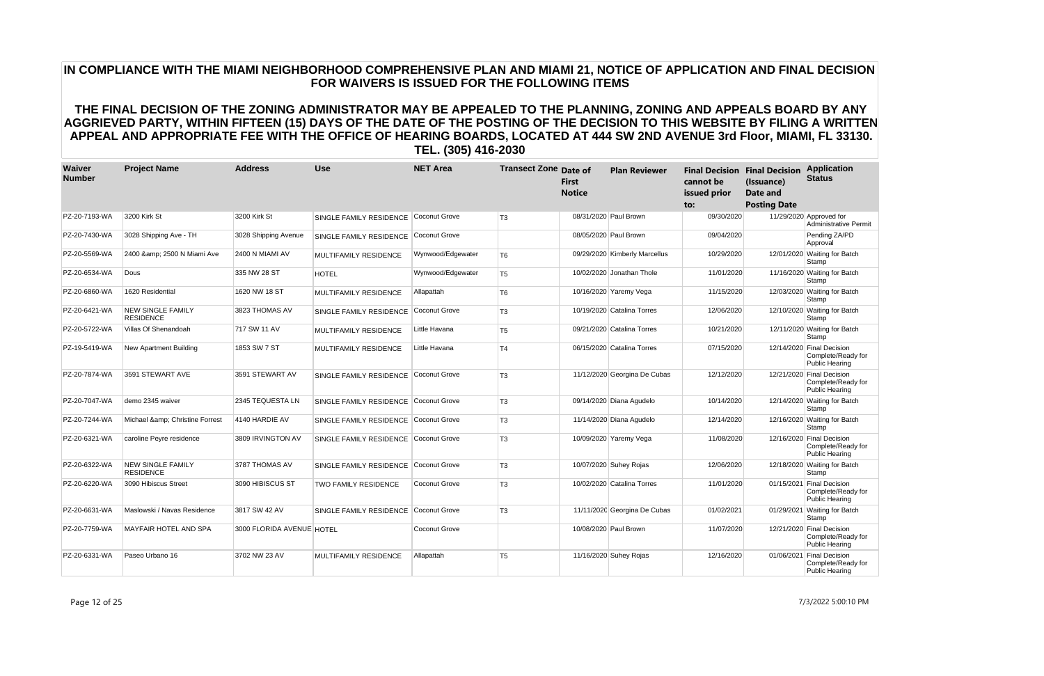| Waiver<br><b>Number</b> | <b>Project Name</b>                          | <b>Address</b>            | <b>Use</b>                   | <b>NET Area</b>      | <b>Transect Zone Date of</b> | <b>First</b><br><b>Notice</b> | <b>Plan Reviewer</b>          | cannot be<br>issued prior<br>to: | <b>Final Decision Final Decision</b><br>(Issuance)<br><b>Date and</b><br><b>Posting Date</b> | <b>Application</b><br><b>Status</b>                                      |
|-------------------------|----------------------------------------------|---------------------------|------------------------------|----------------------|------------------------------|-------------------------------|-------------------------------|----------------------------------|----------------------------------------------------------------------------------------------|--------------------------------------------------------------------------|
| PZ-20-7193-WA           | 3200 Kirk St                                 | 3200 Kirk St              | SINGLE FAMILY RESIDENCE      | Coconut Grove        | T <sub>3</sub>               |                               | 08/31/2020 Paul Brown         | 09/30/2020                       |                                                                                              | 11/29/2020 Approved for<br><b>Administrative Permit</b>                  |
| PZ-20-7430-WA           | 3028 Shipping Ave - TH                       | 3028 Shipping Avenue      | SINGLE FAMILY RESIDENCE      | Coconut Grove        |                              |                               | 08/05/2020 Paul Brown         | 09/04/2020                       |                                                                                              | Pending ZA/PD<br>Approval                                                |
| PZ-20-5569-WA           | 2400 & 2500 N Miami Ave                      | 2400 N MIAMI AV           | MULTIFAMILY RESIDENCE        | Wynwood/Edgewater    | T <sub>6</sub>               |                               | 09/29/2020 Kimberly Marcellus | 10/29/2020                       |                                                                                              | 12/01/2020 Waiting for Batch<br>Stamp                                    |
| PZ-20-6534-WA           | Dous                                         | 335 NW 28 ST              | <b>HOTEL</b>                 | Wynwood/Edgewater    | T <sub>5</sub>               |                               | 10/02/2020 Jonathan Thole     | 11/01/2020                       |                                                                                              | 11/16/2020 Waiting for Batch<br>Stamp                                    |
| PZ-20-6860-WA           | 1620 Residential                             | 1620 NW 18 ST             | <b>MULTIFAMILY RESIDENCE</b> | Allapattah           | T <sub>6</sub>               |                               | 10/16/2020 Yaremy Vega        | 11/15/2020                       |                                                                                              | 12/03/2020 Waiting for Batch<br>Stamp                                    |
| PZ-20-6421-WA           | <b>NEW SINGLE FAMILY</b><br><b>RESIDENCE</b> | 3823 THOMAS AV            | SINGLE FAMILY RESIDENCE      | Coconut Grove        | T <sub>3</sub>               |                               | 10/19/2020 Catalina Torres    | 12/06/2020                       |                                                                                              | 12/10/2020 Waiting for Batch<br>Stamp                                    |
| PZ-20-5722-WA           | Villas Of Shenandoah                         | 717 SW 11 AV              | MULTIFAMILY RESIDENCE        | Little Havana        | T <sub>5</sub>               |                               | 09/21/2020 Catalina Torres    | 10/21/2020                       |                                                                                              | 12/11/2020 Waiting for Batch<br>Stamp                                    |
| PZ-19-5419-WA           | New Apartment Building                       | 1853 SW 7 ST              | <b>MULTIFAMILY RESIDENCE</b> | Little Havana        | T <sub>4</sub>               |                               | 06/15/2020 Catalina Torres    | 07/15/2020                       |                                                                                              | 12/14/2020 Final Decision<br>Complete/Ready for<br>Public Hearing        |
| PZ-20-7874-WA           | 3591 STEWART AVE                             | 3591 STEWART AV           | SINGLE FAMILY RESIDENCE      | Coconut Grove        | T <sub>3</sub>               |                               | 11/12/2020 Georgina De Cubas  | 12/12/2020                       |                                                                                              | 12/21/2020 Final Decision<br>Complete/Ready for<br><b>Public Hearing</b> |
| PZ-20-7047-WA           | demo 2345 waiver                             | 2345 TEQUESTA LN          | SINGLE FAMILY RESIDENCE      | Coconut Grove        | T <sub>3</sub>               |                               | 09/14/2020 Diana Agudelo      | 10/14/2020                       |                                                                                              | 12/14/2020 Waiting for Batch<br>Stamp                                    |
| PZ-20-7244-WA           | Michael & amp; Christine Forrest             | 4140 HARDIE AV            | SINGLE FAMILY RESIDENCE      | Coconut Grove        | T <sub>3</sub>               |                               | 11/14/2020 Diana Agudelo      | 12/14/2020                       |                                                                                              | 12/16/2020 Waiting for Batch<br>Stamp                                    |
| PZ-20-6321-WA           | caroline Peyre residence                     | 3809 IRVINGTON AV         | SINGLE FAMILY RESIDENCE      | Coconut Grove        | T <sub>3</sub>               |                               | 10/09/2020 Yaremy Vega        | 11/08/2020                       |                                                                                              | 12/16/2020 Final Decision<br>Complete/Ready for<br>Public Hearing        |
| PZ-20-6322-WA           | <b>NEW SINGLE FAMILY</b><br><b>RESIDENCE</b> | 3787 THOMAS AV            | SINGLE FAMILY RESIDENCE      | Coconut Grove        | T <sub>3</sub>               |                               | 10/07/2020 Suhey Rojas        | 12/06/2020                       |                                                                                              | 12/18/2020 Waiting for Batch<br>Stamp                                    |
| PZ-20-6220-WA           | 3090 Hibiscus Street                         | 3090 HIBISCUS ST          | <b>TWO FAMILY RESIDENCE</b>  | <b>Coconut Grove</b> | T <sub>3</sub>               |                               | 10/02/2020 Catalina Torres    | 11/01/2020                       | 01/15/2021                                                                                   | <b>Final Decision</b><br>Complete/Ready for<br>Public Hearing            |
| PZ-20-6631-WA           | Maslowski / Navas Residence                  | 3817 SW 42 AV             | SINGLE FAMILY RESIDENCE      | Coconut Grove        | T <sub>3</sub>               |                               | 11/11/2020 Georgina De Cubas  | 01/02/2021                       |                                                                                              | 01/29/2021 Waiting for Batch<br>Stamp                                    |
| PZ-20-7759-WA           | MAYFAIR HOTEL AND SPA                        | 3000 FLORIDA AVENUE HOTEL |                              | <b>Coconut Grove</b> |                              |                               | 10/08/2020 Paul Brown         | 11/07/2020                       |                                                                                              | 12/21/2020 Final Decision<br>Complete/Ready for<br><b>Public Hearing</b> |
| PZ-20-6331-WA           | Paseo Urbano 16                              | 3702 NW 23 AV             | <b>MULTIFAMILY RESIDENCE</b> | Allapattah           | T <sub>5</sub>               |                               | 11/16/2020 Suhey Rojas        | 12/16/2020                       | 01/06/2021                                                                                   | <b>Final Decision</b><br>Complete/Ready for<br>Public Hearing            |

Page 12 of 25 7/3/2022 5:00:10 PM

# **IN COMPLIANCE WITH THE MIAMI NEIGHBORHOOD COMPREHENSIVE PLAN AND MIAMI 21, NOTICE OF APPLICATION AND FINAL DECISION FOR WAIVERS IS ISSUED FOR THE FOLLOWING ITEMS**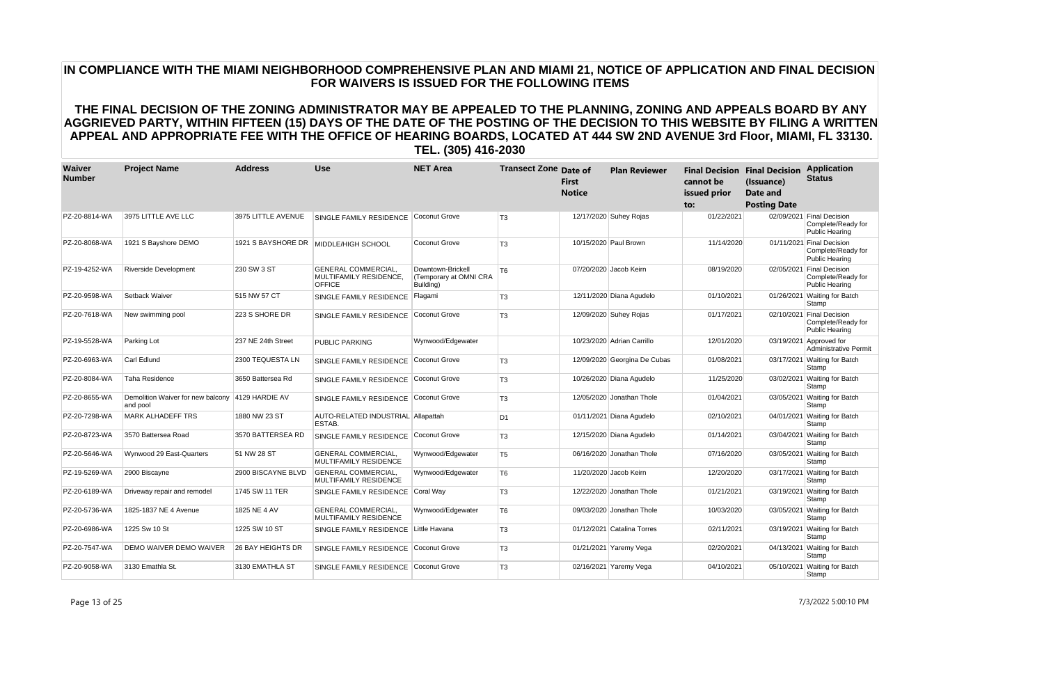| Waiver<br><b>Number</b> | <b>Project Name</b>                           | <b>Address</b>     | <b>Use</b>                                                            | <b>NET Area</b>                                          | <b>Transect Zone Date of</b> | <b>First</b><br><b>Notice</b> | <b>Plan Reviewer</b>         | cannot be<br>issued prior<br>to: | <b>Final Decision Final Decision</b><br>(Issuance)<br>Date and<br><b>Posting Date</b> | <b>Application</b><br><b>Status</b>                                      |
|-------------------------|-----------------------------------------------|--------------------|-----------------------------------------------------------------------|----------------------------------------------------------|------------------------------|-------------------------------|------------------------------|----------------------------------|---------------------------------------------------------------------------------------|--------------------------------------------------------------------------|
| PZ-20-8814-WA           | 3975 LITTLE AVE LLC                           | 3975 LITTLE AVENUE | SINGLE FAMILY RESIDENCE                                               | <b>Coconut Grove</b>                                     | T <sub>3</sub>               |                               | 12/17/2020 Suhey Rojas       | 01/22/2021                       |                                                                                       | 02/09/2021 Final Decision<br>Complete/Ready for<br><b>Public Hearing</b> |
| PZ-20-8068-WA           | 1921 S Bavshore DEMO                          |                    | 1921 S BAYSHORE DR   MIDDLE/HIGH SCHOOL                               | Coconut Grove                                            | T <sub>3</sub>               |                               | 10/15/2020 Paul Brown        | 11/14/2020                       |                                                                                       | 01/11/2021 Final Decision<br>Complete/Ready for<br><b>Public Hearing</b> |
| PZ-19-4252-WA           | <b>Riverside Development</b>                  | 230 SW 3 ST        | <b>GENERAL COMMERCIAL.</b><br>MULTIFAMILY RESIDENCE,<br><b>OFFICE</b> | Downtown-Brickell<br>(Temporary at OMNI CRA<br>Building) | T <sub>6</sub>               |                               | 07/20/2020 Jacob Keirn       | 08/19/2020                       |                                                                                       | 02/05/2021 Final Decision<br>Complete/Ready for<br>Public Hearing        |
| PZ-20-9598-WA           | Setback Waiver                                | 515 NW 57 CT       | SINGLE FAMILY RESIDENCE                                               | Flagami                                                  | T <sub>3</sub>               |                               | 12/11/2020 Diana Agudelo     | 01/10/2021                       |                                                                                       | 01/26/2021 Waiting for Batch<br>Stamp                                    |
| PZ-20-7618-WA           | New swimming pool                             | 223 S SHORE DR     | SINGLE FAMILY RESIDENCE                                               | Coconut Grove                                            | T <sub>3</sub>               |                               | 12/09/2020 Suhey Rojas       | 01/17/2021                       |                                                                                       | 02/10/2021 Final Decision<br>Complete/Ready for<br>Public Hearing        |
| PZ-19-5528-WA           | Parking Lot                                   | 237 NE 24th Street | <b>PUBLIC PARKING</b>                                                 | Wynwood/Edgewater                                        |                              |                               | 10/23/2020 Adrian Carrillo   | 12/01/2020                       |                                                                                       | 03/19/2021 Approved for<br><b>Administrative Permit</b>                  |
| PZ-20-6963-WA           | Carl Edlund                                   | 2300 TEQUESTA LN   | SINGLE FAMILY RESIDENCE                                               | Coconut Grove                                            | T <sub>3</sub>               |                               | 12/09/2020 Georgina De Cubas | 01/08/2021                       |                                                                                       | 03/17/2021 Waiting for Batch<br>Stamp                                    |
| PZ-20-8084-WA           | Taha Residence                                | 3650 Battersea Rd  | SINGLE FAMILY RESIDENCE                                               | Coconut Grove                                            | T <sub>3</sub>               |                               | 10/26/2020 Diana Agudelo     | 11/25/2020                       |                                                                                       | 03/02/2021 Waiting for Batch<br>Stamp                                    |
| PZ-20-8655-WA           | Demolition Waiver for new balcony<br>and pool | 4129 HARDIE AV     | SINGLE FAMILY RESIDENCE                                               | Coconut Grove                                            | T <sub>3</sub>               |                               | 12/05/2020 Jonathan Thole    | 01/04/2021                       |                                                                                       | 03/05/2021 Waiting for Batch<br>Stamp                                    |
| PZ-20-7298-WA           | <b>MARK ALHADEFF TRS</b>                      | 1880 NW 23 ST      | AUTO-RELATED INDUSTRIAL Allapattah<br>ESTAB.                          |                                                          | D <sub>1</sub>               |                               | 01/11/2021 Diana Agudelo     | 02/10/2021                       |                                                                                       | 04/01/2021 Waiting for Batch<br>Stamp                                    |
| PZ-20-8723-WA           | 3570 Battersea Road                           | 3570 BATTERSEA RD  | SINGLE FAMILY RESIDENCE                                               | Coconut Grove                                            | T <sub>3</sub>               |                               | 12/15/2020 Diana Agudelo     | 01/14/2021                       |                                                                                       | 03/04/2021 Waiting for Batch<br>Stamp                                    |
| PZ-20-5646-WA           | Wynwood 29 East-Quarters                      | 51 NW 28 ST        | <b>GENERAL COMMERCIAL,</b><br><b>MULTIFAMILY RESIDENCE</b>            | Wynwood/Edgewater                                        | T <sub>5</sub>               |                               | 06/16/2020 Jonathan Thole    | 07/16/2020                       | 03/05/2021                                                                            | <b>Waiting for Batch</b><br>Stamp                                        |
| PZ-19-5269-WA           | 2900 Biscayne                                 | 2900 BISCAYNE BLVD | <b>GENERAL COMMERCIAL.</b><br><b>MULTIFAMILY RESIDENCE</b>            | Wynwood/Edgewater                                        | T6                           |                               | 11/20/2020 Jacob Keirn       | 12/20/2020                       |                                                                                       | 03/17/2021 Waiting for Batch<br>Stamp                                    |
| PZ-20-6189-WA           | Driveway repair and remodel                   | 1745 SW 11 TER     | SINGLE FAMILY RESIDENCE                                               | Coral Way                                                | T <sub>3</sub>               |                               | 12/22/2020 Jonathan Thole    | 01/21/2021                       |                                                                                       | 03/19/2021 Waiting for Batch<br>Stamp                                    |
| PZ-20-5736-WA           | 1825-1837 NE 4 Avenue                         | 1825 NE 4 AV       | <b>GENERAL COMMERCIAL,</b><br><b>MULTIFAMILY RESIDENCE</b>            | Wynwood/Edgewater                                        | T <sub>6</sub>               |                               | 09/03/2020 Jonathan Thole    | 10/03/2020                       | 03/05/2021                                                                            | <b>Waiting for Batch</b><br>Stamp                                        |
| PZ-20-6986-WA           | 1225 Sw 10 St                                 | 1225 SW 10 ST      | SINGLE FAMILY RESIDENCE                                               | Little Havana                                            | T <sub>3</sub>               |                               | 01/12/2021 Catalina Torres   | 02/11/2021                       |                                                                                       | 03/19/2021 Waiting for Batch<br>Stamp                                    |
| PZ-20-7547-WA           | DEMO WAIVER DEMO WAIVER                       | 26 BAY HEIGHTS DR  | SINGLE FAMILY RESIDENCE                                               | Coconut Grove                                            | T <sub>3</sub>               |                               | 01/21/2021 Yaremy Vega       | 02/20/2021                       |                                                                                       | 04/13/2021 Waiting for Batch<br>Stamp                                    |
| PZ-20-9058-WA           | 3130 Emathla St.                              | 3130 EMATHLA ST    | SINGLE FAMILY RESIDENCE                                               | Coconut Grove                                            | T <sub>3</sub>               |                               | 02/16/2021 Yaremy Vega       | 04/10/2021                       |                                                                                       | 05/10/2021 Waiting for Batch<br>Stamp                                    |

Page 13 of 25 7/3/2022 5:00:10 PM

# **IN COMPLIANCE WITH THE MIAMI NEIGHBORHOOD COMPREHENSIVE PLAN AND MIAMI 21, NOTICE OF APPLICATION AND FINAL DECISION FOR WAIVERS IS ISSUED FOR THE FOLLOWING ITEMS**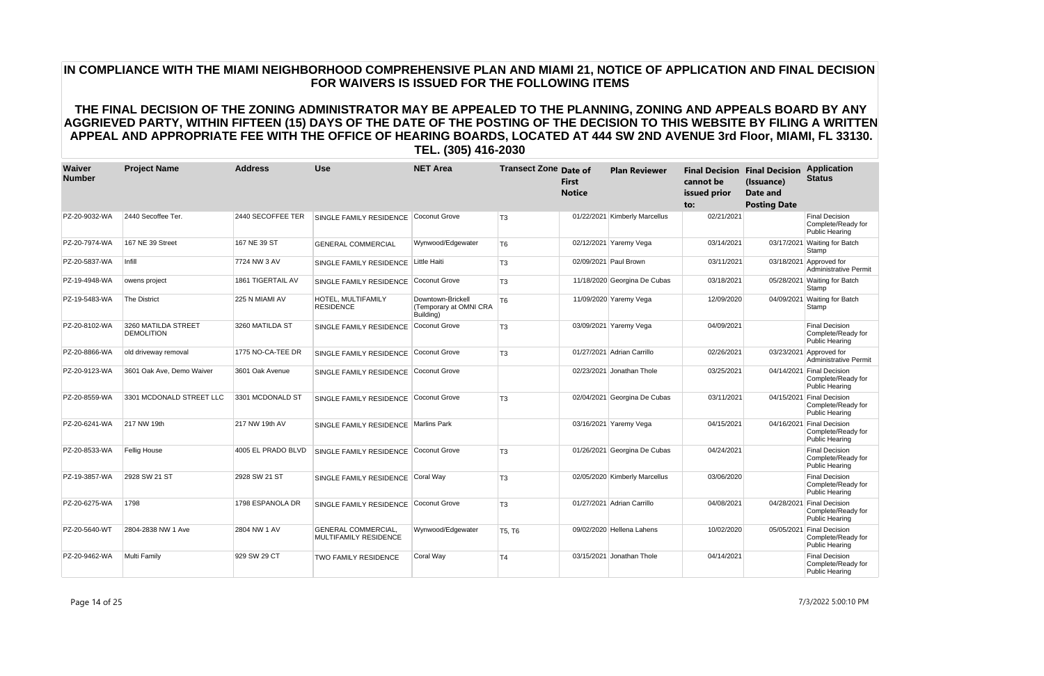| Waiver<br><b>Number</b> | <b>Project Name</b>                      | <b>Address</b>     | <b>Use</b>                                          | <b>NET Area</b>                                          | <b>Transect Zone Date of</b> | <b>First</b><br><b>Notice</b> | <b>Plan Reviewer</b>          | cannot be<br>issued prior<br>to: | <b>Final Decision Final Decision</b><br>(Issuance)<br>Date and<br><b>Posting Date</b> | <b>Application</b><br><b>Status</b>                                  |
|-------------------------|------------------------------------------|--------------------|-----------------------------------------------------|----------------------------------------------------------|------------------------------|-------------------------------|-------------------------------|----------------------------------|---------------------------------------------------------------------------------------|----------------------------------------------------------------------|
| PZ-20-9032-WA           | 2440 Secoffee Ter.                       | 2440 SECOFFEE TER  | SINGLE FAMILY RESIDENCE Coconut Grove               |                                                          | T <sub>3</sub>               |                               | 01/22/2021 Kimberly Marcellus | 02/21/2021                       |                                                                                       | Final Decision<br>Complete/Ready for<br>Public Hearing               |
| PZ-20-7974-WA           | 167 NE 39 Street                         | 167 NE 39 ST       | <b>GENERAL COMMERCIAL</b>                           | Wynwood/Edgewater                                        | T <sub>6</sub>               |                               | 02/12/2021 Yaremy Vega        | 03/14/2021                       |                                                                                       | 03/17/2021 Waiting for Batch<br>Stamp                                |
| PZ-20-5837-WA           | Infill                                   | 7724 NW 3 AV       | SINGLE FAMILY RESIDENCE                             | Little Haiti                                             | T <sub>3</sub>               |                               | 02/09/2021 Paul Brown         | 03/11/2021                       |                                                                                       | 03/18/2021 Approved for<br><b>Administrative Permit</b>              |
| PZ-19-4948-WA           | owens project                            | 1861 TIGERTAIL AV  | SINGLE FAMILY RESIDENCE Coconut Grove               |                                                          | T <sub>3</sub>               |                               | 11/18/2020 Georgina De Cubas  | 03/18/2021                       |                                                                                       | 05/28/2021 Waiting for Batch<br>Stamp                                |
| PZ-19-5483-WA           | <b>The District</b>                      | 225 N MIAMI AV     | HOTEL, MULTIFAMILY<br><b>RESIDENCE</b>              | Downtown-Brickell<br>(Temporary at OMNI CRA<br>Building) | T <sub>6</sub>               |                               | 11/09/2020 Yaremy Vega        | 12/09/2020                       |                                                                                       | 04/09/2021 Waiting for Batch<br>Stamp                                |
| PZ-20-8102-WA           | 3260 MATILDA STREET<br><b>DEMOLITION</b> | 3260 MATILDA ST    | SINGLE FAMILY RESIDENCE                             | Coconut Grove                                            | T <sub>3</sub>               |                               | 03/09/2021 Yaremy Vega        | 04/09/2021                       |                                                                                       | <b>Final Decision</b><br>Complete/Ready for<br>Public Hearing        |
| PZ-20-8866-WA           | old driveway removal                     | 1775 NO-CA-TEE DR  | SINGLE FAMILY RESIDENCE                             | Coconut Grove                                            | T <sub>3</sub>               |                               | 01/27/2021 Adrian Carrillo    | 02/26/2021                       |                                                                                       | 03/23/2021 Approved for<br><b>Administrative Permit</b>              |
| PZ-20-9123-WA           | 3601 Oak Ave, Demo Waiver                | 3601 Oak Avenue    | SINGLE FAMILY RESIDENCE                             | Coconut Grove                                            |                              |                               | 02/23/2021 Jonathan Thole     | 03/25/2021                       |                                                                                       | 04/14/2021 Final Decision<br>Complete/Ready for<br>Public Hearing    |
| PZ-20-8559-WA           | 3301 MCDONALD STREET LLC                 | 3301 MCDONALD ST   | SINGLE FAMILY RESIDENCE Coconut Grove               |                                                          | T <sub>3</sub>               |                               | 02/04/2021 Georgina De Cubas  | 03/11/2021                       |                                                                                       | 04/15/2021 Final Decision<br>Complete/Ready for<br>Public Hearing    |
| PZ-20-6241-WA           | 217 NW 19th                              | 217 NW 19th AV     | SINGLE FAMILY RESIDENCE                             | Marlins Park                                             |                              |                               | 03/16/2021 Yaremy Vega        | 04/15/2021                       |                                                                                       | 04/16/2021 Final Decision<br>Complete/Ready for<br>Public Hearing    |
| PZ-20-8533-WA           | Fellig House                             | 4005 EL PRADO BLVD | SINGLE FAMILY RESIDENCE                             | Coconut Grove                                            | T <sub>3</sub>               |                               | 01/26/2021 Georgina De Cubas  | 04/24/2021                       |                                                                                       | <b>Final Decision</b><br>Complete/Ready for<br><b>Public Hearing</b> |
| PZ-19-3857-WA           | 2928 SW 21 ST                            | 2928 SW 21 ST      | SINGLE FAMILY RESIDENCE Coral Way                   |                                                          | T <sub>3</sub>               |                               | 02/05/2020 Kimberly Marcellus | 03/06/2020                       |                                                                                       | <b>Final Decision</b><br>Complete/Ready for<br><b>Public Hearing</b> |
| PZ-20-6275-WA           | 1798                                     | 1798 ESPANOLA DR   | SINGLE FAMILY RESIDENCE                             | Coconut Grove                                            | T <sub>3</sub>               |                               | 01/27/2021 Adrian Carrillo    | 04/08/2021                       |                                                                                       | 04/28/2021 Final Decision<br>Complete/Ready for<br>Public Hearing    |
| PZ-20-5640-WT           | 2804-2838 NW 1 Ave                       | 2804 NW 1 AV       | <b>GENERAL COMMERCIAL,</b><br>MULTIFAMILY RESIDENCE | Wynwood/Edgewater                                        | T5, T6                       |                               | 09/02/2020 Hellena Lahens     | 10/02/2020                       |                                                                                       | 05/05/2021 Final Decision<br>Complete/Ready for<br>Public Hearing    |
| PZ-20-9462-WA           | Multi Family                             | 929 SW 29 CT       | <b>TWO FAMILY RESIDENCE</b>                         | Coral Way                                                | T <sub>4</sub>               |                               | 03/15/2021 Jonathan Thole     | 04/14/2021                       |                                                                                       | <b>Final Decision</b><br>Complete/Ready for<br><b>Public Hearing</b> |

Page 14 of 25 7/3/2022 5:00:10 PM

# **IN COMPLIANCE WITH THE MIAMI NEIGHBORHOOD COMPREHENSIVE PLAN AND MIAMI 21, NOTICE OF APPLICATION AND FINAL DECISION FOR WAIVERS IS ISSUED FOR THE FOLLOWING ITEMS**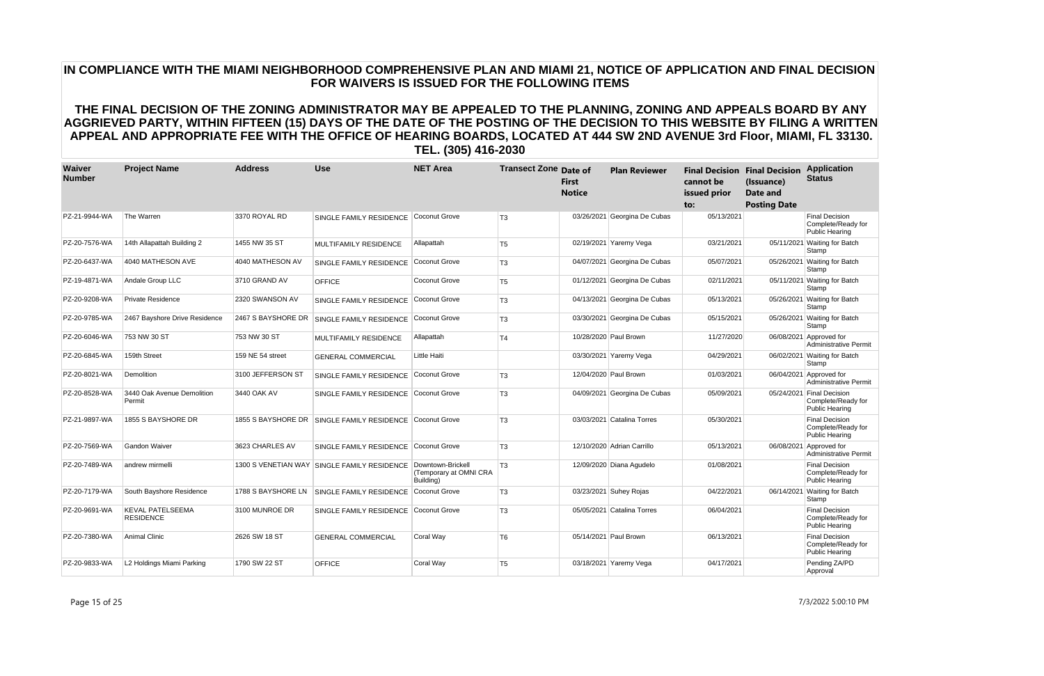| Waiver<br><b>Number</b> | <b>Project Name</b>                         | <b>Address</b>     | <b>Use</b>                                  | <b>NET Area</b>                                          | <b>Transect Zone Date of</b> | <b>First</b><br><b>Notice</b> | <b>Plan Reviewer</b>         | cannot be<br>issued prior<br>to: | <b>Final Decision Final Decision</b><br>(Issuance)<br><b>Date and</b><br><b>Posting Date</b> | <b>Application</b><br><b>Status</b>                                      |
|-------------------------|---------------------------------------------|--------------------|---------------------------------------------|----------------------------------------------------------|------------------------------|-------------------------------|------------------------------|----------------------------------|----------------------------------------------------------------------------------------------|--------------------------------------------------------------------------|
| PZ-21-9944-WA           | The Warren                                  | 3370 ROYAL RD      | SINGLE FAMILY RESIDENCE                     | Coconut Grove                                            | T <sub>3</sub>               |                               | 03/26/2021 Georgina De Cubas | 05/13/2021                       |                                                                                              | <b>Final Decision</b><br>Complete/Ready for<br><b>Public Hearing</b>     |
| PZ-20-7576-WA           | 14th Allapattah Building 2                  | 1455 NW 35 ST      | MULTIFAMILY RESIDENCE                       | Allapattah                                               | T <sub>5</sub>               |                               | 02/19/2021 Yaremy Vega       | 03/21/2021                       |                                                                                              | 05/11/2021 Waiting for Batch<br>Stamp                                    |
| PZ-20-6437-WA           | 4040 MATHESON AVE                           | 4040 MATHESON AV   | SINGLE FAMILY RESIDENCE                     | Coconut Grove                                            | T <sub>3</sub>               |                               | 04/07/2021 Georgina De Cubas | 05/07/2021                       |                                                                                              | 05/26/2021 Waiting for Batch<br>Stamp                                    |
| PZ-19-4871-WA           | Andale Group LLC                            | 3710 GRAND AV      | <b>OFFICE</b>                               | <b>Coconut Grove</b>                                     | T <sub>5</sub>               |                               | 01/12/2021 Georgina De Cubas | 02/11/2021                       |                                                                                              | 05/11/2021 Waiting for Batch<br>Stamp                                    |
| PZ-20-9208-WA           | <b>Private Residence</b>                    | 2320 SWANSON AV    | SINGLE FAMILY RESIDENCE                     | Coconut Grove                                            | T <sub>3</sub>               |                               | 04/13/2021 Georgina De Cubas | 05/13/2021                       |                                                                                              | 05/26/2021 Waiting for Batch<br>Stamp                                    |
| PZ-20-9785-WA           | 2467 Bayshore Drive Residence               | 2467 S BAYSHORE DR | SINGLE FAMILY RESIDENCE                     | Coconut Grove                                            | T <sub>3</sub>               |                               | 03/30/2021 Georgina De Cubas | 05/15/2021                       |                                                                                              | 05/26/2021 Waiting for Batch<br>Stamp                                    |
| PZ-20-6046-WA           | 753 NW 30 ST                                | 753 NW 30 ST       | <b>MULTIFAMILY RESIDENCE</b>                | Allapattah                                               | T <sub>4</sub>               |                               | 10/28/2020 Paul Brown        | 11/27/2020                       |                                                                                              | 06/08/2021 Approved for<br><b>Administrative Permit</b>                  |
| PZ-20-6845-WA           | 159th Street                                | 159 NE 54 street   | <b>GENERAL COMMERCIAL</b>                   | Little Haiti                                             |                              |                               | 03/30/2021 Yaremy Vega       | 04/29/2021                       |                                                                                              | 06/02/2021 Waiting for Batch<br>Stamp                                    |
| PZ-20-8021-WA           | Demolition                                  | 3100 JEFFERSON ST  | SINGLE FAMILY RESIDENCE                     | Coconut Grove                                            | T <sub>3</sub>               |                               | 12/04/2020 Paul Brown        | 01/03/2021                       |                                                                                              | 06/04/2021 Approved for<br><b>Administrative Permit</b>                  |
| PZ-20-8528-WA           | 3440 Oak Avenue Demolition<br>Permit        | 3440 OAK AV        | SINGLE FAMILY RESIDENCE                     | Coconut Grove                                            | T <sub>3</sub>               |                               | 04/09/2021 Georgina De Cubas | 05/09/2021                       |                                                                                              | 05/24/2021 Final Decision<br>Complete/Ready for<br><b>Public Hearing</b> |
| PZ-21-9897-WA           | 1855 S BAYSHORE DR                          | 1855 S BAYSHORE DR | SINGLE FAMILY RESIDENCE                     | Coconut Grove                                            | T <sub>3</sub>               |                               | 03/03/2021 Catalina Torres   | 05/30/2021                       |                                                                                              | <b>Final Decision</b><br>Complete/Ready for<br>Public Hearing            |
| PZ-20-7569-WA           | Gandon Waiver                               | 3623 CHARLES AV    | SINGLE FAMILY RESIDENCE                     | Coconut Grove                                            | T <sub>3</sub>               |                               | 12/10/2020 Adrian Carrillo   | 05/13/2021                       | 06/08/2021                                                                                   | Approved for<br><b>Administrative Permit</b>                             |
| PZ-20-7489-WA           | andrew mirmelli                             |                    | 1300 S VENETIAN WAY SINGLE FAMILY RESIDENCE | Downtown-Brickell<br>(Temporary at OMNI CRA<br>Building) | T <sub>3</sub>               |                               | 12/09/2020 Diana Agudelo     | 01/08/2021                       |                                                                                              | <b>Final Decision</b><br>Complete/Ready for<br>Public Hearing            |
| PZ-20-7179-WA           | South Bayshore Residence                    | 1788 S BAYSHORE LN | <b>SINGLE FAMILY RESIDENCE</b>              | Coconut Grove                                            | T <sub>3</sub>               |                               | 03/23/2021 Suhey Rojas       | 04/22/2021                       |                                                                                              | 06/14/2021 Waiting for Batch<br>Stamp                                    |
| PZ-20-9691-WA           | <b>KEVAL PATELSEEMA</b><br><b>RESIDENCE</b> | 3100 MUNROE DR     | SINGLE FAMILY RESIDENCE                     | Coconut Grove                                            | T <sub>3</sub>               |                               | 05/05/2021 Catalina Torres   | 06/04/2021                       |                                                                                              | <b>Final Decision</b><br>Complete/Ready for<br>Public Hearing            |
| PZ-20-7380-WA           | <b>Animal Clinic</b>                        | 2626 SW 18 ST      | <b>GENERAL COMMERCIAL</b>                   | Coral Way                                                | T <sub>6</sub>               |                               | 05/14/2021 Paul Brown        | 06/13/2021                       |                                                                                              | <b>Final Decision</b><br>Complete/Ready for<br><b>Public Hearing</b>     |
| PZ-20-9833-WA           | L2 Holdings Miami Parking                   | 1790 SW 22 ST      | <b>OFFICE</b>                               | Coral Way                                                | T <sub>5</sub>               |                               | 03/18/2021 Yaremy Vega       | 04/17/2021                       |                                                                                              | Pending ZA/PD<br>Approval                                                |

Page 15 of 25 7/3/2022 5:00:10 PM

# **IN COMPLIANCE WITH THE MIAMI NEIGHBORHOOD COMPREHENSIVE PLAN AND MIAMI 21, NOTICE OF APPLICATION AND FINAL DECISION FOR WAIVERS IS ISSUED FOR THE FOLLOWING ITEMS**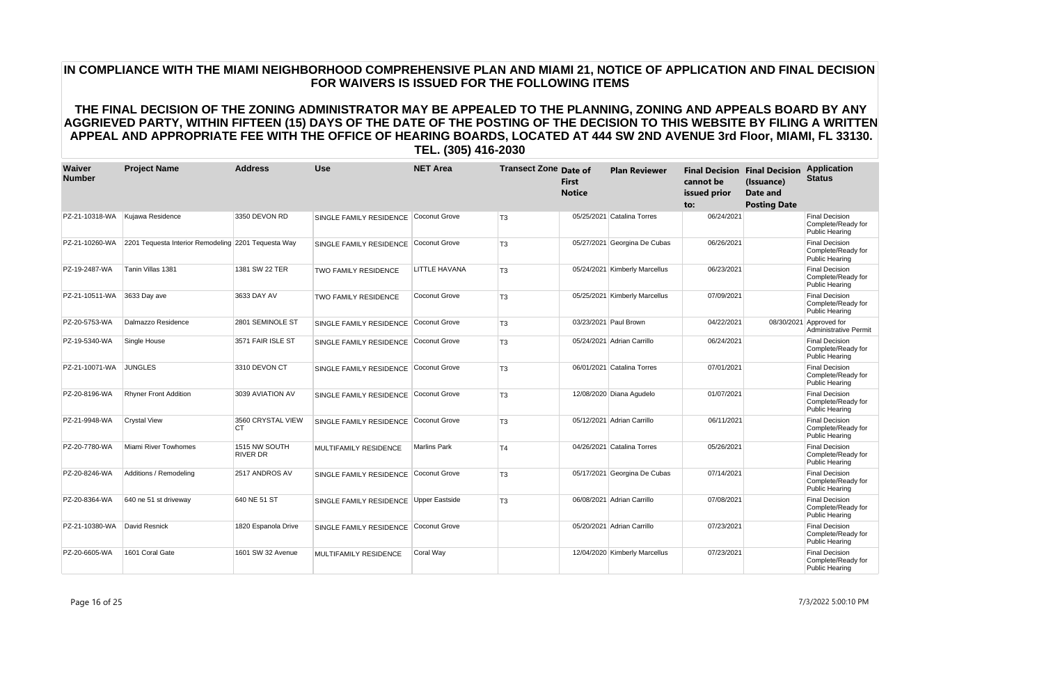| <b>Waiver</b><br><b>Number</b> | <b>Project Name</b>                                 | <b>Address</b>                 | <b>Use</b>                             | <b>NET Area</b>      | <b>Transect Zone Date of</b> | <b>First</b><br><b>Notice</b> | <b>Plan Reviewer</b>          | cannot be<br>issued prior<br>to: | <b>Final Decision Final Decision</b><br>(Issuance)<br><b>Date and</b><br><b>Posting Date</b> | <b>Application</b><br><b>Status</b>                                  |
|--------------------------------|-----------------------------------------------------|--------------------------------|----------------------------------------|----------------------|------------------------------|-------------------------------|-------------------------------|----------------------------------|----------------------------------------------------------------------------------------------|----------------------------------------------------------------------|
| PZ-21-10318-WA                 | Kujawa Residence                                    | 3350 DEVON RD                  | SINGLE FAMILY RESIDENCE                | Coconut Grove        | T <sub>3</sub>               |                               | 05/25/2021 Catalina Torres    | 06/24/2021                       |                                                                                              | <b>Final Decision</b><br>Complete/Ready for<br><b>Public Hearing</b> |
| PZ-21-10260-WA                 | 2201 Tequesta Interior Remodeling 2201 Tequesta Way |                                | SINGLE FAMILY RESIDENCE Coconut Grove  |                      | T <sub>3</sub>               |                               | 05/27/2021 Georgina De Cubas  | 06/26/2021                       |                                                                                              | <b>Final Decision</b><br>Complete/Ready for<br><b>Public Hearing</b> |
| PZ-19-2487-WA                  | Tanin Villas 1381                                   | 1381 SW 22 TER                 | <b>TWO FAMILY RESIDENCE</b>            | LITTLE HAVANA        | T <sub>3</sub>               |                               | 05/24/2021 Kimberly Marcellus | 06/23/2021                       |                                                                                              | <b>Final Decision</b><br>Complete/Ready for<br><b>Public Hearing</b> |
| PZ-21-10511-WA                 | 3633 Day ave                                        | 3633 DAY AV                    | <b>TWO FAMILY RESIDENCE</b>            | <b>Coconut Grove</b> | T <sub>3</sub>               |                               | 05/25/2021 Kimberly Marcellus | 07/09/2021                       |                                                                                              | <b>Final Decision</b><br>Complete/Ready for<br>Public Hearing        |
| PZ-20-5753-WA                  | Dalmazzo Residence                                  | 2801 SEMINOLE ST               | SINGLE FAMILY RESIDENCE                | Coconut Grove        | T <sub>3</sub>               |                               | 03/23/2021 Paul Brown         | 04/22/2021                       | 08/30/2021                                                                                   | Approved for<br><b>Administrative Permit</b>                         |
| PZ-19-5340-WA                  | Single House                                        | 3571 FAIR ISLE ST              | SINGLE FAMILY RESIDENCE                | Coconut Grove        | T <sub>3</sub>               |                               | 05/24/2021 Adrian Carrillo    | 06/24/2021                       |                                                                                              | <b>Final Decision</b><br>Complete/Ready for<br><b>Public Hearing</b> |
| PZ-21-10071-WA                 | <b>JUNGLES</b>                                      | 3310 DEVON CT                  | SINGLE FAMILY RESIDENCE                | Coconut Grove        | T <sub>3</sub>               |                               | 06/01/2021 Catalina Torres    | 07/01/2021                       |                                                                                              | <b>Final Decision</b><br>Complete/Ready for<br><b>Public Hearing</b> |
| PZ-20-8196-WA                  | <b>Rhyner Front Addition</b>                        | 3039 AVIATION AV               | SINGLE FAMILY RESIDENCE                | Coconut Grove        | T <sub>3</sub>               |                               | 12/08/2020 Diana Agudelo      | 01/07/2021                       |                                                                                              | <b>Final Decision</b><br>Complete/Ready for<br><b>Public Hearing</b> |
| PZ-21-9948-WA                  | <b>Crystal View</b>                                 | 3560 CRYSTAL VIEW<br><b>CT</b> | SINGLE FAMILY RESIDENCE Coconut Grove  |                      | T <sub>3</sub>               |                               | 05/12/2021 Adrian Carrillo    | 06/11/2021                       |                                                                                              | <b>Final Decision</b><br>Complete/Ready for<br><b>Public Hearing</b> |
| PZ-20-7780-WA                  | Miami River Towhomes                                | 1515 NW SOUTH<br>RIVER DR      | MULTIFAMILY RESIDENCE                  | <b>Marlins Park</b>  | T <sub>4</sub>               |                               | 04/26/2021 Catalina Torres    | 05/26/2021                       |                                                                                              | <b>Final Decision</b><br>Complete/Ready for<br>Public Hearing        |
| PZ-20-8246-WA                  | Additions / Remodeling                              | 2517 ANDROS AV                 | SINGLE FAMILY RESIDENCE Coconut Grove  |                      | T <sub>3</sub>               |                               | 05/17/2021 Georgina De Cubas  | 07/14/2021                       |                                                                                              | <b>Final Decision</b><br>Complete/Ready for<br><b>Public Hearing</b> |
| PZ-20-8364-WA                  | 640 ne 51 st driveway                               | 640 NE 51 ST                   | SINGLE FAMILY RESIDENCE Upper Eastside |                      | T <sub>3</sub>               |                               | 06/08/2021 Adrian Carrillo    | 07/08/2021                       |                                                                                              | <b>Final Decision</b><br>Complete/Ready for<br>Public Hearing        |
| PZ-21-10380-WA                 | David Resnick                                       | 1820 Espanola Drive            | SINGLE FAMILY RESIDENCE                | Coconut Grove        |                              |                               | 05/20/2021 Adrian Carrillo    | 07/23/2021                       |                                                                                              | <b>Final Decision</b><br>Complete/Ready for<br><b>Public Hearing</b> |
| PZ-20-6605-WA                  | 1601 Coral Gate                                     | 1601 SW 32 Avenue              | <b>MULTIFAMILY RESIDENCE</b>           | Coral Way            |                              |                               | 12/04/2020 Kimberly Marcellus | 07/23/2021                       |                                                                                              | <b>Final Decision</b><br>Complete/Ready for<br><b>Public Hearing</b> |

Page 16 of 25 7/3/2022 5:00:10 PM

# **IN COMPLIANCE WITH THE MIAMI NEIGHBORHOOD COMPREHENSIVE PLAN AND MIAMI 21, NOTICE OF APPLICATION AND FINAL DECISION FOR WAIVERS IS ISSUED FOR THE FOLLOWING ITEMS**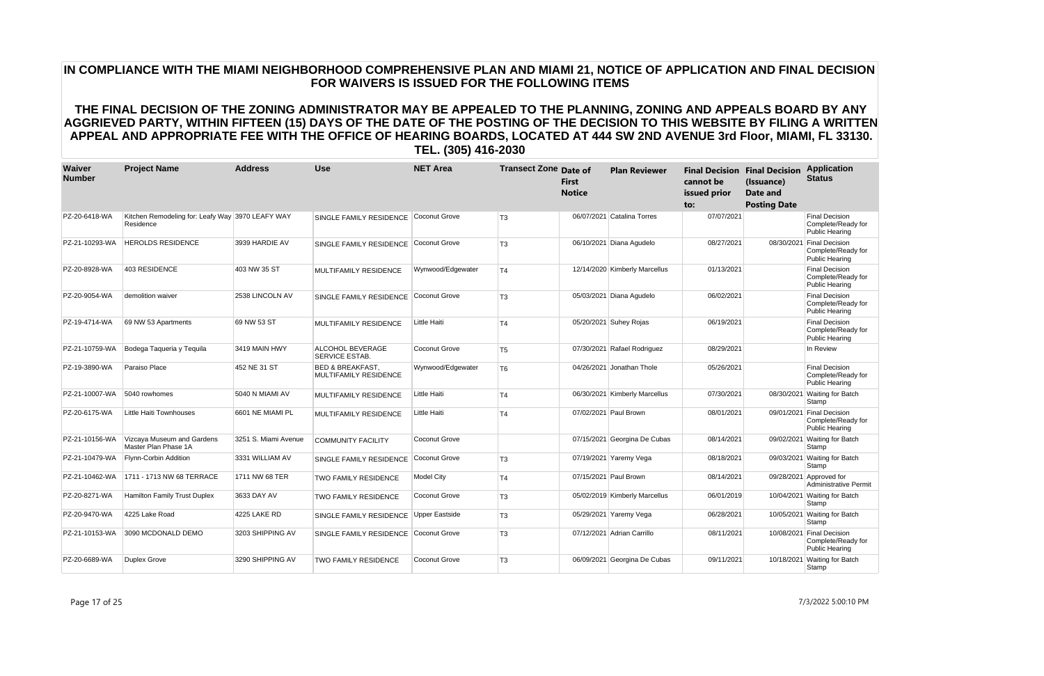| Waiver<br><b>Number</b> | <b>Project Name</b>                                           | <b>Address</b>       | <b>Use</b>                                                  | <b>NET Area</b>      | <b>Transect Zone Date of</b> | <b>First</b><br><b>Notice</b> | <b>Plan Reviewer</b>          | cannot be<br>issued prior<br>to: | <b>Final Decision Final Decision</b><br>(Issuance)<br>Date and<br><b>Posting Date</b> | <b>Application</b><br><b>Status</b>                                      |
|-------------------------|---------------------------------------------------------------|----------------------|-------------------------------------------------------------|----------------------|------------------------------|-------------------------------|-------------------------------|----------------------------------|---------------------------------------------------------------------------------------|--------------------------------------------------------------------------|
| PZ-20-6418-WA           | Kitchen Remodeling for: Leafy Way 3970 LEAFY WAY<br>Residence |                      | SINGLE FAMILY RESIDENCE                                     | Coconut Grove        | T <sub>3</sub>               |                               | 06/07/2021 Catalina Torres    | 07/07/2021                       |                                                                                       | <b>Final Decision</b><br>Complete/Ready for<br><b>Public Hearing</b>     |
| PZ-21-10293-WA          | <b>HEROLDS RESIDENCE</b>                                      | 3939 HARDIE AV       | SINGLE FAMILY RESIDENCE Coconut Grove                       |                      | T <sub>3</sub>               |                               | 06/10/2021 Diana Agudelo      | 08/27/2021                       |                                                                                       | 08/30/2021 Final Decision<br>Complete/Ready for<br><b>Public Hearing</b> |
| PZ-20-8928-WA           | 403 RESIDENCE                                                 | 403 NW 35 ST         | <b>MULTIFAMILY RESIDENCE</b>                                | Wynwood/Edgewater    | T <sub>4</sub>               |                               | 12/14/2020 Kimberly Marcellus | 01/13/2021                       |                                                                                       | <b>Final Decision</b><br>Complete/Ready for<br>Public Hearing            |
| PZ-20-9054-WA           | demolition waiver                                             | 2538 LINCOLN AV      | SINGLE FAMILY RESIDENCE                                     | Coconut Grove        | T <sub>3</sub>               |                               | 05/03/2021 Diana Agudelo      | 06/02/2021                       |                                                                                       | <b>Final Decision</b><br>Complete/Ready for<br><b>Public Hearing</b>     |
| PZ-19-4714-WA           | 69 NW 53 Apartments                                           | 69 NW 53 ST          | MULTIFAMILY RESIDENCE                                       | Little Haiti         | T <sub>4</sub>               |                               | 05/20/2021 Suhey Rojas        | 06/19/2021                       |                                                                                       | <b>Final Decision</b><br>Complete/Ready for<br>Public Hearing            |
| PZ-21-10759-WA          | Bodega Taqueria y Tequila                                     | 3419 MAIN HWY        | ALCOHOL BEVERAGE<br><b>SERVICE ESTAB.</b>                   | Coconut Grove        | T <sub>5</sub>               |                               | 07/30/2021 Rafael Rodriguez   | 08/29/2021                       |                                                                                       | In Review                                                                |
| PZ-19-3890-WA           | Paraiso Place                                                 | 452 NE 31 ST         | <b>BED &amp; BREAKFAST.</b><br><b>MULTIFAMILY RESIDENCE</b> | Wynwood/Edgewater    | T <sub>6</sub>               |                               | 04/26/2021 Jonathan Thole     | 05/26/2021                       |                                                                                       | <b>Final Decision</b><br>Complete/Ready for<br>Public Hearing            |
| PZ-21-10007-WA          | 5040 rowhomes                                                 | 5040 N MIAMI AV      | MULTIFAMILY RESIDENCE                                       | Little Haiti         | T <sub>4</sub>               |                               | 06/30/2021 Kimberly Marcellus | 07/30/2021                       | 08/30/2021                                                                            | <b>Waiting for Batch</b><br>Stamp                                        |
| PZ-20-6175-WA           | Little Haiti Townhouses                                       | 6601 NE MIAMI PL     | MULTIFAMILY RESIDENCE                                       | Little Haiti         | T <sub>4</sub>               |                               | 07/02/2021 Paul Brown         | 08/01/2021                       |                                                                                       | 09/01/2021 Final Decision<br>Complete/Ready for<br><b>Public Hearing</b> |
| PZ-21-10156-WA          | Vizcaya Museum and Gardens<br>Master Plan Phase 1A            | 3251 S. Miami Avenue | <b>COMMUNITY FACILITY</b>                                   | <b>Coconut Grove</b> |                              |                               | 07/15/2021 Georgina De Cubas  | 08/14/2021                       |                                                                                       | 09/02/2021 Waiting for Batch<br>Stamp                                    |
| PZ-21-10479-WA          | Flynn-Corbin Addition                                         | 3331 WILLIAM AV      | SINGLE FAMILY RESIDENCE                                     | Coconut Grove        | T <sub>3</sub>               |                               | 07/19/2021 Yaremy Vega        | 08/18/2021                       |                                                                                       | 09/03/2021 Waiting for Batch<br>Stamp                                    |
| PZ-21-10462-WA          | 1711 - 1713 NW 68 TERRACE                                     | 1711 NW 68 TER       | <b>TWO FAMILY RESIDENCE</b>                                 | <b>Model City</b>    | T <sub>4</sub>               |                               | 07/15/2021 Paul Brown         | 08/14/2021                       |                                                                                       | 09/28/2021 Approved for<br><b>Administrative Permit</b>                  |
| PZ-20-8271-WA           | <b>Hamilton Family Trust Duplex</b>                           | 3633 DAY AV          | <b>TWO FAMILY RESIDENCE</b>                                 | <b>Coconut Grove</b> | T <sub>3</sub>               |                               | 05/02/2019 Kimberly Marcellus | 06/01/2019                       |                                                                                       | 10/04/2021 Waiting for Batch<br>Stamp                                    |
| PZ-20-9470-WA           | 4225 Lake Road                                                | 4225 LAKE RD         | SINGLE FAMILY RESIDENCE                                     | Upper Eastside       | T <sub>3</sub>               |                               | 05/29/2021 Yaremy Vega        | 06/28/2021                       |                                                                                       | 10/05/2021 Waiting for Batch<br>Stamp                                    |
| PZ-21-10153-WA          | 3090 MCDONALD DEMO                                            | 3203 SHIPPING AV     | SINGLE FAMILY RESIDENCE                                     | Coconut Grove        | T <sub>3</sub>               |                               | 07/12/2021 Adrian Carrillo    | 08/11/2021                       |                                                                                       | 10/08/2021 Final Decision<br>Complete/Ready for<br><b>Public Hearing</b> |
| PZ-20-6689-WA           | Duplex Grove                                                  | 3290 SHIPPING AV     | <b>TWO FAMILY RESIDENCE</b>                                 | <b>Coconut Grove</b> | T <sub>3</sub>               |                               | 06/09/2021 Georgina De Cubas  | 09/11/2021                       |                                                                                       | 10/18/2021 Waiting for Batch<br>Stamp                                    |

# **IN COMPLIANCE WITH THE MIAMI NEIGHBORHOOD COMPREHENSIVE PLAN AND MIAMI 21, NOTICE OF APPLICATION AND FINAL DECISION FOR WAIVERS IS ISSUED FOR THE FOLLOWING ITEMS**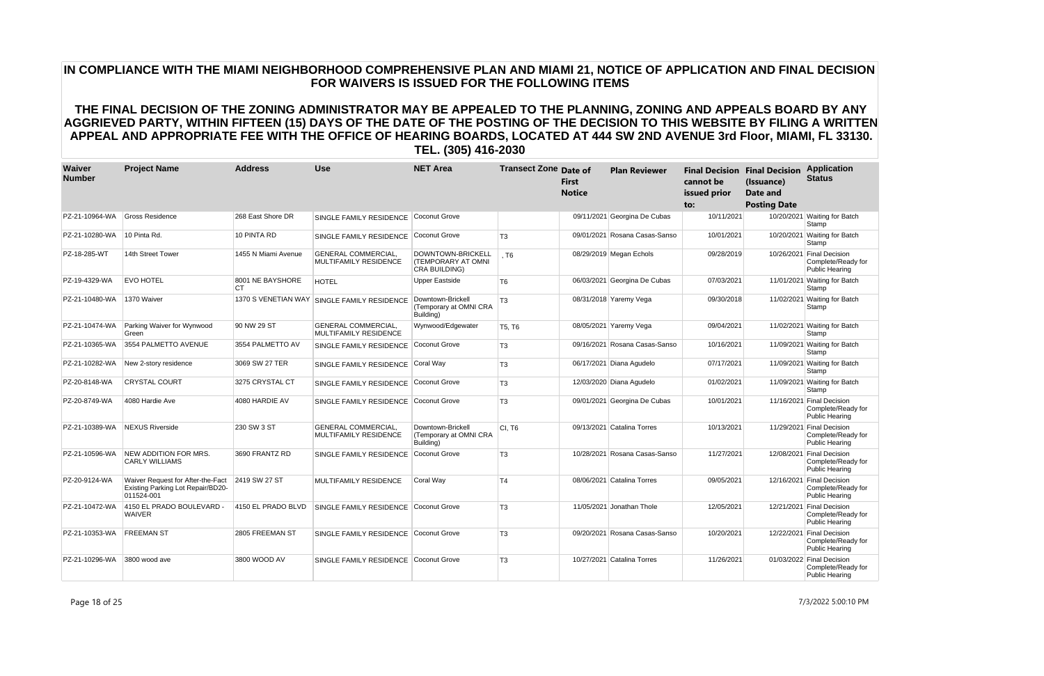| Waiver<br><b>Number</b> | <b>Project Name</b>                                                                  | <b>Address</b>         | <b>Use</b>                                                 | <b>NET Area</b>                                                                | <b>Transect Zone Date of</b> | First<br><b>Notice</b> | <b>Plan Reviewer</b>          | cannot be<br>issued prior<br>to: | <b>Final Decision Final Decision</b><br>(Issuance)<br>Date and<br><b>Posting Date</b> | <b>Application</b><br><b>Status</b>                                      |
|-------------------------|--------------------------------------------------------------------------------------|------------------------|------------------------------------------------------------|--------------------------------------------------------------------------------|------------------------------|------------------------|-------------------------------|----------------------------------|---------------------------------------------------------------------------------------|--------------------------------------------------------------------------|
| PZ-21-10964-WA          | <b>Gross Residence</b>                                                               | 268 East Shore DR      | SINGLE FAMILY RESIDENCE                                    | Coconut Grove                                                                  |                              |                        | 09/11/2021 Georgina De Cubas  | 10/11/2021                       |                                                                                       | 10/20/2021 Waiting for Batch<br>Stamp                                    |
| PZ-21-10280-WA          | 10 Pinta Rd.                                                                         | 10 PINTA RD            | SINGLE FAMILY RESIDENCE                                    | Coconut Grove                                                                  | T3                           |                        | 09/01/2021 Rosana Casas-Sanso | 10/01/2021                       |                                                                                       | 10/20/2021 Waiting for Batch<br>Stamp                                    |
| PZ-18-285-WT            | 14th Street Tower                                                                    | 1455 N Miami Avenue    | <b>GENERAL COMMERCIAL.</b><br>MULTIFAMILY RESIDENCE        | <b>DOWNTOWN-BRICKELL</b><br><b>(TEMPORARY AT OMNI)</b><br><b>CRA BUILDING)</b> | T6.                          |                        | 08/29/2019 Megan Echols       | 09/28/2019                       |                                                                                       | 10/26/2021 Final Decision<br>Complete/Ready for<br><b>Public Hearing</b> |
| PZ-19-4329-WA           | <b>EVO HOTEL</b>                                                                     | 8001 NE BAYSHORE<br>CT | <b>HOTEL</b>                                               | <b>Upper Eastside</b>                                                          | T <sub>6</sub>               |                        | 06/03/2021 Georgina De Cubas  | 07/03/2021                       |                                                                                       | 11/01/2021 Waiting for Batch<br>Stamp                                    |
| PZ-21-10480-WA          | 1370 Waiver                                                                          | 1370 S VENETIAN WAY    | <b>SINGLE FAMILY RESIDENCE</b>                             | Downtown-Brickell<br>(Temporary at OMNI CRA<br>Building)                       | T <sub>3</sub>               |                        | 08/31/2018 Yaremy Vega        | 09/30/2018                       |                                                                                       | 11/02/2021 Waiting for Batch<br>Stamp                                    |
| PZ-21-10474-WA          | Parking Waiver for Wynwood<br>Green                                                  | 90 NW 29 ST            | <b>GENERAL COMMERCIAL,</b><br><b>MULTIFAMILY RESIDENCE</b> | Wynwood/Edgewater                                                              | <b>T5. T6</b>                |                        | 08/05/2021 Yaremy Vega        | 09/04/2021                       |                                                                                       | 11/02/2021 Waiting for Batch<br>Stamp                                    |
| PZ-21-10365-WA          | 3554 PALMETTO AVENUE                                                                 | 3554 PALMETTO AV       | SINGLE FAMILY RESIDENCE                                    | Coconut Grove                                                                  | T <sub>3</sub>               |                        | 09/16/2021 Rosana Casas-Sanso | 10/16/2021                       |                                                                                       | 11/09/2021 Waiting for Batch<br>Stamp                                    |
| PZ-21-10282-WA          | New 2-story residence                                                                | 3069 SW 27 TER         | SINGLE FAMILY RESIDENCE                                    | Coral Way                                                                      | T <sub>3</sub>               |                        | 06/17/2021 Diana Agudelo      | 07/17/2021                       |                                                                                       | 11/09/2021 Waiting for Batch<br>Stamp                                    |
| PZ-20-8148-WA           | <b>CRYSTAL COURT</b>                                                                 | 3275 CRYSTAL CT        | SINGLE FAMILY RESIDENCE                                    | Coconut Grove                                                                  | T <sub>3</sub>               |                        | 12/03/2020 Diana Agudelo      | 01/02/2021                       |                                                                                       | 11/09/2021 Waiting for Batch<br>Stamp                                    |
| PZ-20-8749-WA           | 4080 Hardie Ave                                                                      | 4080 HARDIE AV         | SINGLE FAMILY RESIDENCE                                    | Coconut Grove                                                                  | T <sub>3</sub>               |                        | 09/01/2021 Georgina De Cubas  | 10/01/2021                       |                                                                                       | 11/16/2021 Final Decision<br>Complete/Ready for<br>Public Hearing        |
| PZ-21-10389-WA          | <b>NEXUS Riverside</b>                                                               | 230 SW 3 ST            | <b>GENERAL COMMERCIAL,</b><br>MULTIFAMILY RESIDENCE        | Downtown-Brickell<br>(Temporary at OMNI CRA<br>Building)                       | <b>CI. T6</b>                |                        | 09/13/2021 Catalina Torres    | 10/13/2021                       |                                                                                       | 11/29/2021 Final Decision<br>Complete/Ready for<br><b>Public Hearing</b> |
| PZ-21-10596-WA          | NEW ADDITION FOR MRS.<br><b>CARLY WILLIAMS</b>                                       | 3690 FRANTZ RD         | SINGLE FAMILY RESIDENCE                                    | Coconut Grove                                                                  | T <sub>3</sub>               |                        | 10/28/2021 Rosana Casas-Sanso | 11/27/2021                       | 12/08/2021                                                                            | <b>Final Decision</b><br>Complete/Ready for<br><b>Public Hearing</b>     |
| PZ-20-9124-WA           | Waiver Request for After-the-Fact<br>Existing Parking Lot Repair/BD20-<br>011524-001 | 2419 SW 27 ST          | MULTIFAMILY RESIDENCE                                      | Coral Way                                                                      | T4                           |                        | 08/06/2021 Catalina Torres    | 09/05/2021                       |                                                                                       | 12/16/2021 Final Decision<br>Complete/Ready for<br><b>Public Hearing</b> |
| PZ-21-10472-WA          | 4150 EL PRADO BOULEVARD -<br><b>WAIVER</b>                                           | 4150 EL PRADO BLVD     | SINGLE FAMILY RESIDENCE                                    | Coconut Grove                                                                  | T <sub>3</sub>               |                        | 11/05/2021 Jonathan Thole     | 12/05/2021                       |                                                                                       | 12/21/2021 Final Decision<br>Complete/Ready for<br><b>Public Hearing</b> |
| PZ-21-10353-WA          | <b>FREEMAN ST</b>                                                                    | 2805 FREEMAN ST        | SINGLE FAMILY RESIDENCE                                    | Coconut Grove                                                                  | T <sub>3</sub>               |                        | 09/20/2021 Rosana Casas-Sanso | 10/20/2021                       |                                                                                       | 12/22/2021 Final Decision<br>Complete/Ready for<br><b>Public Hearing</b> |
| PZ-21-10296-WA          | 3800 wood ave                                                                        | 3800 WOOD AV           | SINGLE FAMILY RESIDENCE Coconut Grove                      |                                                                                | T <sub>3</sub>               |                        | 10/27/2021 Catalina Torres    | 11/26/2021                       |                                                                                       | 01/03/2022 Final Decision<br>Complete/Ready for<br><b>Public Hearing</b> |

Page 18 of 25 7/3/2022 5:00:10 PM

# **IN COMPLIANCE WITH THE MIAMI NEIGHBORHOOD COMPREHENSIVE PLAN AND MIAMI 21, NOTICE OF APPLICATION AND FINAL DECISION FOR WAIVERS IS ISSUED FOR THE FOLLOWING ITEMS**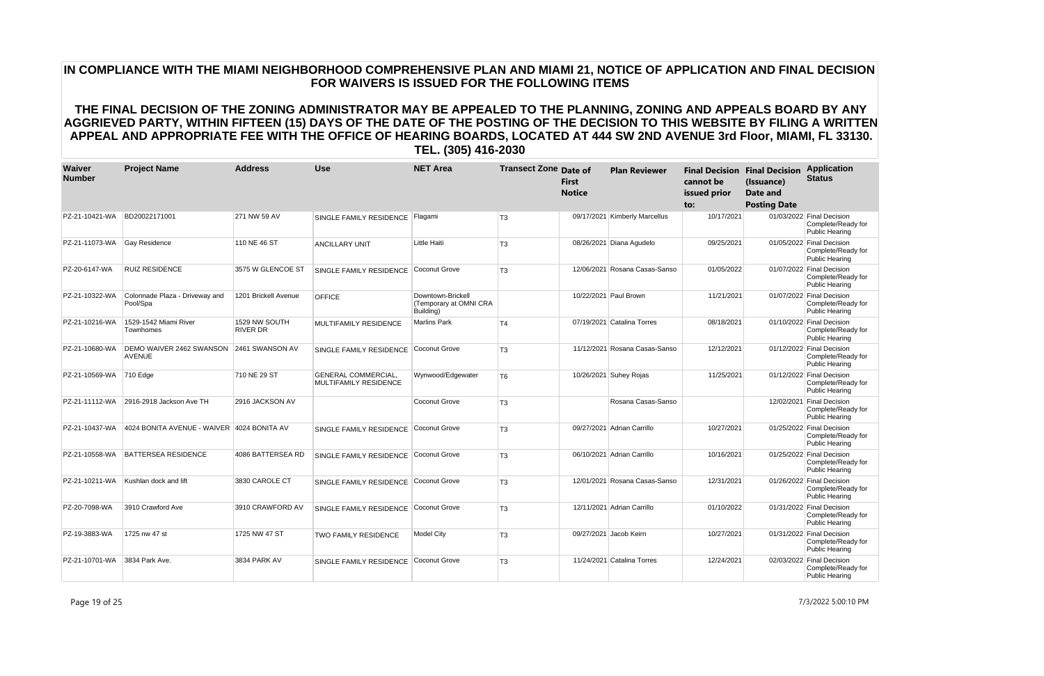| Waiver<br><b>Number</b> | <b>Project Name</b>                        | <b>Address</b>                   | <b>Use</b>                                          | <b>NET Area</b>                                          | <b>Transect Zone Date of</b> | <b>First</b><br><b>Notice</b> | <b>Plan Reviewer</b>          | cannot be<br>issued prior<br>to: | <b>Final Decision Final Decision</b><br>(Issuance)<br><b>Date and</b><br><b>Posting Date</b> | <b>Application</b><br><b>Status</b>                                      |
|-------------------------|--------------------------------------------|----------------------------------|-----------------------------------------------------|----------------------------------------------------------|------------------------------|-------------------------------|-------------------------------|----------------------------------|----------------------------------------------------------------------------------------------|--------------------------------------------------------------------------|
| PZ-21-10421-WA          | BD20022171001                              | 271 NW 59 AV                     | SINGLE FAMILY RESIDENCE                             | Flaqami                                                  | T <sub>3</sub>               |                               | 09/17/2021 Kimberly Marcellus | 10/17/2021                       |                                                                                              | 01/03/2022 Final Decision<br>Complete/Ready for<br><b>Public Hearing</b> |
| PZ-21-11073-WA          | <b>Gay Residence</b>                       | 110 NE 46 ST                     | <b>ANCILLARY UNIT</b>                               | Little Haiti                                             | T <sub>3</sub>               |                               | 08/26/2021 Diana Agudelo      | 09/25/2021                       |                                                                                              | 01/05/2022 Final Decision<br>Complete/Ready for<br><b>Public Hearing</b> |
| PZ-20-6147-WA           | <b>RUIZ RESIDENCE</b>                      | 3575 W GLENCOE ST                | SINGLE FAMILY RESIDENCE                             | Coconut Grove                                            | T <sub>3</sub>               |                               | 12/06/2021 Rosana Casas-Sanso | 01/05/2022                       |                                                                                              | 01/07/2022 Final Decision<br>Complete/Ready for<br><b>Public Hearing</b> |
| PZ-21-10322-WA          | Colonnade Plaza - Driveway and<br>Pool/Spa | 1201 Brickell Avenue             | <b>OFFICE</b>                                       | Downtown-Brickell<br>(Temporary at OMNI CRA<br>Building) |                              |                               | 10/22/2021 Paul Brown         | 11/21/2021                       |                                                                                              | 01/07/2022 Final Decision<br>Complete/Ready for<br><b>Public Hearing</b> |
| PZ-21-10216-WA          | 1529-1542 Miami River<br>Townhomes         | 1529 NW SOUTH<br><b>RIVER DR</b> | <b>MULTIFAMILY RESIDENCE</b>                        | Marlins Park                                             | T <sub>4</sub>               |                               | 07/19/2021 Catalina Torres    | 08/18/2021                       |                                                                                              | 01/10/2022 Final Decision<br>Complete/Ready for<br>Public Hearing        |
| PZ-21-10680-WA          | DEMO WAIVER 2462 SWANSON<br><b>AVENUE</b>  | 2461 SWANSON AV                  | SINGLE FAMILY RESIDENCE                             | Coconut Grove                                            | T <sub>3</sub>               |                               | 11/12/2021 Rosana Casas-Sanso | 12/12/2021                       |                                                                                              | 01/12/2022 Final Decision<br>Complete/Ready for<br><b>Public Hearing</b> |
| PZ-21-10569-WA          | $ 710 \text{ Edge} $                       | 710 NE 29 ST                     | <b>GENERAL COMMERCIAL,</b><br>MULTIFAMILY RESIDENCE | Wynwood/Edgewater                                        | T <sub>6</sub>               |                               | 10/26/2021 Suhey Rojas        | 11/25/2021                       |                                                                                              | 01/12/2022 Final Decision<br>Complete/Ready for<br><b>Public Hearing</b> |
| PZ-21-11112-WA          | 2916-2918 Jackson Ave TH                   | 2916 JACKSON AV                  |                                                     | Coconut Grove                                            | T <sub>3</sub>               |                               | Rosana Casas-Sanso            |                                  |                                                                                              | 12/02/2021 Final Decision<br>Complete/Ready for<br><b>Public Hearing</b> |
| PZ-21-10437-WA          | 4024 BONITA AVENUE - WAIVER 4024 BONITA AV |                                  | SINGLE FAMILY RESIDENCE                             | Coconut Grove                                            | T <sub>3</sub>               |                               | 09/27/2021 Adrian Carrillo    | 10/27/2021                       |                                                                                              | 01/25/2022 Final Decision<br>Complete/Ready for<br><b>Public Hearing</b> |
| PZ-21-10558-WA          | <b>BATTERSEA RESIDENCE</b>                 | 4086 BATTERSEA RD                | SINGLE FAMILY RESIDENCE                             | Coconut Grove                                            | T <sub>3</sub>               |                               | 06/10/2021 Adrian Carrillo    | 10/16/2021                       |                                                                                              | 01/25/2022 Final Decision<br>Complete/Ready for<br>Public Hearing        |
| PZ-21-10211-WA          | Kushlan dock and lift                      | 3830 CAROLE CT                   | SINGLE FAMILY RESIDENCE                             | Coconut Grove                                            | T <sub>3</sub>               |                               | 12/01/2021 Rosana Casas-Sanso | 12/31/2021                       |                                                                                              | 01/26/2022 Final Decision<br>Complete/Ready for<br><b>Public Hearing</b> |
| PZ-20-7098-WA           | 3910 Crawford Ave                          | 3910 CRAWFORD AV                 | SINGLE FAMILY RESIDENCE                             | Coconut Grove                                            | T <sub>3</sub>               |                               | 12/11/2021 Adrian Carrillo    | 01/10/2022                       |                                                                                              | 01/31/2022 Final Decision<br>Complete/Ready for<br><b>Public Hearing</b> |
| PZ-19-3883-WA           | 1725 nw 47 st                              | 1725 NW 47 ST                    | TWO FAMILY RESIDENCE                                | Model City                                               | T <sub>3</sub>               |                               | 09/27/2021 Jacob Keirn        | 10/27/2021                       |                                                                                              | 01/31/2022 Final Decision<br>Complete/Ready for<br><b>Public Hearing</b> |
| PZ-21-10701-WA          | 3834 Park Ave.                             | 3834 PARK AV                     | SINGLE FAMILY RESIDENCE                             | Coconut Grove                                            | T <sub>3</sub>               |                               | 11/24/2021 Catalina Torres    | 12/24/2021                       |                                                                                              | 02/03/2022 Final Decision<br>Complete/Ready for<br><b>Public Hearing</b> |

Page 19 of 25 7/3/2022 5:00:10 PM

# **IN COMPLIANCE WITH THE MIAMI NEIGHBORHOOD COMPREHENSIVE PLAN AND MIAMI 21, NOTICE OF APPLICATION AND FINAL DECISION FOR WAIVERS IS ISSUED FOR THE FOLLOWING ITEMS**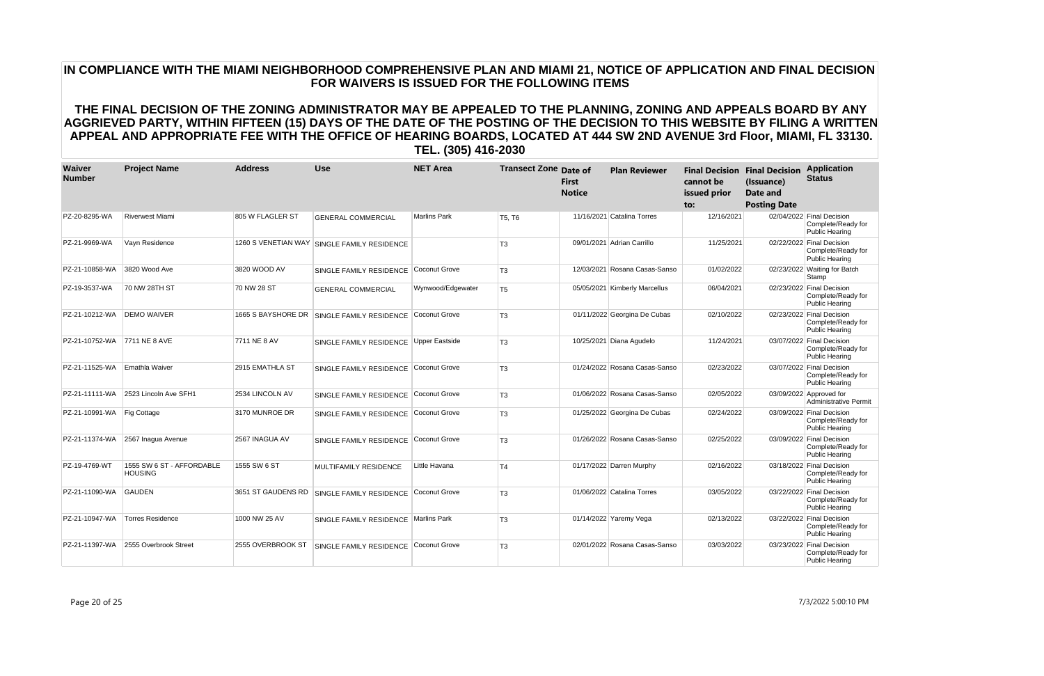| Waiver<br><b>Number</b>      | <b>Project Name</b>                         | <b>Address</b>     | <b>Use</b>                                  | <b>NET Area</b>     | <b>Transect Zone Date of</b> | <b>First</b><br><b>Notice</b> | <b>Plan Reviewer</b>          | cannot be<br>issued prior<br>to: | <b>Final Decision Final Decision</b><br>(Issuance)<br>Date and<br><b>Posting Date</b> | <b>Application</b><br><b>Status</b>                                      |
|------------------------------|---------------------------------------------|--------------------|---------------------------------------------|---------------------|------------------------------|-------------------------------|-------------------------------|----------------------------------|---------------------------------------------------------------------------------------|--------------------------------------------------------------------------|
| PZ-20-8295-WA                | <b>Riverwest Miami</b>                      | 805 W FLAGLER ST   | <b>GENERAL COMMERCIAL</b>                   | <b>Marlins Park</b> | T5, T6                       |                               | 11/16/2021 Catalina Torres    | 12/16/2021                       |                                                                                       | 02/04/2022 Final Decision<br>Complete/Ready for<br><b>Public Hearing</b> |
| PZ-21-9969-WA                | Vayn Residence                              |                    | 1260 S VENETIAN WAY SINGLE FAMILY RESIDENCE |                     | T <sub>3</sub>               |                               | 09/01/2021 Adrian Carrillo    | 11/25/2021                       |                                                                                       | 02/22/2022 Final Decision<br>Complete/Ready for<br>Public Hearing        |
| PZ-21-10858-WA               | 3820 Wood Ave                               | 3820 WOOD AV       | SINGLE FAMILY RESIDENCE                     | Coconut Grove       | T <sub>3</sub>               |                               | 12/03/2021 Rosana Casas-Sanso | 01/02/2022                       |                                                                                       | 02/23/2022 Waiting for Batch<br>Stamp                                    |
| PZ-19-3537-WA                | 70 NW 28TH ST                               | 70 NW 28 ST        | <b>GENERAL COMMERCIAL</b>                   | Wynwood/Edgewater   | T <sub>5</sub>               |                               | 05/05/2021 Kimberly Marcellus | 06/04/2021                       |                                                                                       | 02/23/2022 Final Decision<br>Complete/Ready for<br><b>Public Hearing</b> |
| PZ-21-10212-WA               | <b>DEMO WAIVER</b>                          | 1665 S BAYSHORE DR | SINGLE FAMILY RESIDENCE                     | Coconut Grove       | T <sub>3</sub>               |                               | 01/11/2022 Georgina De Cubas  | 02/10/2022                       |                                                                                       | 02/23/2022 Final Decision<br>Complete/Ready for<br><b>Public Hearing</b> |
| PZ-21-10752-WA 7711 NE 8 AVE |                                             | 7711 NE 8 AV       | SINGLE FAMILY RESIDENCE                     | Upper Eastside      | T <sub>3</sub>               |                               | 10/25/2021 Diana Agudelo      | 11/24/2021                       |                                                                                       | 03/07/2022 Final Decision<br>Complete/Ready for<br><b>Public Hearing</b> |
| PZ-21-11525-WA               | Emathla Waiver                              | 2915 EMATHLA ST    | SINGLE FAMILY RESIDENCE                     | Coconut Grove       | T <sub>3</sub>               |                               | 01/24/2022 Rosana Casas-Sanso | 02/23/2022                       |                                                                                       | 03/07/2022 Final Decision<br>Complete/Ready for<br>Public Hearing        |
| PZ-21-11111-WA               | 2523 Lincoln Ave SFH1                       | 2534 LINCOLN AV    | SINGLE FAMILY RESIDENCE                     | Coconut Grove       | T <sub>3</sub>               |                               | 01/06/2022 Rosana Casas-Sanso | 02/05/2022                       |                                                                                       | 03/09/2022 Approved for<br>Administrative Permit                         |
| PZ-21-10991-WA               | Fig Cottage                                 | 3170 MUNROE DR     | SINGLE FAMILY RESIDENCE                     | Coconut Grove       | T <sub>3</sub>               |                               | 01/25/2022 Georgina De Cubas  | 02/24/2022                       |                                                                                       | 03/09/2022 Final Decision<br>Complete/Ready for<br>Public Hearing        |
| PZ-21-11374-WA               | 2567 Inagua Avenue                          | 2567 INAGUA AV     | SINGLE FAMILY RESIDENCE                     | Coconut Grove       | T <sub>3</sub>               |                               | 01/26/2022 Rosana Casas-Sanso | 02/25/2022                       |                                                                                       | 03/09/2022 Final Decision<br>Complete/Ready for<br><b>Public Hearing</b> |
| PZ-19-4769-WT                | 1555 SW 6 ST - AFFORDABLE<br><b>HOUSING</b> | 1555 SW 6 ST       | <b>MULTIFAMILY RESIDENCE</b>                | Little Havana       | T <sub>4</sub>               |                               | 01/17/2022 Darren Murphy      | 02/16/2022                       |                                                                                       | 03/18/2022 Final Decision<br>Complete/Ready for<br><b>Public Hearing</b> |
| PZ-21-11090-WA               | GAUDEN                                      |                    | 3651 ST GAUDENS RD SINGLE FAMILY RESIDENCE  | Coconut Grove       | T <sub>3</sub>               |                               | 01/06/2022 Catalina Torres    | 03/05/2022                       |                                                                                       | 03/22/2022 Final Decision<br>Complete/Ready for<br>Public Hearing        |
| PZ-21-10947-WA               | <b>Torres Residence</b>                     | 1000 NW 25 AV      | SINGLE FAMILY RESIDENCE                     | Marlins Park        | T <sub>3</sub>               |                               | 01/14/2022 Yaremy Vega        | 02/13/2022                       |                                                                                       | 03/22/2022 Final Decision<br>Complete/Ready for<br>Public Hearing        |
| PZ-21-11397-WA               | 2555 Overbrook Street                       | 2555 OVERBROOK ST  | SINGLE FAMILY RESIDENCE                     | Coconut Grove       | T <sub>3</sub>               |                               | 02/01/2022 Rosana Casas-Sanso | 03/03/2022                       |                                                                                       | 03/23/2022 Final Decision<br>Complete/Ready for<br><b>Public Hearing</b> |

# **IN COMPLIANCE WITH THE MIAMI NEIGHBORHOOD COMPREHENSIVE PLAN AND MIAMI 21, NOTICE OF APPLICATION AND FINAL DECISION FOR WAIVERS IS ISSUED FOR THE FOLLOWING ITEMS**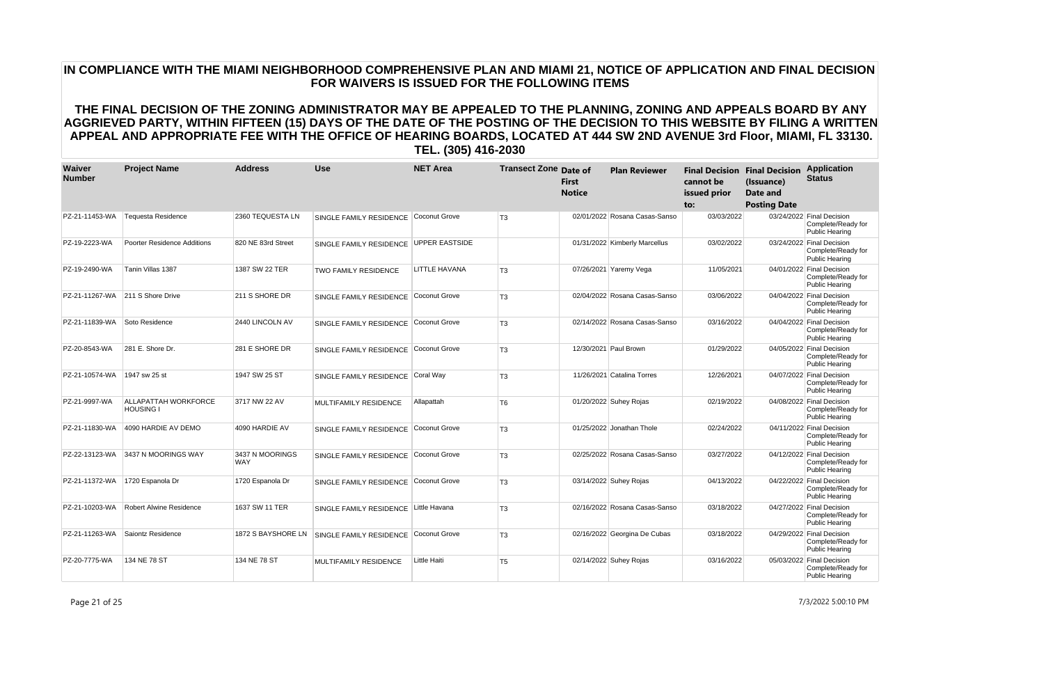| Waiver<br><b>Number</b> | <b>Project Name</b>                             | <b>Address</b>                | <b>Use</b>                            | <b>NET Area</b>       | <b>Transect Zone Date of</b> | <b>First</b><br><b>Notice</b> | <b>Plan Reviewer</b>          | cannot be<br>issued prior<br>to: | <b>Final Decision Final Decision</b><br>(Issuance)<br><b>Date and</b><br><b>Posting Date</b> | <b>Application</b><br><b>Status</b>                                      |
|-------------------------|-------------------------------------------------|-------------------------------|---------------------------------------|-----------------------|------------------------------|-------------------------------|-------------------------------|----------------------------------|----------------------------------------------------------------------------------------------|--------------------------------------------------------------------------|
| PZ-21-11453-WA          | Tequesta Residence                              | 2360 TEQUESTA LN              | SINGLE FAMILY RESIDENCE               | Coconut Grove         | T <sub>3</sub>               |                               | 02/01/2022 Rosana Casas-Sanso | 03/03/2022                       |                                                                                              | 03/24/2022 Final Decision<br>Complete/Ready for<br><b>Public Hearing</b> |
| PZ-19-2223-WA           | Poorter Residence Additions                     | 820 NE 83rd Street            | SINGLE FAMILY RESIDENCE               | <b>UPPER EASTSIDE</b> |                              |                               | 01/31/2022 Kimberly Marcellus | 03/02/2022                       |                                                                                              | 03/24/2022 Final Decision<br>Complete/Ready for<br><b>Public Hearing</b> |
| PZ-19-2490-WA           | Tanin Villas 1387                               | 1387 SW 22 TER                | <b>TWO FAMILY RESIDENCE</b>           | LITTLE HAVANA         | T <sub>3</sub>               |                               | 07/26/2021 Yaremy Vega        | 11/05/2021                       |                                                                                              | 04/01/2022 Final Decision<br>Complete/Ready for<br><b>Public Hearing</b> |
|                         | PZ-21-11267-WA 211 S Shore Drive                | 211 S SHORE DR                | SINGLE FAMILY RESIDENCE               | Coconut Grove         | T <sub>3</sub>               |                               | 02/04/2022 Rosana Casas-Sanso | 03/06/2022                       |                                                                                              | 04/04/2022 Final Decision<br>Complete/Ready for<br><b>Public Hearing</b> |
| PZ-21-11839-WA          | Soto Residence                                  | 2440 LINCOLN AV               | SINGLE FAMILY RESIDENCE               | Coconut Grove         | T <sub>3</sub>               |                               | 02/14/2022 Rosana Casas-Sanso | 03/16/2022                       |                                                                                              | 04/04/2022 Final Decision<br>Complete/Ready for<br>Public Hearing        |
| PZ-20-8543-WA           | 281 E. Shore Dr.                                | 281 E SHORE DR                | SINGLE FAMILY RESIDENCE               | Coconut Grove         | T <sub>3</sub>               |                               | 12/30/2021 Paul Brown         | 01/29/2022                       |                                                                                              | 04/05/2022 Final Decision<br>Complete/Ready for<br><b>Public Hearing</b> |
| PZ-21-10574-WA          | 1947 sw 25 st                                   | 1947 SW 25 ST                 | SINGLE FAMILY RESIDENCE Coral Way     |                       | T <sub>3</sub>               |                               | 11/26/2021 Catalina Torres    | 12/26/2021                       |                                                                                              | 04/07/2022 Final Decision<br>Complete/Ready for<br><b>Public Hearing</b> |
| PZ-21-9997-WA           | <b>ALLAPATTAH WORKFORCE</b><br><b>HOUSING I</b> | 3717 NW 22 AV                 | MULTIFAMILY RESIDENCE                 | Allapattah            | T <sub>6</sub>               |                               | 01/20/2022 Suhey Rojas        | 02/19/2022                       |                                                                                              | 04/08/2022 Final Decision<br>Complete/Ready for<br><b>Public Hearing</b> |
| PZ-21-11830-WA          | 4090 HARDIE AV DEMO                             | 4090 HARDIE AV                | SINGLE FAMILY RESIDENCE               | Coconut Grove         | T <sub>3</sub>               |                               | 01/25/2022 Jonathan Thole     | 02/24/2022                       |                                                                                              | 04/11/2022 Final Decision<br>Complete/Ready for<br><b>Public Hearing</b> |
| PZ-22-13123-WA          | 3437 N MOORINGS WAY                             | 3437 N MOORINGS<br><b>WAY</b> | SINGLE FAMILY RESIDENCE               | Coconut Grove         | T <sub>3</sub>               |                               | 02/25/2022 Rosana Casas-Sanso | 03/27/2022                       |                                                                                              | 04/12/2022 Final Decision<br>Complete/Ready for<br>Public Hearing        |
| PZ-21-11372-WA          | 1720 Espanola Dr                                | 1720 Espanola Dr              | SINGLE FAMILY RESIDENCE               | Coconut Grove         | T <sub>3</sub>               |                               | 03/14/2022 Suhey Rojas        | 04/13/2022                       |                                                                                              | 04/22/2022 Final Decision<br>Complete/Ready for<br><b>Public Hearing</b> |
| PZ-21-10203-WA          | <b>Robert Alwine Residence</b>                  | 1637 SW 11 TER                | SINGLE FAMILY RESIDENCE Little Havana |                       | T <sub>3</sub>               |                               | 02/16/2022 Rosana Casas-Sanso | 03/18/2022                       |                                                                                              | 04/27/2022 Final Decision<br>Complete/Ready for<br><b>Public Hearing</b> |
| PZ-21-11263-WA          | Saiontz Residence                               | 1872 S BAYSHORE LN            | SINGLE FAMILY RESIDENCE               | Coconut Grove         | T <sub>3</sub>               |                               | 02/16/2022 Georgina De Cubas  | 03/18/2022                       |                                                                                              | 04/29/2022 Final Decision<br>Complete/Ready for<br><b>Public Hearing</b> |
| PZ-20-7775-WA           | 134 NE 78 ST                                    | 134 NE 78 ST                  | MULTIFAMILY RESIDENCE                 | Little Haiti          | T <sub>5</sub>               |                               | 02/14/2022 Suhey Rojas        | 03/16/2022                       |                                                                                              | 05/03/2022 Final Decision<br>Complete/Ready for<br><b>Public Hearing</b> |

Page 21 of 25 7/3/2022 5:00:10 PM

# **IN COMPLIANCE WITH THE MIAMI NEIGHBORHOOD COMPREHENSIVE PLAN AND MIAMI 21, NOTICE OF APPLICATION AND FINAL DECISION FOR WAIVERS IS ISSUED FOR THE FOLLOWING ITEMS**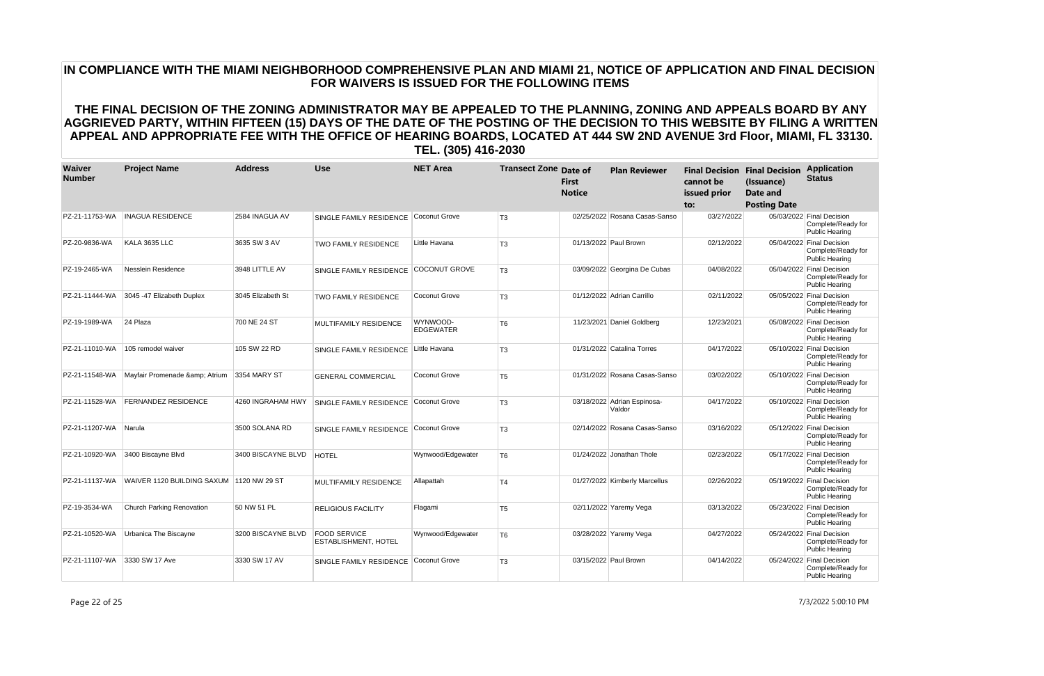| Waiver<br><b>Number</b> | <b>Project Name</b>                      | <b>Address</b>     | <b>Use</b>                                         | <b>NET Area</b>              | <b>Transect Zone Date of</b> | <b>First</b><br><b>Notice</b> | <b>Plan Reviewer</b>                  | cannot be<br>issued prior<br>to: | <b>Final Decision Final Decision</b><br>(Issuance)<br><b>Date and</b><br><b>Posting Date</b> | <b>Application</b><br><b>Status</b>                                      |
|-------------------------|------------------------------------------|--------------------|----------------------------------------------------|------------------------------|------------------------------|-------------------------------|---------------------------------------|----------------------------------|----------------------------------------------------------------------------------------------|--------------------------------------------------------------------------|
| PZ-21-11753-WA          | <b>INAGUA RESIDENCE</b>                  | 2584 INAGUA AV     | SINGLE FAMILY RESIDENCE                            | Coconut Grove                | T <sub>3</sub>               |                               | 02/25/2022 Rosana Casas-Sanso         | 03/27/2022                       |                                                                                              | 05/03/2022 Final Decision<br>Complete/Ready for<br><b>Public Hearing</b> |
| PZ-20-9836-WA           | KALA 3635 LLC                            | 3635 SW 3 AV       | <b>TWO FAMILY RESIDENCE</b>                        | Little Havana                | T <sub>3</sub>               |                               | 01/13/2022 Paul Brown                 | 02/12/2022                       |                                                                                              | 05/04/2022 Final Decision<br>Complete/Ready for<br><b>Public Hearing</b> |
| PZ-19-2465-WA           | Nesslein Residence                       | 3948 LITTLE AV     | SINGLE FAMILY RESIDENCE                            | <b>COCONUT GROVE</b>         | T <sub>3</sub>               |                               | 03/09/2022 Georgina De Cubas          | 04/08/2022                       |                                                                                              | 05/04/2022 Final Decision<br>Complete/Ready for<br><b>Public Hearing</b> |
| PZ-21-11444-WA          | 3045 -47 Elizabeth Duplex                | 3045 Elizabeth St  | <b>TWO FAMILY RESIDENCE</b>                        | Coconut Grove                | T <sub>3</sub>               |                               | 01/12/2022 Adrian Carrillo            | 02/11/2022                       |                                                                                              | 05/05/2022 Final Decision<br>Complete/Ready for<br><b>Public Hearing</b> |
| PZ-19-1989-WA           | 24 Plaza                                 | 700 NE 24 ST       | <b>MULTIFAMILY RESIDENCE</b>                       | WYNWOOD-<br><b>EDGEWATER</b> | T <sub>6</sub>               |                               | 11/23/2021 Daniel Goldberg            | 12/23/2021                       |                                                                                              | 05/08/2022 Final Decision<br>Complete/Ready for<br><b>Public Hearing</b> |
| PZ-21-11010-WA          | 105 remodel waiver                       | 105 SW 22 RD       | SINGLE FAMILY RESIDENCE                            | Little Havana                | T <sub>3</sub>               |                               | 01/31/2022 Catalina Torres            | 04/17/2022                       |                                                                                              | 05/10/2022 Final Decision<br>Complete/Ready for<br><b>Public Hearing</b> |
| PZ-21-11548-WA          | Mayfair Promenade & Atrium               | 3354 MARY ST       | <b>GENERAL COMMERCIAL</b>                          | Coconut Grove                | T <sub>5</sub>               |                               | 01/31/2022 Rosana Casas-Sanso         | 03/02/2022                       |                                                                                              | 05/10/2022 Final Decision<br>Complete/Ready for<br><b>Public Hearing</b> |
| PZ-21-11528-WA          | <b>FERNANDEZ RESIDENCE</b>               | 4260 INGRAHAM HWY  | <b>SINGLE FAMILY RESIDENCE</b>                     | Coconut Grove                | T <sub>3</sub>               |                               | 03/18/2022 Adrian Espinosa-<br>Valdor | 04/17/2022                       |                                                                                              | 05/10/2022 Final Decision<br>Complete/Ready for<br><b>Public Hearing</b> |
| PZ-21-11207-WA          | Narula                                   | 3500 SOLANA RD     | SINGLE FAMILY RESIDENCE                            | Coconut Grove                | T <sub>3</sub>               |                               | 02/14/2022 Rosana Casas-Sanso         | 03/16/2022                       |                                                                                              | 05/12/2022 Final Decision<br>Complete/Ready for<br>Public Hearing        |
| PZ-21-10920-WA          | 3400 Biscayne Blvd                       | 3400 BISCAYNE BLVD | <b>HOTEL</b>                                       | Wynwood/Edgewater            | T <sub>6</sub>               |                               | 01/24/2022 Jonathan Thole             | 02/23/2022                       |                                                                                              | 05/17/2022 Final Decision<br>Complete/Ready for<br>Public Hearing        |
| PZ-21-11137-WA          | WAIVER 1120 BUILDING SAXUM 1120 NW 29 ST |                    | MULTIFAMILY RESIDENCE                              | Allapattah                   | T <sub>4</sub>               |                               | 01/27/2022 Kimberly Marcellus         | 02/26/2022                       |                                                                                              | 05/19/2022 Final Decision<br>Complete/Ready for<br><b>Public Hearing</b> |
| PZ-19-3534-WA           | Church Parking Renovation                | 50 NW 51 PL        | <b>RELIGIOUS FACILITY</b>                          | Flagami                      | T <sub>5</sub>               |                               | 02/11/2022 Yaremy Vega                | 03/13/2022                       |                                                                                              | 05/23/2022 Final Decision<br>Complete/Ready for<br><b>Public Hearing</b> |
| PZ-21-10520-WA          | Urbanica The Biscayne                    | 3200 BISCAYNE BLVD | <b>FOOD SERVICE</b><br><b>ESTABLISHMENT, HOTEL</b> | Wynwood/Edgewater            | T <sub>6</sub>               |                               | 03/28/2022 Yaremy Vega                | 04/27/2022                       |                                                                                              | 05/24/2022 Final Decision<br>Complete/Ready for<br><b>Public Hearing</b> |
| PZ-21-11107-WA          | 3330 SW 17 Ave                           | 3330 SW 17 AV      | SINGLE FAMILY RESIDENCE                            | Coconut Grove                | T <sub>3</sub>               |                               | 03/15/2022 Paul Brown                 | 04/14/2022                       |                                                                                              | 05/24/2022 Final Decision<br>Complete/Ready for<br><b>Public Hearing</b> |

Page 22 of 25 7/3/2022 5:00:10 PM

# **IN COMPLIANCE WITH THE MIAMI NEIGHBORHOOD COMPREHENSIVE PLAN AND MIAMI 21, NOTICE OF APPLICATION AND FINAL DECISION FOR WAIVERS IS ISSUED FOR THE FOLLOWING ITEMS**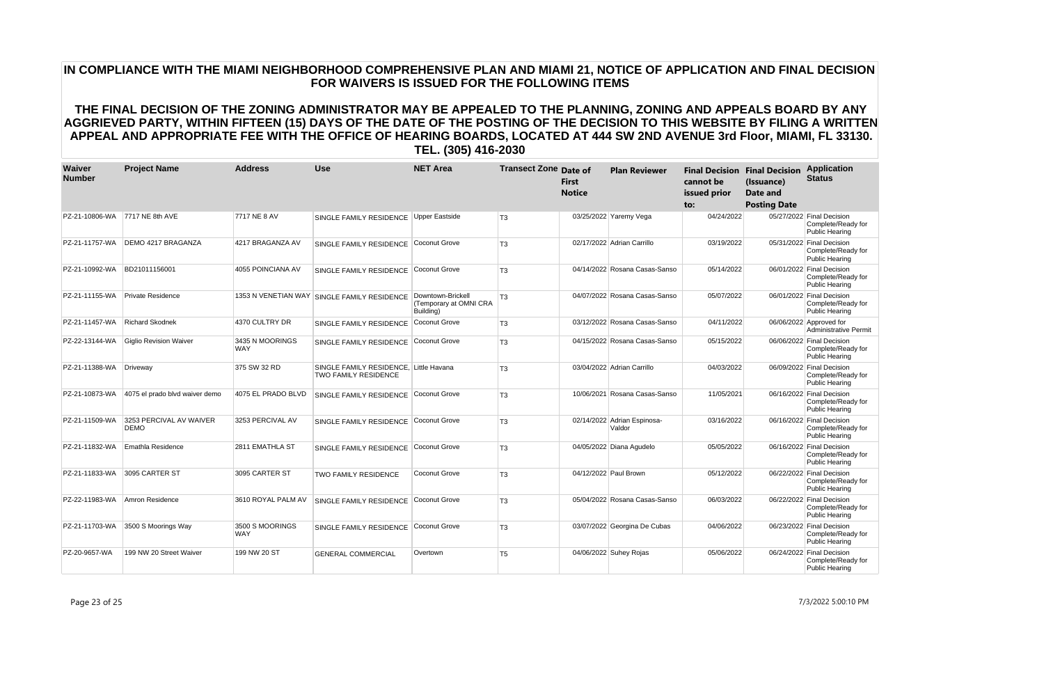| Waiver<br><b>Number</b> | <b>Project Name</b>                    | <b>Address</b>                | <b>Use</b>                                                            | <b>NET Area</b>                                          | <b>Transect Zone Date of</b> | <b>First</b><br><b>Notice</b> | <b>Plan Reviewer</b>                  | cannot be<br>issued prior<br>to: | <b>Final Decision Final Decision</b><br>(Issuance)<br><b>Date and</b><br><b>Posting Date</b> | <b>Application</b><br><b>Status</b>                                      |
|-------------------------|----------------------------------------|-------------------------------|-----------------------------------------------------------------------|----------------------------------------------------------|------------------------------|-------------------------------|---------------------------------------|----------------------------------|----------------------------------------------------------------------------------------------|--------------------------------------------------------------------------|
| PZ-21-10806-WA          | 7717 NE 8th AVE                        | 7717 NE 8 AV                  | SINGLE FAMILY RESIDENCE Upper Eastside                                |                                                          | T <sub>3</sub>               |                               | 03/25/2022 Yaremy Vega                | 04/24/2022                       |                                                                                              | 05/27/2022 Final Decision<br>Complete/Ready for<br>Public Hearing        |
| PZ-21-11757-WA          | DEMO 4217 BRAGANZA                     | 4217 BRAGANZA AV              | SINGLE FAMILY RESIDENCE Coconut Grove                                 |                                                          | T <sub>3</sub>               |                               | 02/17/2022 Adrian Carrillo            | 03/19/2022                       |                                                                                              | 05/31/2022 Final Decision<br>Complete/Ready for<br><b>Public Hearing</b> |
| PZ-21-10992-WA          | BD21011156001                          | 4055 POINCIANA AV             | SINGLE FAMILY RESIDENCE                                               | Coconut Grove                                            | T <sub>3</sub>               |                               | 04/14/2022 Rosana Casas-Sanso         | 05/14/2022                       |                                                                                              | 06/01/2022 Final Decision<br>Complete/Ready for<br><b>Public Hearing</b> |
| PZ-21-11155-WA          | <b>Private Residence</b>               |                               | 1353 N VENETIAN WAY SINGLE FAMILY RESIDENCE                           | Downtown-Brickell<br>(Temporary at OMNI CRA<br>Building) | T <sub>3</sub>               |                               | 04/07/2022 Rosana Casas-Sanso         | 05/07/2022                       |                                                                                              | 06/01/2022 Final Decision<br>Complete/Ready for<br>Public Hearing        |
| PZ-21-11457-WA          | <b>Richard Skodnek</b>                 | 4370 CULTRY DR                | SINGLE FAMILY RESIDENCE                                               | Coconut Grove                                            | T <sub>3</sub>               |                               | 03/12/2022 Rosana Casas-Sanso         | 04/11/2022                       |                                                                                              | 06/06/2022 Approved for<br><b>Administrative Permit</b>                  |
| PZ-22-13144-WA          | <b>Giglio Revision Waiver</b>          | 3435 N MOORINGS<br><b>WAY</b> | SINGLE FAMILY RESIDENCE                                               | Coconut Grove                                            | T <sub>3</sub>               |                               | 04/15/2022 Rosana Casas-Sanso         | 05/15/2022                       |                                                                                              | 06/06/2022 Final Decision<br>Complete/Ready for<br><b>Public Hearing</b> |
| PZ-21-11388-WA          | Driveway                               | 375 SW 32 RD                  | SINGLE FAMILY RESIDENCE. Little Havana<br><b>TWO FAMILY RESIDENCE</b> |                                                          | T <sub>3</sub>               |                               | 03/04/2022 Adrian Carrillo            | 04/03/2022                       |                                                                                              | 06/09/2022 Final Decision<br>Complete/Ready for<br>Public Hearing        |
| PZ-21-10873-WA          | 4075 el prado blvd waiver demo         | 4075 EL PRADO BLVD            | SINGLE FAMILY RESIDENCE                                               | Coconut Grove                                            | T <sub>3</sub>               |                               | 10/06/2021 Rosana Casas-Sanso         | 11/05/2021                       |                                                                                              | 06/16/2022 Final Decision<br>Complete/Ready for<br><b>Public Hearing</b> |
| PZ-21-11509-WA          | 3253 PERCIVAL AV WAIVER<br><b>DEMO</b> | 3253 PERCIVAL AV              | SINGLE FAMILY RESIDENCE                                               | Coconut Grove                                            | T <sub>3</sub>               |                               | 02/14/2022 Adrian Espinosa-<br>Valdor | 03/16/2022                       |                                                                                              | 06/16/2022 Final Decision<br>Complete/Ready for<br>Public Hearing        |
| PZ-21-11832-WA          | Emathla Residence                      | 2811 EMATHLA ST               | SINGLE FAMILY RESIDENCE                                               | Coconut Grove                                            | T <sub>3</sub>               |                               | 04/05/2022 Diana Agudelo              | 05/05/2022                       |                                                                                              | 06/16/2022 Final Decision<br>Complete/Ready for<br><b>Public Hearing</b> |
| PZ-21-11833-WA          | 3095 CARTER ST                         | 3095 CARTER ST                | <b>TWO FAMILY RESIDENCE</b>                                           | Coconut Grove                                            | T <sub>3</sub>               |                               | 04/12/2022 Paul Brown                 | 05/12/2022                       |                                                                                              | 06/22/2022 Final Decision<br>Complete/Ready for<br>Public Hearing        |
| PZ-22-11983-WA          | Amron Residence                        | 3610 ROYAL PALM AV            | SINGLE FAMILY RESIDENCE                                               | Coconut Grove                                            | T <sub>3</sub>               |                               | 05/04/2022 Rosana Casas-Sanso         | 06/03/2022                       |                                                                                              | 06/22/2022 Final Decision<br>Complete/Ready for<br><b>Public Hearing</b> |
| PZ-21-11703-WA          | 3500 S Moorings Way                    | 3500 S MOORINGS<br><b>WAY</b> | SINGLE FAMILY RESIDENCE                                               | <b>Coconut Grove</b>                                     | T <sub>3</sub>               |                               | 03/07/2022 Georgina De Cubas          | 04/06/2022                       |                                                                                              | 06/23/2022 Final Decision<br>Complete/Ready for<br><b>Public Hearing</b> |
| PZ-20-9657-WA           | 199 NW 20 Street Waiver                | 199 NW 20 ST                  | <b>GENERAL COMMERCIAL</b>                                             | Overtown                                                 | T <sub>5</sub>               |                               | 04/06/2022 Suhey Rojas                | 05/06/2022                       |                                                                                              | 06/24/2022 Final Decision<br>Complete/Ready for<br><b>Public Hearing</b> |

Page 23 of 25 7/3/2022 5:00:10 PM

# **IN COMPLIANCE WITH THE MIAMI NEIGHBORHOOD COMPREHENSIVE PLAN AND MIAMI 21, NOTICE OF APPLICATION AND FINAL DECISION FOR WAIVERS IS ISSUED FOR THE FOLLOWING ITEMS**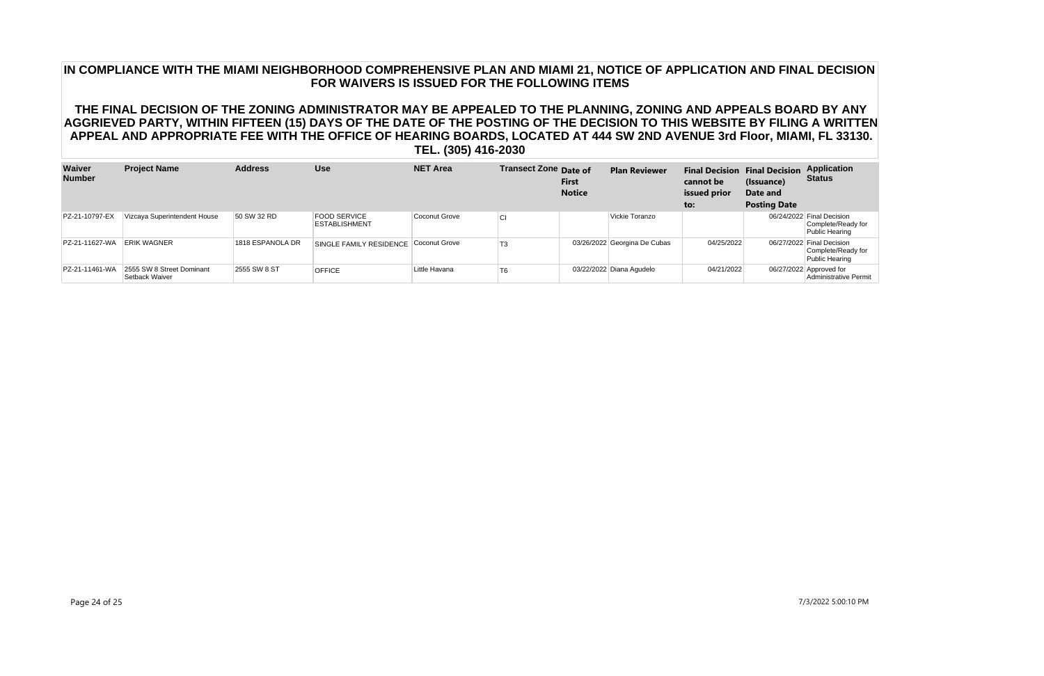| Waiver<br><b>Number</b> | <b>Project Name</b>                         | <b>Address</b>   | <b>Use</b>                                  | <b>NET Area</b> | Transect Zone Date of | <b>First</b><br><b>Notice</b> | <b>Plan Reviewer</b>         | cannot be<br>issued prior<br>to: | <b>Final Decision Final Decision</b><br>(Issuance)<br>Date and<br><b>Posting Date</b> | <b>Application</b><br><b>Status</b>                                      |
|-------------------------|---------------------------------------------|------------------|---------------------------------------------|-----------------|-----------------------|-------------------------------|------------------------------|----------------------------------|---------------------------------------------------------------------------------------|--------------------------------------------------------------------------|
| PZ-21-10797-EX          | Vizcaya Superintendent House                | 50 SW 32 RD      | <b>FOOD SERVICE</b><br><b>ESTABLISHMENT</b> | Coconut Grove   | CI                    |                               | Vickie Toranzo               |                                  |                                                                                       | 06/24/2022 Final Decision<br>Complete/Ready for<br>Public Hearing        |
| PZ-21-11627-WA          | <b>ERIK WAGNER</b>                          | 1818 ESPANOLA DR | SINGLE FAMILY RESIDENCE                     | Coconut Grove   | T <sub>3</sub>        |                               | 03/26/2022 Georgina De Cubas | 04/25/2022                       |                                                                                       | 06/27/2022 Final Decision<br>Complete/Ready for<br><b>Public Hearing</b> |
| PZ-21-11461-WA          | 2555 SW 8 Street Dominant<br>Setback Waiver | 2555 SW 8 ST     | <b>OFFICE</b>                               | Little Havana   | T <sub>6</sub>        |                               | 03/22/2022 Diana Agudelo     | 04/21/2022                       |                                                                                       | 06/27/2022 Approved for<br>Administrative Permit                         |

### **IN COMPLIANCE WITH THE MIAMI NEIGHBORHOOD COMPREHENSIVE PLAN AND MIAMI 21, NOTICE OF APPLICATION AND FINAL DECISION FOR WAIVERS IS ISSUED FOR THE FOLLOWING ITEMS**